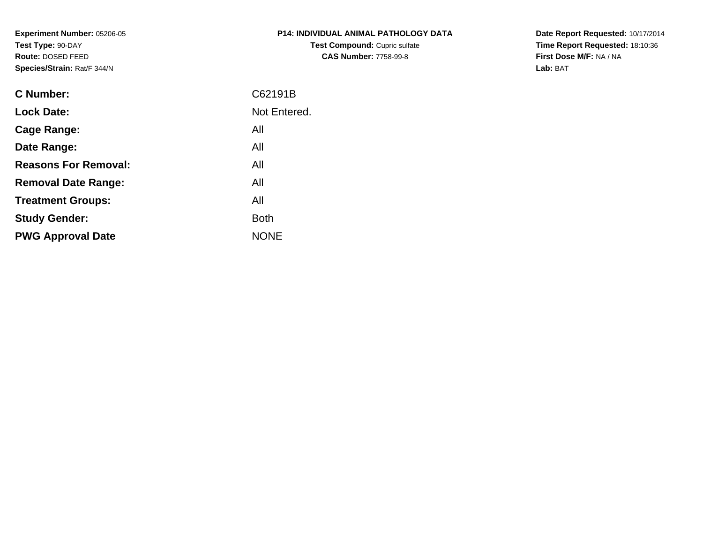**Experiment Number:** 05206-05**Test Type:** 90-DAY **Route:** DOSED FEED**Species/Strain:** Rat/F 344/N

| <b>P14: INDIVIDUAL ANIMAL PATHOLOGY DATA</b> |
|----------------------------------------------|
| <b>Test Compound: Cupric sulfate</b>         |
| <b>CAS Number: 7758-99-8</b>                 |

**Date Report Requested:** 10/17/2014 **Time Report Requested:** 18:10:36**First Dose M/F:** NA / NA**Lab:** BAT

| C62191B      |
|--------------|
| Not Entered. |
| All          |
| All          |
| All          |
| All          |
| All          |
| <b>Both</b>  |
| <b>NONE</b>  |
|              |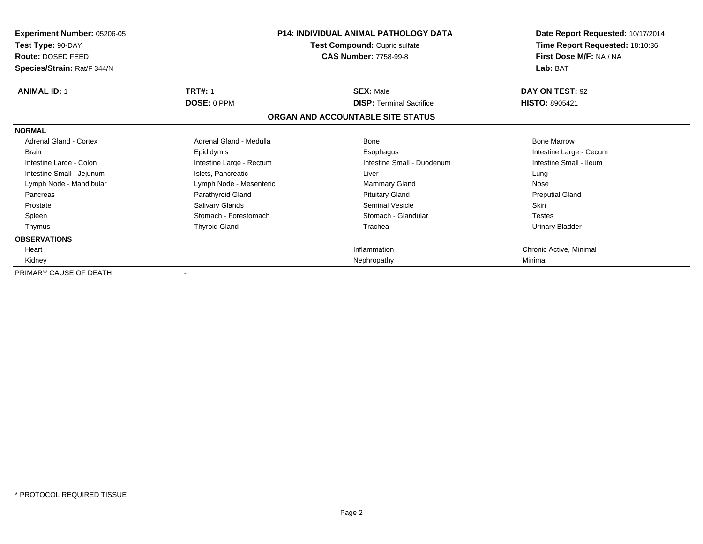| <b>Experiment Number: 05206-05</b><br>Test Type: 90-DAY<br>Route: DOSED FEED<br>Species/Strain: Rat/F 344/N | <b>P14: INDIVIDUAL ANIMAL PATHOLOGY DATA</b><br>Test Compound: Cupric sulfate<br><b>CAS Number: 7758-99-8</b> |                                   | Date Report Requested: 10/17/2014<br>Time Report Requested: 18:10:36<br>First Dose M/F: NA / NA<br>Lab: BAT |
|-------------------------------------------------------------------------------------------------------------|---------------------------------------------------------------------------------------------------------------|-----------------------------------|-------------------------------------------------------------------------------------------------------------|
| <b>ANIMAL ID: 1</b>                                                                                         | <b>TRT#: 1</b>                                                                                                | <b>SEX: Male</b>                  | DAY ON TEST: 92                                                                                             |
|                                                                                                             | <b>DOSE: 0 PPM</b>                                                                                            | <b>DISP: Terminal Sacrifice</b>   | <b>HISTO: 8905421</b>                                                                                       |
|                                                                                                             |                                                                                                               | ORGAN AND ACCOUNTABLE SITE STATUS |                                                                                                             |
| <b>NORMAL</b>                                                                                               |                                                                                                               |                                   |                                                                                                             |
| <b>Adrenal Gland - Cortex</b>                                                                               | Adrenal Gland - Medulla                                                                                       | Bone                              | <b>Bone Marrow</b>                                                                                          |
| <b>Brain</b>                                                                                                | Epididymis                                                                                                    | Esophagus                         | Intestine Large - Cecum                                                                                     |
| Intestine Large - Colon                                                                                     | Intestine Large - Rectum                                                                                      | Intestine Small - Duodenum        | Intestine Small - Ileum                                                                                     |
| Intestine Small - Jejunum                                                                                   | Islets, Pancreatic                                                                                            | Liver                             | Lung                                                                                                        |
| Lymph Node - Mandibular                                                                                     | Lymph Node - Mesenteric                                                                                       | Mammary Gland                     | Nose                                                                                                        |
| Pancreas                                                                                                    | Parathyroid Gland                                                                                             | <b>Pituitary Gland</b>            | <b>Preputial Gland</b>                                                                                      |
| Prostate                                                                                                    | <b>Salivary Glands</b>                                                                                        | Seminal Vesicle                   | Skin                                                                                                        |
| Spleen                                                                                                      | Stomach - Forestomach                                                                                         | Stomach - Glandular               | <b>Testes</b>                                                                                               |
| Thymus                                                                                                      | <b>Thyroid Gland</b>                                                                                          | Trachea                           | <b>Urinary Bladder</b>                                                                                      |
| <b>OBSERVATIONS</b>                                                                                         |                                                                                                               |                                   |                                                                                                             |
| Heart                                                                                                       |                                                                                                               | Inflammation                      | Chronic Active, Minimal                                                                                     |
| Kidney                                                                                                      |                                                                                                               | Nephropathy                       | Minimal                                                                                                     |
| PRIMARY CAUSE OF DEATH                                                                                      | $\blacksquare$                                                                                                |                                   |                                                                                                             |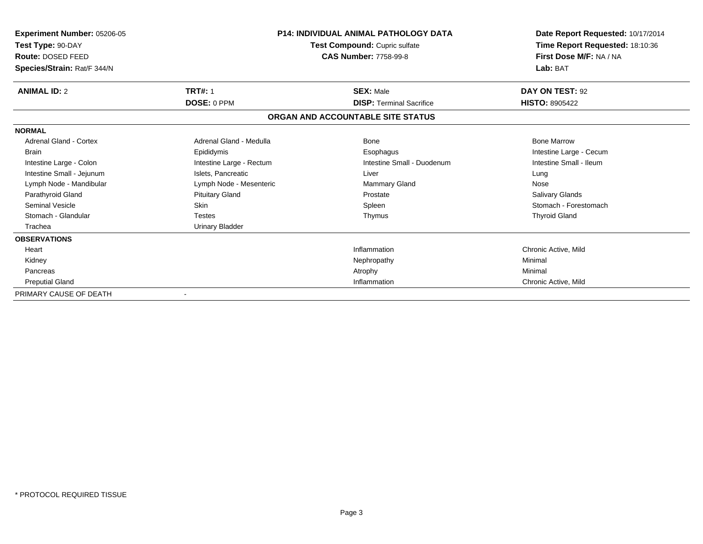| Experiment Number: 05206-05<br>Test Type: 90-DAY<br>Route: DOSED FEED<br>Species/Strain: Rat/F 344/N | <b>P14: INDIVIDUAL ANIMAL PATHOLOGY DATA</b><br>Test Compound: Cupric sulfate<br><b>CAS Number: 7758-99-8</b> |                                   | Date Report Requested: 10/17/2014<br>Time Report Requested: 18:10:36<br>First Dose M/F: NA / NA<br>Lab: BAT |
|------------------------------------------------------------------------------------------------------|---------------------------------------------------------------------------------------------------------------|-----------------------------------|-------------------------------------------------------------------------------------------------------------|
| <b>ANIMAL ID: 2</b>                                                                                  | <b>TRT#: 1</b>                                                                                                | <b>SEX: Male</b>                  | DAY ON TEST: 92                                                                                             |
|                                                                                                      | DOSE: 0 PPM                                                                                                   | <b>DISP: Terminal Sacrifice</b>   | <b>HISTO: 8905422</b>                                                                                       |
|                                                                                                      |                                                                                                               | ORGAN AND ACCOUNTABLE SITE STATUS |                                                                                                             |
| <b>NORMAL</b>                                                                                        |                                                                                                               |                                   |                                                                                                             |
| <b>Adrenal Gland - Cortex</b>                                                                        | Adrenal Gland - Medulla                                                                                       | <b>Bone</b>                       | <b>Bone Marrow</b>                                                                                          |
| <b>Brain</b>                                                                                         | Epididymis                                                                                                    | Esophagus                         | Intestine Large - Cecum                                                                                     |
| Intestine Large - Colon                                                                              | Intestine Large - Rectum                                                                                      | Intestine Small - Duodenum        | Intestine Small - Ileum                                                                                     |
| Intestine Small - Jejunum                                                                            | Islets, Pancreatic                                                                                            | Liver                             | Lung                                                                                                        |
| Lymph Node - Mandibular                                                                              | Lymph Node - Mesenteric                                                                                       | <b>Mammary Gland</b>              | Nose                                                                                                        |
| Parathyroid Gland                                                                                    | <b>Pituitary Gland</b>                                                                                        | Prostate                          | Salivary Glands                                                                                             |
| <b>Seminal Vesicle</b>                                                                               | <b>Skin</b>                                                                                                   | Spleen                            | Stomach - Forestomach                                                                                       |
| Stomach - Glandular                                                                                  | <b>Testes</b>                                                                                                 | Thymus                            | <b>Thyroid Gland</b>                                                                                        |
| Trachea                                                                                              | Urinary Bladder                                                                                               |                                   |                                                                                                             |
| <b>OBSERVATIONS</b>                                                                                  |                                                                                                               |                                   |                                                                                                             |
| Heart                                                                                                |                                                                                                               | Inflammation                      | Chronic Active, Mild                                                                                        |
| Kidney                                                                                               |                                                                                                               | Nephropathy                       | Minimal                                                                                                     |
| Pancreas                                                                                             |                                                                                                               | Atrophy                           | Minimal                                                                                                     |
| <b>Preputial Gland</b>                                                                               |                                                                                                               | Inflammation                      | Chronic Active, Mild                                                                                        |
| PRIMARY CAUSE OF DEATH                                                                               |                                                                                                               |                                   |                                                                                                             |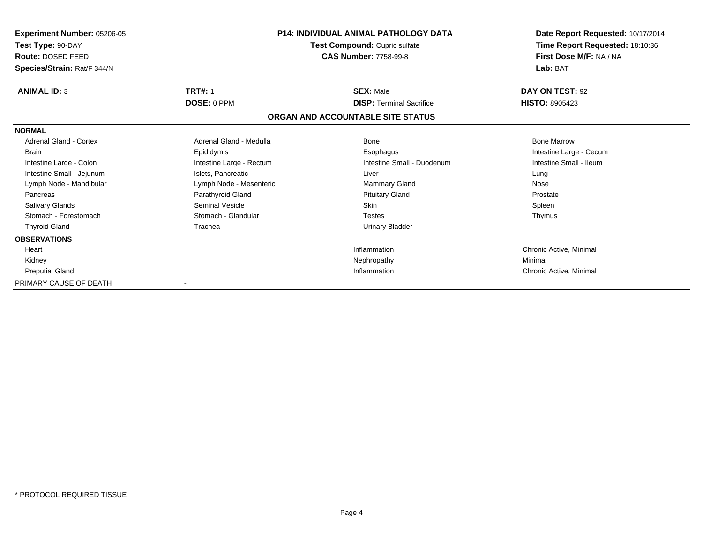| Experiment Number: 05206-05<br>Test Type: 90-DAY<br><b>Route: DOSED FEED</b><br>Species/Strain: Rat/F 344/N | <b>P14: INDIVIDUAL ANIMAL PATHOLOGY DATA</b><br>Test Compound: Cupric sulfate<br><b>CAS Number: 7758-99-8</b> |                                   | Date Report Requested: 10/17/2014<br>Time Report Requested: 18:10:36<br>First Dose M/F: NA / NA<br>Lab: BAT |
|-------------------------------------------------------------------------------------------------------------|---------------------------------------------------------------------------------------------------------------|-----------------------------------|-------------------------------------------------------------------------------------------------------------|
| <b>ANIMAL ID: 3</b>                                                                                         | <b>TRT#: 1</b>                                                                                                | <b>SEX: Male</b>                  | DAY ON TEST: 92                                                                                             |
|                                                                                                             | DOSE: 0 PPM                                                                                                   | <b>DISP: Terminal Sacrifice</b>   | <b>HISTO: 8905423</b>                                                                                       |
|                                                                                                             |                                                                                                               | ORGAN AND ACCOUNTABLE SITE STATUS |                                                                                                             |
| <b>NORMAL</b>                                                                                               |                                                                                                               |                                   |                                                                                                             |
| Adrenal Gland - Cortex                                                                                      | Adrenal Gland - Medulla                                                                                       | Bone                              | <b>Bone Marrow</b>                                                                                          |
| <b>Brain</b>                                                                                                | Epididymis                                                                                                    | Esophagus                         | Intestine Large - Cecum                                                                                     |
| Intestine Large - Colon                                                                                     | Intestine Large - Rectum                                                                                      | Intestine Small - Duodenum        | Intestine Small - Ileum                                                                                     |
| Intestine Small - Jejunum                                                                                   | Islets. Pancreatic                                                                                            | Liver                             | Lung                                                                                                        |
| Lymph Node - Mandibular                                                                                     | Lymph Node - Mesenteric                                                                                       | Mammary Gland                     | Nose                                                                                                        |
| Pancreas                                                                                                    | Parathyroid Gland                                                                                             | <b>Pituitary Gland</b>            | Prostate                                                                                                    |
| Salivary Glands                                                                                             | <b>Seminal Vesicle</b>                                                                                        | <b>Skin</b>                       | Spleen                                                                                                      |
| Stomach - Forestomach                                                                                       | Stomach - Glandular                                                                                           | <b>Testes</b>                     | Thymus                                                                                                      |
| <b>Thyroid Gland</b>                                                                                        | Trachea                                                                                                       | Urinary Bladder                   |                                                                                                             |
| <b>OBSERVATIONS</b>                                                                                         |                                                                                                               |                                   |                                                                                                             |
| Heart                                                                                                       |                                                                                                               | Inflammation                      | Chronic Active, Minimal                                                                                     |
| Kidney                                                                                                      |                                                                                                               | Nephropathy                       | Minimal                                                                                                     |
| <b>Preputial Gland</b>                                                                                      |                                                                                                               | Inflammation                      | Chronic Active, Minimal                                                                                     |
| PRIMARY CAUSE OF DEATH                                                                                      |                                                                                                               |                                   |                                                                                                             |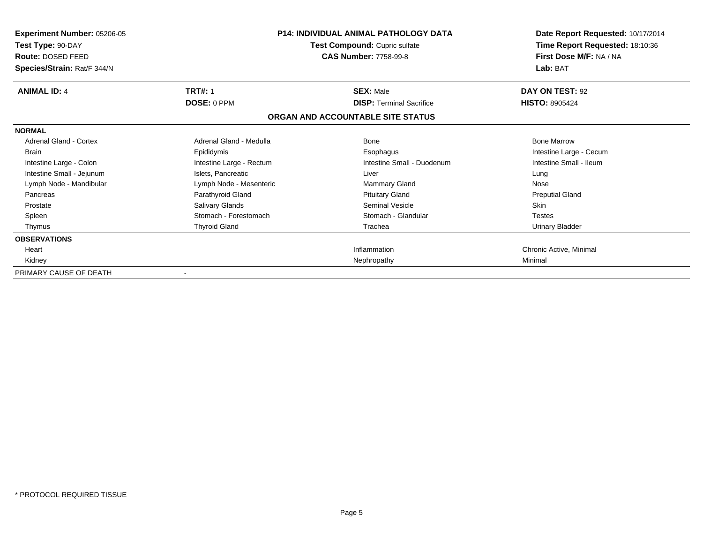| Experiment Number: 05206-05<br>Test Type: 90-DAY<br>Route: DOSED FEED<br>Species/Strain: Rat/F 344/N | <b>P14: INDIVIDUAL ANIMAL PATHOLOGY DATA</b><br>Test Compound: Cupric sulfate<br><b>CAS Number: 7758-99-8</b> |                                   | Date Report Requested: 10/17/2014<br>Time Report Requested: 18:10:36<br>First Dose M/F: NA / NA<br>Lab: BAT |
|------------------------------------------------------------------------------------------------------|---------------------------------------------------------------------------------------------------------------|-----------------------------------|-------------------------------------------------------------------------------------------------------------|
| <b>ANIMAL ID: 4</b>                                                                                  | <b>TRT#: 1</b>                                                                                                | <b>SEX: Male</b>                  | DAY ON TEST: 92                                                                                             |
|                                                                                                      | <b>DOSE: 0 PPM</b>                                                                                            | <b>DISP: Terminal Sacrifice</b>   | <b>HISTO: 8905424</b>                                                                                       |
|                                                                                                      |                                                                                                               | ORGAN AND ACCOUNTABLE SITE STATUS |                                                                                                             |
| <b>NORMAL</b>                                                                                        |                                                                                                               |                                   |                                                                                                             |
| Adrenal Gland - Cortex                                                                               | Adrenal Gland - Medulla                                                                                       | Bone                              | <b>Bone Marrow</b>                                                                                          |
| <b>Brain</b>                                                                                         | Epididymis                                                                                                    | Esophagus                         | Intestine Large - Cecum                                                                                     |
| Intestine Large - Colon                                                                              | Intestine Large - Rectum                                                                                      | Intestine Small - Duodenum        | Intestine Small - Ileum                                                                                     |
| Intestine Small - Jejunum                                                                            | Islets, Pancreatic                                                                                            | Liver                             | Lung                                                                                                        |
| Lymph Node - Mandibular                                                                              | Lymph Node - Mesenteric                                                                                       | <b>Mammary Gland</b>              | Nose                                                                                                        |
| Pancreas                                                                                             | Parathyroid Gland                                                                                             | <b>Pituitary Gland</b>            | <b>Preputial Gland</b>                                                                                      |
| Prostate                                                                                             | Salivary Glands                                                                                               | Seminal Vesicle                   | <b>Skin</b>                                                                                                 |
| Spleen                                                                                               | Stomach - Forestomach                                                                                         | Stomach - Glandular               | <b>Testes</b>                                                                                               |
| Thymus                                                                                               | <b>Thyroid Gland</b>                                                                                          | Trachea                           | <b>Urinary Bladder</b>                                                                                      |
| <b>OBSERVATIONS</b>                                                                                  |                                                                                                               |                                   |                                                                                                             |
| Heart                                                                                                |                                                                                                               | Inflammation                      | Chronic Active, Minimal                                                                                     |
| Kidney                                                                                               |                                                                                                               | Nephropathy                       | Minimal                                                                                                     |
| PRIMARY CAUSE OF DEATH                                                                               |                                                                                                               |                                   |                                                                                                             |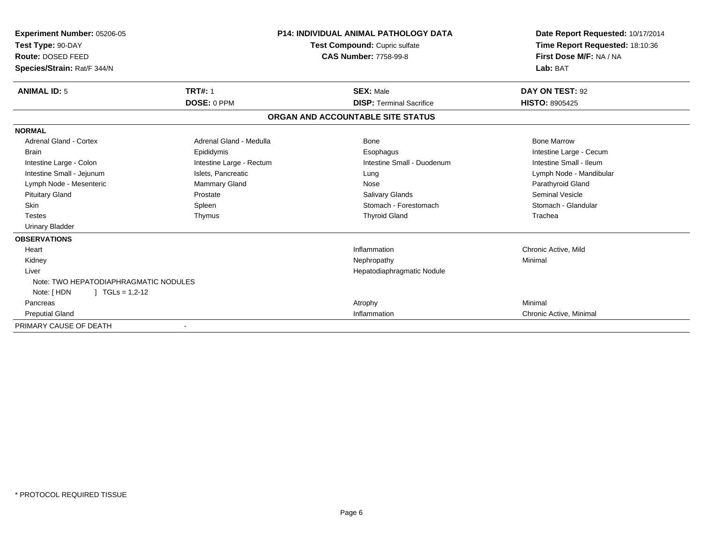| <b>Experiment Number: 05206-05</b><br>Test Type: 90-DAY<br>Route: DOSED FEED<br>Species/Strain: Rat/F 344/N | <b>P14: INDIVIDUAL ANIMAL PATHOLOGY DATA</b><br>Test Compound: Cupric sulfate<br><b>CAS Number: 7758-99-8</b> |                                   | Date Report Requested: 10/17/2014<br>Time Report Requested: 18:10:36<br>First Dose M/F: NA / NA<br>Lab: BAT |  |
|-------------------------------------------------------------------------------------------------------------|---------------------------------------------------------------------------------------------------------------|-----------------------------------|-------------------------------------------------------------------------------------------------------------|--|
| <b>ANIMAL ID: 5</b>                                                                                         | <b>TRT#: 1</b>                                                                                                | <b>SEX: Male</b>                  | DAY ON TEST: 92                                                                                             |  |
|                                                                                                             | DOSE: 0 PPM                                                                                                   | <b>DISP: Terminal Sacrifice</b>   | <b>HISTO: 8905425</b>                                                                                       |  |
|                                                                                                             |                                                                                                               | ORGAN AND ACCOUNTABLE SITE STATUS |                                                                                                             |  |
| <b>NORMAL</b>                                                                                               |                                                                                                               |                                   |                                                                                                             |  |
| <b>Adrenal Gland - Cortex</b>                                                                               | Adrenal Gland - Medulla                                                                                       | <b>Bone</b>                       | <b>Bone Marrow</b>                                                                                          |  |
| <b>Brain</b>                                                                                                | Epididymis                                                                                                    | Esophagus                         | Intestine Large - Cecum                                                                                     |  |
| Intestine Large - Colon                                                                                     | Intestine Large - Rectum                                                                                      | Intestine Small - Duodenum        | Intestine Small - Ileum                                                                                     |  |
| Intestine Small - Jejunum                                                                                   | Islets, Pancreatic                                                                                            | Lung                              | Lymph Node - Mandibular                                                                                     |  |
| Lymph Node - Mesenteric                                                                                     | <b>Mammary Gland</b>                                                                                          | Nose                              | Parathyroid Gland                                                                                           |  |
| <b>Pituitary Gland</b>                                                                                      | Prostate                                                                                                      | <b>Salivary Glands</b>            | <b>Seminal Vesicle</b>                                                                                      |  |
| <b>Skin</b>                                                                                                 | Spleen                                                                                                        | Stomach - Forestomach             | Stomach - Glandular                                                                                         |  |
| <b>Testes</b>                                                                                               | Thymus                                                                                                        | <b>Thyroid Gland</b>              | Trachea                                                                                                     |  |
| <b>Urinary Bladder</b>                                                                                      |                                                                                                               |                                   |                                                                                                             |  |
| <b>OBSERVATIONS</b>                                                                                         |                                                                                                               |                                   |                                                                                                             |  |
| Heart                                                                                                       |                                                                                                               | Inflammation                      | Chronic Active, Mild                                                                                        |  |
| Kidney                                                                                                      |                                                                                                               | Nephropathy                       | Minimal                                                                                                     |  |
| Liver                                                                                                       |                                                                                                               | Hepatodiaphragmatic Nodule        |                                                                                                             |  |
| Note: TWO HEPATODIAPHRAGMATIC NODULES                                                                       |                                                                                                               |                                   |                                                                                                             |  |
| Note: [HDN<br>$\mid$ TGLs = 1,2-12                                                                          |                                                                                                               |                                   |                                                                                                             |  |
| Pancreas                                                                                                    |                                                                                                               | Atrophy                           | Minimal                                                                                                     |  |
| <b>Preputial Gland</b>                                                                                      |                                                                                                               | Inflammation                      | Chronic Active, Minimal                                                                                     |  |
| PRIMARY CAUSE OF DEATH                                                                                      |                                                                                                               |                                   |                                                                                                             |  |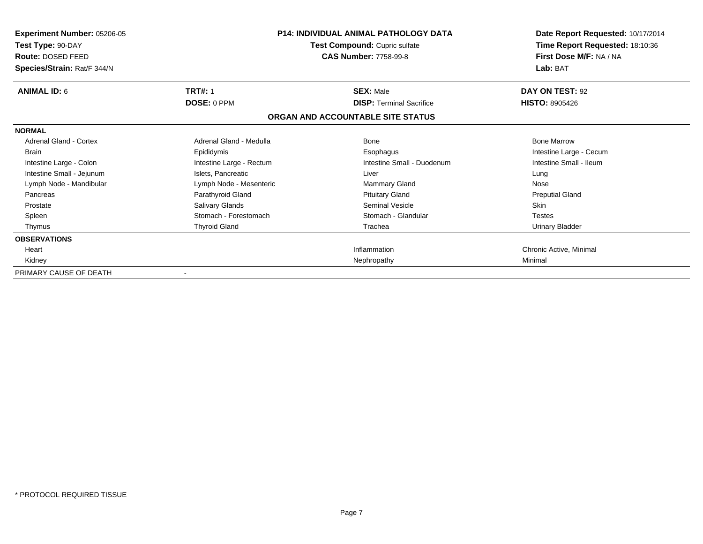| Experiment Number: 05206-05<br>Test Type: 90-DAY<br>Route: DOSED FEED<br>Species/Strain: Rat/F 344/N | <b>P14: INDIVIDUAL ANIMAL PATHOLOGY DATA</b><br>Test Compound: Cupric sulfate<br><b>CAS Number: 7758-99-8</b> |                                   | Date Report Requested: 10/17/2014<br>Time Report Requested: 18:10:36<br>First Dose M/F: NA / NA<br>Lab: BAT |
|------------------------------------------------------------------------------------------------------|---------------------------------------------------------------------------------------------------------------|-----------------------------------|-------------------------------------------------------------------------------------------------------------|
| <b>ANIMAL ID: 6</b>                                                                                  | <b>TRT#: 1</b>                                                                                                | <b>SEX: Male</b>                  | DAY ON TEST: 92                                                                                             |
|                                                                                                      | DOSE: 0 PPM                                                                                                   | <b>DISP: Terminal Sacrifice</b>   | <b>HISTO: 8905426</b>                                                                                       |
|                                                                                                      |                                                                                                               | ORGAN AND ACCOUNTABLE SITE STATUS |                                                                                                             |
| <b>NORMAL</b>                                                                                        |                                                                                                               |                                   |                                                                                                             |
| Adrenal Gland - Cortex                                                                               | Adrenal Gland - Medulla                                                                                       | Bone                              | <b>Bone Marrow</b>                                                                                          |
| <b>Brain</b>                                                                                         | Epididymis                                                                                                    | Esophagus                         | Intestine Large - Cecum                                                                                     |
| Intestine Large - Colon                                                                              | Intestine Large - Rectum                                                                                      | Intestine Small - Duodenum        | Intestine Small - Ileum                                                                                     |
| Intestine Small - Jejunum                                                                            | Islets, Pancreatic                                                                                            | Liver                             | Lung                                                                                                        |
| Lymph Node - Mandibular                                                                              | Lymph Node - Mesenteric                                                                                       | <b>Mammary Gland</b>              | Nose                                                                                                        |
| Pancreas                                                                                             | Parathyroid Gland                                                                                             | <b>Pituitary Gland</b>            | <b>Preputial Gland</b>                                                                                      |
| Prostate                                                                                             | Salivary Glands                                                                                               | Seminal Vesicle                   | <b>Skin</b>                                                                                                 |
| Spleen                                                                                               | Stomach - Forestomach                                                                                         | Stomach - Glandular               | <b>Testes</b>                                                                                               |
| Thymus                                                                                               | <b>Thyroid Gland</b>                                                                                          | Trachea                           | Urinary Bladder                                                                                             |
| <b>OBSERVATIONS</b>                                                                                  |                                                                                                               |                                   |                                                                                                             |
| Heart                                                                                                |                                                                                                               | Inflammation                      | Chronic Active, Minimal                                                                                     |
| Kidney                                                                                               |                                                                                                               | Nephropathy                       | Minimal                                                                                                     |
| PRIMARY CAUSE OF DEATH                                                                               |                                                                                                               |                                   |                                                                                                             |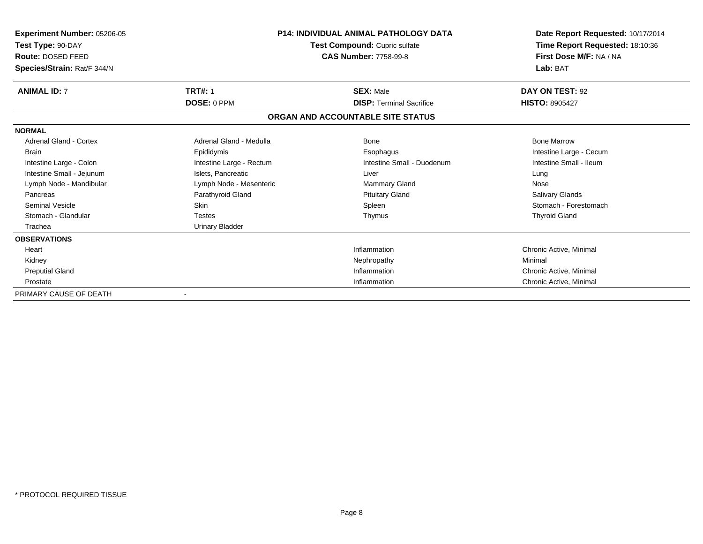| <b>Experiment Number: 05206-05</b><br>Test Type: 90-DAY<br>Route: DOSED FEED<br>Species/Strain: Rat/F 344/N | <b>P14: INDIVIDUAL ANIMAL PATHOLOGY DATA</b><br>Test Compound: Cupric sulfate<br><b>CAS Number: 7758-99-8</b> |                                   | Date Report Requested: 10/17/2014<br>Time Report Requested: 18:10:36<br>First Dose M/F: NA / NA<br>Lab: BAT |
|-------------------------------------------------------------------------------------------------------------|---------------------------------------------------------------------------------------------------------------|-----------------------------------|-------------------------------------------------------------------------------------------------------------|
| <b>ANIMAL ID: 7</b>                                                                                         | <b>TRT#: 1</b>                                                                                                | <b>SEX: Male</b>                  | DAY ON TEST: 92                                                                                             |
|                                                                                                             | DOSE: 0 PPM                                                                                                   | <b>DISP: Terminal Sacrifice</b>   | <b>HISTO: 8905427</b>                                                                                       |
|                                                                                                             |                                                                                                               | ORGAN AND ACCOUNTABLE SITE STATUS |                                                                                                             |
| <b>NORMAL</b>                                                                                               |                                                                                                               |                                   |                                                                                                             |
| <b>Adrenal Gland - Cortex</b>                                                                               | Adrenal Gland - Medulla                                                                                       | <b>Bone</b>                       | <b>Bone Marrow</b>                                                                                          |
| <b>Brain</b>                                                                                                | Epididymis                                                                                                    | Esophagus                         | Intestine Large - Cecum                                                                                     |
| Intestine Large - Colon                                                                                     | Intestine Large - Rectum                                                                                      | Intestine Small - Duodenum        | Intestine Small - Ileum                                                                                     |
| Intestine Small - Jejunum                                                                                   | Islets, Pancreatic                                                                                            | Liver                             | Lung                                                                                                        |
| Lymph Node - Mandibular                                                                                     | Lymph Node - Mesenteric                                                                                       | <b>Mammary Gland</b>              | Nose                                                                                                        |
| Pancreas                                                                                                    | Parathyroid Gland                                                                                             | <b>Pituitary Gland</b>            | Salivary Glands                                                                                             |
| <b>Seminal Vesicle</b>                                                                                      | <b>Skin</b>                                                                                                   | Spleen                            | Stomach - Forestomach                                                                                       |
| Stomach - Glandular                                                                                         | <b>Testes</b>                                                                                                 | Thymus                            | <b>Thyroid Gland</b>                                                                                        |
| Trachea                                                                                                     | <b>Urinary Bladder</b>                                                                                        |                                   |                                                                                                             |
| <b>OBSERVATIONS</b>                                                                                         |                                                                                                               |                                   |                                                                                                             |
| Heart                                                                                                       |                                                                                                               | Inflammation                      | Chronic Active, Minimal                                                                                     |
| Kidney                                                                                                      |                                                                                                               | Nephropathy                       | Minimal                                                                                                     |
| <b>Preputial Gland</b>                                                                                      |                                                                                                               | Inflammation                      | Chronic Active, Minimal                                                                                     |
| Prostate                                                                                                    |                                                                                                               | Inflammation                      | Chronic Active, Minimal                                                                                     |
| PRIMARY CAUSE OF DEATH                                                                                      |                                                                                                               |                                   |                                                                                                             |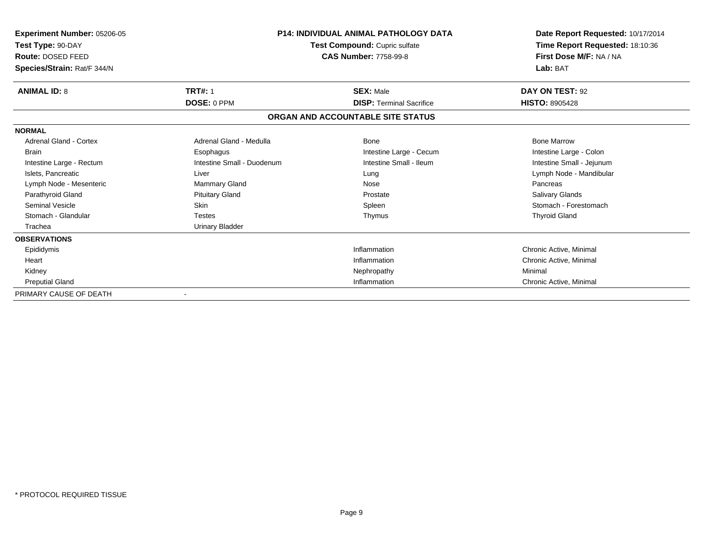| Experiment Number: 05206-05<br>Test Type: 90-DAY<br>Route: DOSED FEED<br>Species/Strain: Rat/F 344/N | <b>P14: INDIVIDUAL ANIMAL PATHOLOGY DATA</b><br>Test Compound: Cupric sulfate<br><b>CAS Number: 7758-99-8</b> |                                   | Date Report Requested: 10/17/2014<br>Time Report Requested: 18:10:36<br>First Dose M/F: NA / NA<br>Lab: BAT |
|------------------------------------------------------------------------------------------------------|---------------------------------------------------------------------------------------------------------------|-----------------------------------|-------------------------------------------------------------------------------------------------------------|
| <b>ANIMAL ID: 8</b>                                                                                  | <b>TRT#: 1</b>                                                                                                | <b>SEX: Male</b>                  | DAY ON TEST: 92                                                                                             |
|                                                                                                      | DOSE: 0 PPM                                                                                                   | <b>DISP: Terminal Sacrifice</b>   | <b>HISTO: 8905428</b>                                                                                       |
|                                                                                                      |                                                                                                               | ORGAN AND ACCOUNTABLE SITE STATUS |                                                                                                             |
| <b>NORMAL</b>                                                                                        |                                                                                                               |                                   |                                                                                                             |
| Adrenal Gland - Cortex                                                                               | Adrenal Gland - Medulla                                                                                       | <b>Bone</b>                       | <b>Bone Marrow</b>                                                                                          |
| <b>Brain</b>                                                                                         | Esophagus                                                                                                     | Intestine Large - Cecum           | Intestine Large - Colon                                                                                     |
| Intestine Large - Rectum                                                                             | Intestine Small - Duodenum                                                                                    | Intestine Small - Ileum           | Intestine Small - Jejunum                                                                                   |
| Islets, Pancreatic                                                                                   | Liver                                                                                                         | Lung                              | Lymph Node - Mandibular                                                                                     |
| Lymph Node - Mesenteric                                                                              | <b>Mammary Gland</b>                                                                                          | Nose                              | Pancreas                                                                                                    |
| Parathyroid Gland                                                                                    | <b>Pituitary Gland</b>                                                                                        | Prostate                          | Salivary Glands                                                                                             |
| <b>Seminal Vesicle</b>                                                                               | <b>Skin</b>                                                                                                   | Spleen                            | Stomach - Forestomach                                                                                       |
| Stomach - Glandular                                                                                  | <b>Testes</b>                                                                                                 | Thymus                            | <b>Thyroid Gland</b>                                                                                        |
| Trachea                                                                                              | Urinary Bladder                                                                                               |                                   |                                                                                                             |
| <b>OBSERVATIONS</b>                                                                                  |                                                                                                               |                                   |                                                                                                             |
| Epididymis                                                                                           |                                                                                                               | Inflammation                      | Chronic Active, Minimal                                                                                     |
| Heart                                                                                                |                                                                                                               | Inflammation                      | Chronic Active, Minimal                                                                                     |
| Kidney                                                                                               |                                                                                                               | Nephropathy                       | Minimal                                                                                                     |
| <b>Preputial Gland</b>                                                                               |                                                                                                               | Inflammation                      | Chronic Active, Minimal                                                                                     |
| PRIMARY CAUSE OF DEATH                                                                               |                                                                                                               |                                   |                                                                                                             |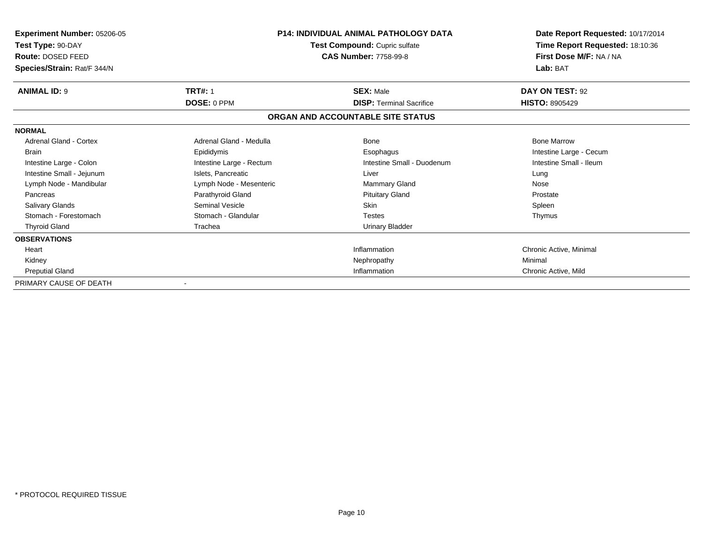| <b>Experiment Number: 05206-05</b><br>Test Type: 90-DAY<br>Route: DOSED FEED<br>Species/Strain: Rat/F 344/N | P14: INDIVIDUAL ANIMAL PATHOLOGY DATA<br>Test Compound: Cupric sulfate<br><b>CAS Number: 7758-99-8</b> |                                                                      | Date Report Requested: 10/17/2014<br>Time Report Requested: 18:10:36<br>First Dose M/F: NA / NA<br>Lab: BAT |
|-------------------------------------------------------------------------------------------------------------|--------------------------------------------------------------------------------------------------------|----------------------------------------------------------------------|-------------------------------------------------------------------------------------------------------------|
| <b>ANIMAL ID: 9</b>                                                                                         | <b>TRT#: 1</b>                                                                                         | <b>SEX: Male</b>                                                     | DAY ON TEST: 92                                                                                             |
|                                                                                                             | DOSE: 0 PPM                                                                                            | <b>DISP: Terminal Sacrifice</b><br>ORGAN AND ACCOUNTABLE SITE STATUS | <b>HISTO: 8905429</b>                                                                                       |
| <b>NORMAL</b>                                                                                               |                                                                                                        |                                                                      |                                                                                                             |
| Adrenal Gland - Cortex                                                                                      | Adrenal Gland - Medulla                                                                                | Bone                                                                 | <b>Bone Marrow</b>                                                                                          |
| <b>Brain</b>                                                                                                | Epididymis                                                                                             | Esophagus                                                            | Intestine Large - Cecum                                                                                     |
| Intestine Large - Colon                                                                                     | Intestine Large - Rectum                                                                               | Intestine Small - Duodenum                                           | Intestine Small - Ileum                                                                                     |
| Intestine Small - Jejunum                                                                                   | Islets, Pancreatic                                                                                     | Liver                                                                | Lung                                                                                                        |
| Lymph Node - Mandibular                                                                                     | Lymph Node - Mesenteric                                                                                | Mammary Gland                                                        | Nose                                                                                                        |
| Pancreas                                                                                                    | Parathyroid Gland                                                                                      | <b>Pituitary Gland</b>                                               | Prostate                                                                                                    |
| Salivary Glands                                                                                             | <b>Seminal Vesicle</b>                                                                                 | <b>Skin</b>                                                          | Spleen                                                                                                      |
| Stomach - Forestomach                                                                                       | Stomach - Glandular                                                                                    | <b>Testes</b>                                                        | Thymus                                                                                                      |
| <b>Thyroid Gland</b>                                                                                        | Trachea                                                                                                | <b>Urinary Bladder</b>                                               |                                                                                                             |
| <b>OBSERVATIONS</b>                                                                                         |                                                                                                        |                                                                      |                                                                                                             |
| Heart                                                                                                       |                                                                                                        | Inflammation                                                         | Chronic Active, Minimal                                                                                     |
| Kidney                                                                                                      |                                                                                                        | Nephropathy                                                          | Minimal                                                                                                     |
| <b>Preputial Gland</b>                                                                                      |                                                                                                        | Inflammation                                                         | Chronic Active, Mild                                                                                        |
| PRIMARY CAUSE OF DEATH                                                                                      |                                                                                                        |                                                                      |                                                                                                             |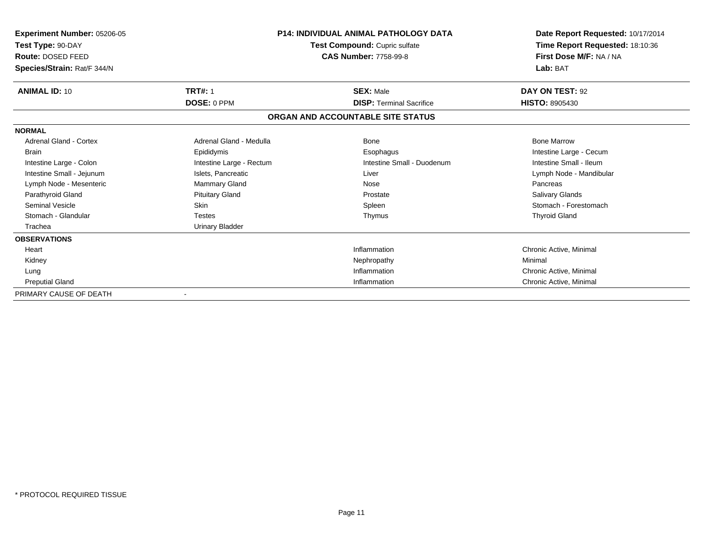| <b>Experiment Number: 05206-05</b><br>Test Type: 90-DAY<br>Route: DOSED FEED<br>Species/Strain: Rat/F 344/N | <b>P14: INDIVIDUAL ANIMAL PATHOLOGY DATA</b><br>Test Compound: Cupric sulfate<br><b>CAS Number: 7758-99-8</b> |                                   | Date Report Requested: 10/17/2014<br>Time Report Requested: 18:10:36<br>First Dose M/F: NA / NA<br>Lab: BAT |
|-------------------------------------------------------------------------------------------------------------|---------------------------------------------------------------------------------------------------------------|-----------------------------------|-------------------------------------------------------------------------------------------------------------|
| <b>ANIMAL ID: 10</b>                                                                                        | <b>TRT#: 1</b>                                                                                                | <b>SEX: Male</b>                  | DAY ON TEST: 92                                                                                             |
|                                                                                                             | <b>DOSE: 0 PPM</b>                                                                                            | <b>DISP: Terminal Sacrifice</b>   | <b>HISTO: 8905430</b>                                                                                       |
|                                                                                                             |                                                                                                               | ORGAN AND ACCOUNTABLE SITE STATUS |                                                                                                             |
| <b>NORMAL</b>                                                                                               |                                                                                                               |                                   |                                                                                                             |
| <b>Adrenal Gland - Cortex</b>                                                                               | Adrenal Gland - Medulla                                                                                       | <b>Bone</b>                       | <b>Bone Marrow</b>                                                                                          |
| <b>Brain</b>                                                                                                | Epididymis                                                                                                    | Esophagus                         | Intestine Large - Cecum                                                                                     |
| Intestine Large - Colon                                                                                     | Intestine Large - Rectum                                                                                      | Intestine Small - Duodenum        | Intestine Small - Ileum                                                                                     |
| Intestine Small - Jejunum                                                                                   | Islets, Pancreatic                                                                                            | Liver                             | Lymph Node - Mandibular                                                                                     |
| Lymph Node - Mesenteric                                                                                     | Mammary Gland                                                                                                 | Nose                              | Pancreas                                                                                                    |
| Parathyroid Gland                                                                                           | <b>Pituitary Gland</b>                                                                                        | Prostate                          | Salivary Glands                                                                                             |
| <b>Seminal Vesicle</b>                                                                                      | <b>Skin</b>                                                                                                   | Spleen                            | Stomach - Forestomach                                                                                       |
| Stomach - Glandular                                                                                         | <b>Testes</b>                                                                                                 | Thymus                            | <b>Thyroid Gland</b>                                                                                        |
| Trachea                                                                                                     | <b>Urinary Bladder</b>                                                                                        |                                   |                                                                                                             |
| <b>OBSERVATIONS</b>                                                                                         |                                                                                                               |                                   |                                                                                                             |
| Heart                                                                                                       |                                                                                                               | Inflammation                      | Chronic Active, Minimal                                                                                     |
| Kidney                                                                                                      |                                                                                                               | Nephropathy                       | Minimal                                                                                                     |
| Lung                                                                                                        |                                                                                                               | Inflammation                      | Chronic Active, Minimal                                                                                     |
| <b>Preputial Gland</b>                                                                                      |                                                                                                               | Inflammation                      | Chronic Active, Minimal                                                                                     |
| PRIMARY CAUSE OF DEATH                                                                                      |                                                                                                               |                                   |                                                                                                             |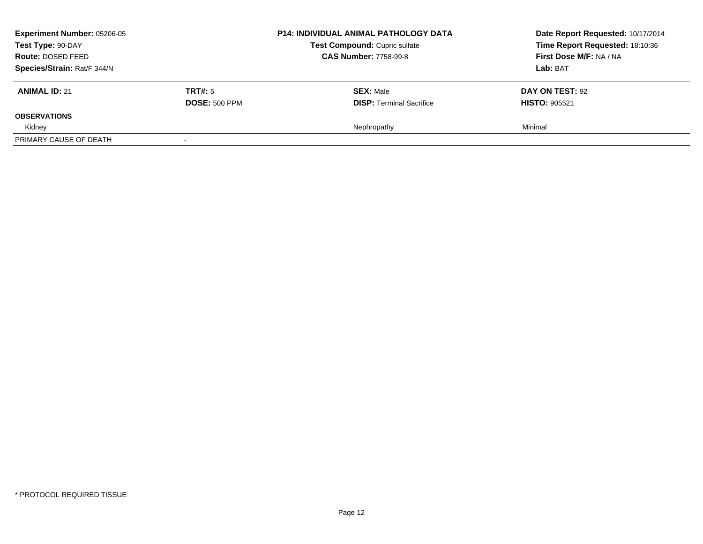| <b>Experiment Number: 05206-05</b><br>Test Type: 90-DAY |                      | <b>P14: INDIVIDUAL ANIMAL PATHOLOGY DATA</b> | Date Report Requested: 10/17/2014 |
|---------------------------------------------------------|----------------------|----------------------------------------------|-----------------------------------|
|                                                         |                      | Test Compound: Cupric sulfate                | Time Report Requested: 18:10:36   |
| Route: DOSED FEED                                       |                      | <b>CAS Number: 7758-99-8</b>                 | First Dose M/F: NA / NA           |
| Species/Strain: Rat/F 344/N                             |                      |                                              | <b>Lab:</b> BAT                   |
| <b>ANIMAL ID: 21</b>                                    | TRT#: 5              | <b>SEX: Male</b>                             | DAY ON TEST: 92                   |
|                                                         | <b>DOSE: 500 PPM</b> | <b>DISP:</b> Terminal Sacrifice              | <b>HISTO: 905521</b>              |
| <b>OBSERVATIONS</b>                                     |                      |                                              |                                   |
| Kidney                                                  |                      | Nephropathy                                  | Minimal                           |
| PRIMARY CAUSE OF DEATH                                  |                      |                                              |                                   |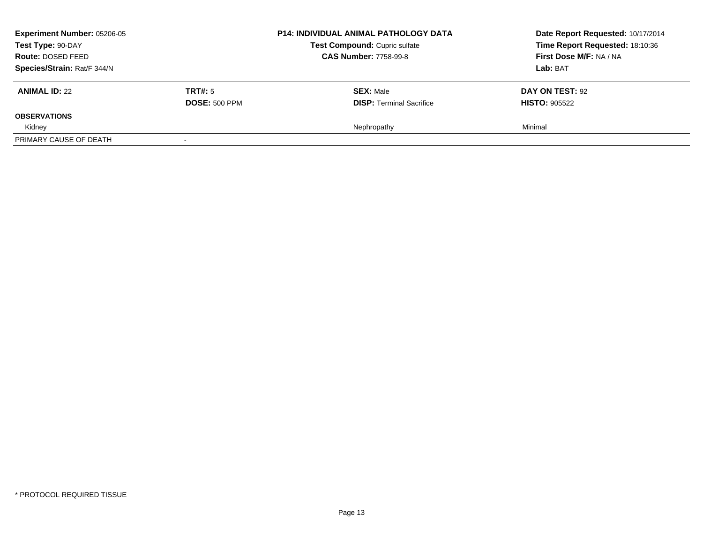| <b>Experiment Number: 05206-05</b><br>Test Type: 90-DAY |                      | <b>P14: INDIVIDUAL ANIMAL PATHOLOGY DATA</b> | Date Report Requested: 10/17/2014 |
|---------------------------------------------------------|----------------------|----------------------------------------------|-----------------------------------|
|                                                         |                      | Test Compound: Cupric sulfate                | Time Report Requested: 18:10:36   |
| Route: DOSED FEED                                       |                      | <b>CAS Number: 7758-99-8</b>                 | First Dose M/F: NA / NA           |
| Species/Strain: Rat/F 344/N                             |                      |                                              | <b>Lab:</b> BAT                   |
| <b>ANIMAL ID: 22</b>                                    | TRT#: 5              | <b>SEX: Male</b>                             | DAY ON TEST: 92                   |
|                                                         | <b>DOSE: 500 PPM</b> | <b>DISP:</b> Terminal Sacrifice              | <b>HISTO: 905522</b>              |
| <b>OBSERVATIONS</b>                                     |                      |                                              |                                   |
| Kidney                                                  |                      | Nephropathy                                  | Minimal                           |
| PRIMARY CAUSE OF DEATH                                  |                      |                                              |                                   |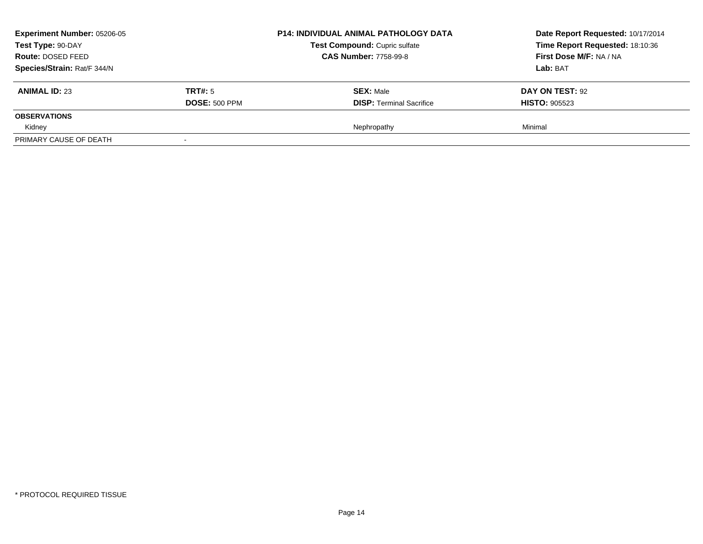| <b>Experiment Number: 05206-05</b><br>Test Type: 90-DAY<br>Route: DOSED FEED<br>Species/Strain: Rat/F 344/N |                                 | <b>P14: INDIVIDUAL ANIMAL PATHOLOGY DATA</b><br>Test Compound: Cupric sulfate<br><b>CAS Number: 7758-99-8</b> | Date Report Requested: 10/17/2014<br>Time Report Requested: 18:10:36<br>First Dose M/F: NA / NA<br><b>Lab: BAT</b> |
|-------------------------------------------------------------------------------------------------------------|---------------------------------|---------------------------------------------------------------------------------------------------------------|--------------------------------------------------------------------------------------------------------------------|
| <b>ANIMAL ID: 23</b>                                                                                        | TRT#: 5<br><b>DOSE: 500 PPM</b> | <b>SEX: Male</b><br><b>DISP: Terminal Sacrifice</b>                                                           | DAY ON TEST: 92<br><b>HISTO: 905523</b>                                                                            |
| <b>OBSERVATIONS</b>                                                                                         |                                 |                                                                                                               |                                                                                                                    |
| Kidney                                                                                                      |                                 | Nephropathy                                                                                                   | Minimal                                                                                                            |
| PRIMARY CAUSE OF DEATH                                                                                      | $\overline{\phantom{a}}$        |                                                                                                               |                                                                                                                    |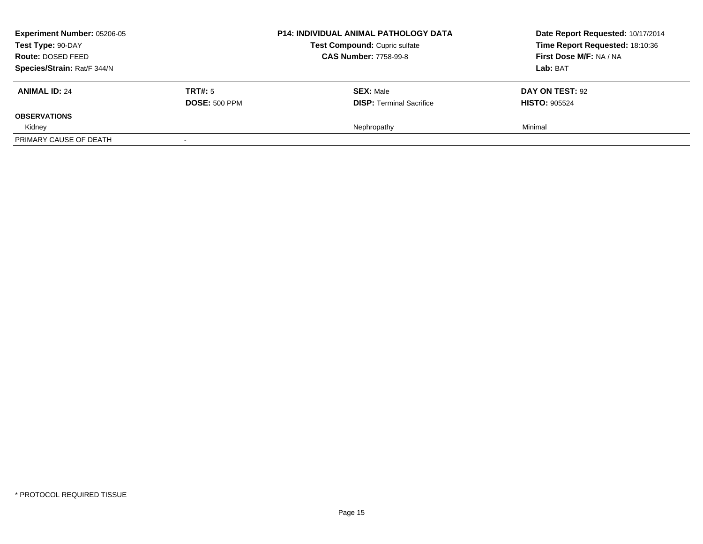| <b>Experiment Number: 05206-05</b><br>Test Type: 90-DAY<br>Route: DOSED FEED<br>Species/Strain: Rat/F 344/N |                                 | <b>P14: INDIVIDUAL ANIMAL PATHOLOGY DATA</b><br>Test Compound: Cupric sulfate<br><b>CAS Number: 7758-99-8</b> | Date Report Requested: 10/17/2014<br>Time Report Requested: 18:10:36<br>First Dose M/F: NA / NA<br><b>Lab: BAT</b> |
|-------------------------------------------------------------------------------------------------------------|---------------------------------|---------------------------------------------------------------------------------------------------------------|--------------------------------------------------------------------------------------------------------------------|
| <b>ANIMAL ID: 24</b>                                                                                        | TRT#: 5<br><b>DOSE: 500 PPM</b> | <b>SEX: Male</b><br><b>DISP: Terminal Sacrifice</b>                                                           | DAY ON TEST: 92<br><b>HISTO: 905524</b>                                                                            |
| <b>OBSERVATIONS</b>                                                                                         |                                 |                                                                                                               |                                                                                                                    |
| Kidney                                                                                                      |                                 | Nephropathy                                                                                                   | Minimal                                                                                                            |
| PRIMARY CAUSE OF DEATH                                                                                      | $\overline{\phantom{a}}$        |                                                                                                               |                                                                                                                    |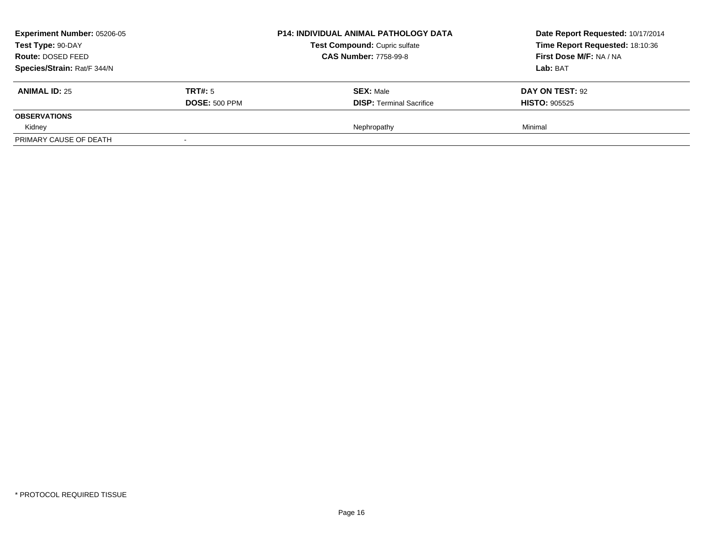| <b>Experiment Number: 05206-05</b><br>Test Type: 90-DAY<br>Route: DOSED FEED<br>Species/Strain: Rat/F 344/N |                                 | <b>P14: INDIVIDUAL ANIMAL PATHOLOGY DATA</b><br>Test Compound: Cupric sulfate<br><b>CAS Number: 7758-99-8</b> | Date Report Requested: 10/17/2014<br>Time Report Requested: 18:10:36<br>First Dose M/F: NA / NA<br><b>Lab: BAT</b> |
|-------------------------------------------------------------------------------------------------------------|---------------------------------|---------------------------------------------------------------------------------------------------------------|--------------------------------------------------------------------------------------------------------------------|
| <b>ANIMAL ID: 25</b>                                                                                        | TRT#: 5<br><b>DOSE: 500 PPM</b> | <b>SEX: Male</b><br><b>DISP: Terminal Sacrifice</b>                                                           | DAY ON TEST: 92<br><b>HISTO: 905525</b>                                                                            |
| <b>OBSERVATIONS</b>                                                                                         |                                 |                                                                                                               |                                                                                                                    |
| Kidney                                                                                                      |                                 | Nephropathy                                                                                                   | Minimal                                                                                                            |
| PRIMARY CAUSE OF DEATH                                                                                      | $\overline{\phantom{a}}$        |                                                                                                               |                                                                                                                    |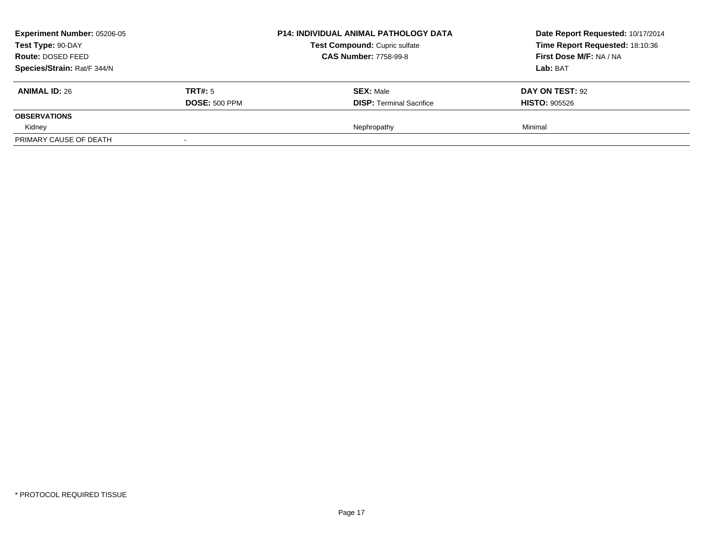| <b>Experiment Number: 05206-05</b><br>Test Type: 90-DAY<br>Route: DOSED FEED<br>Species/Strain: Rat/F 344/N |                                 | <b>P14: INDIVIDUAL ANIMAL PATHOLOGY DATA</b><br>Test Compound: Cupric sulfate<br><b>CAS Number: 7758-99-8</b> | Date Report Requested: 10/17/2014<br>Time Report Requested: 18:10:36<br>First Dose M/F: NA / NA<br><b>Lab: BAT</b> |
|-------------------------------------------------------------------------------------------------------------|---------------------------------|---------------------------------------------------------------------------------------------------------------|--------------------------------------------------------------------------------------------------------------------|
| <b>ANIMAL ID: 26</b>                                                                                        | TRT#: 5<br><b>DOSE: 500 PPM</b> | <b>SEX: Male</b><br><b>DISP: Terminal Sacrifice</b>                                                           | DAY ON TEST: 92<br><b>HISTO: 905526</b>                                                                            |
| <b>OBSERVATIONS</b>                                                                                         |                                 |                                                                                                               |                                                                                                                    |
| Kidney                                                                                                      |                                 | Nephropathy                                                                                                   | Minimal                                                                                                            |
| PRIMARY CAUSE OF DEATH                                                                                      | $\overline{\phantom{a}}$        |                                                                                                               |                                                                                                                    |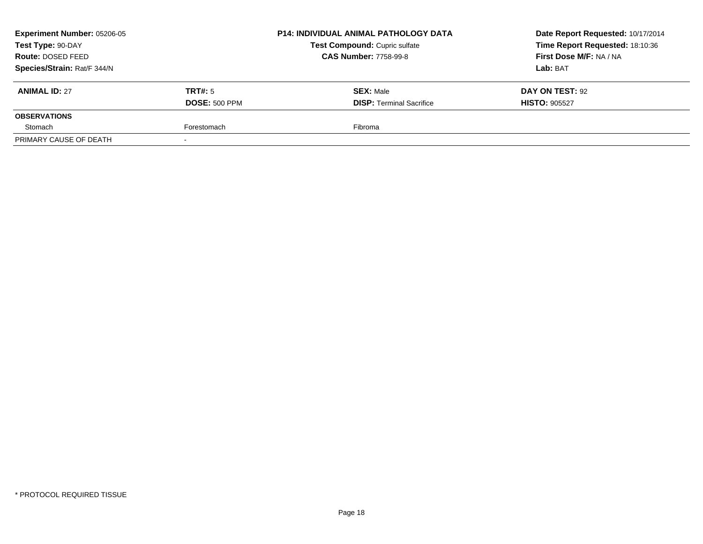| <b>Experiment Number: 05206-05</b><br>Test Type: 90-DAY |                      | <b>P14: INDIVIDUAL ANIMAL PATHOLOGY DATA</b> | Date Report Requested: 10/17/2014 |
|---------------------------------------------------------|----------------------|----------------------------------------------|-----------------------------------|
|                                                         |                      | Test Compound: Cupric sulfate                | Time Report Requested: 18:10:36   |
| Route: DOSED FEED                                       |                      | <b>CAS Number: 7758-99-8</b>                 | First Dose M/F: NA / NA           |
| Species/Strain: Rat/F 344/N                             |                      |                                              | <b>Lab:</b> BAT                   |
| <b>ANIMAL ID: 27</b>                                    | TRT#: 5              | <b>SEX: Male</b>                             | DAY ON TEST: 92                   |
|                                                         | <b>DOSE: 500 PPM</b> | <b>DISP: Terminal Sacrifice</b>              | <b>HISTO: 905527</b>              |
| <b>OBSERVATIONS</b>                                     |                      |                                              |                                   |
| Stomach                                                 | Forestomach          | Fibroma                                      |                                   |
| PRIMARY CAUSE OF DEATH                                  |                      |                                              |                                   |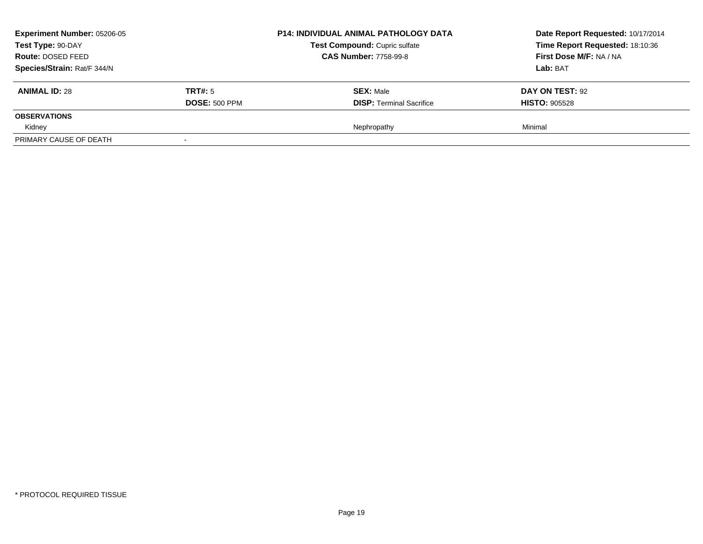| <b>Experiment Number: 05206-05</b><br>Test Type: 90-DAY<br>Route: DOSED FEED<br>Species/Strain: Rat/F 344/N |                                 | <b>P14: INDIVIDUAL ANIMAL PATHOLOGY DATA</b><br>Test Compound: Cupric sulfate<br><b>CAS Number: 7758-99-8</b> | Date Report Requested: 10/17/2014<br>Time Report Requested: 18:10:36<br>First Dose M/F: NA / NA<br><b>Lab: BAT</b> |
|-------------------------------------------------------------------------------------------------------------|---------------------------------|---------------------------------------------------------------------------------------------------------------|--------------------------------------------------------------------------------------------------------------------|
| <b>ANIMAL ID: 28</b>                                                                                        | TRT#: 5<br><b>DOSE: 500 PPM</b> | <b>SEX: Male</b><br><b>DISP: Terminal Sacrifice</b>                                                           | DAY ON TEST: 92<br><b>HISTO: 905528</b>                                                                            |
| <b>OBSERVATIONS</b>                                                                                         |                                 |                                                                                                               |                                                                                                                    |
| Kidney                                                                                                      |                                 | Nephropathy                                                                                                   | Minimal                                                                                                            |
| PRIMARY CAUSE OF DEATH                                                                                      | $\overline{\phantom{a}}$        |                                                                                                               |                                                                                                                    |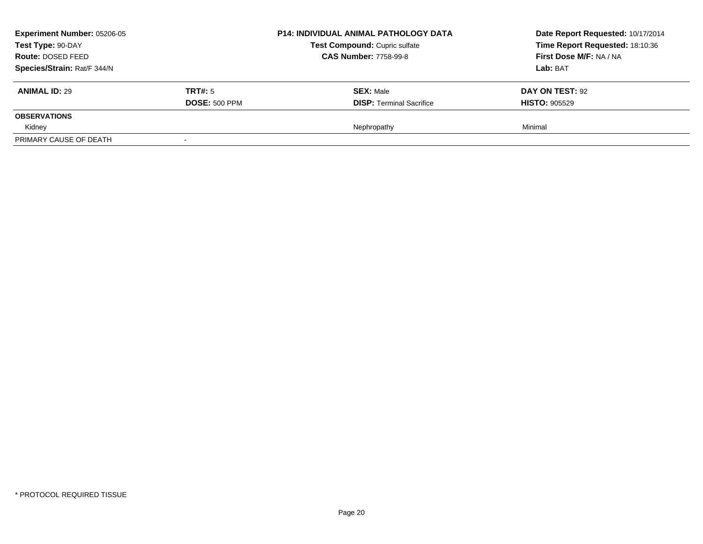| <b>Experiment Number: 05206-05</b><br>Test Type: 90-DAY<br>Route: DOSED FEED<br>Species/Strain: Rat/F 344/N |                                 | <b>P14: INDIVIDUAL ANIMAL PATHOLOGY DATA</b><br>Test Compound: Cupric sulfate<br><b>CAS Number: 7758-99-8</b> | Date Report Requested: 10/17/2014<br>Time Report Requested: 18:10:36<br>First Dose M/F: NA / NA<br><b>Lab: BAT</b> |
|-------------------------------------------------------------------------------------------------------------|---------------------------------|---------------------------------------------------------------------------------------------------------------|--------------------------------------------------------------------------------------------------------------------|
| <b>ANIMAL ID: 29</b>                                                                                        | TRT#: 5<br><b>DOSE: 500 PPM</b> | <b>SEX: Male</b><br><b>DISP: Terminal Sacrifice</b>                                                           | DAY ON TEST: 92<br><b>HISTO: 905529</b>                                                                            |
| <b>OBSERVATIONS</b>                                                                                         |                                 |                                                                                                               |                                                                                                                    |
| Kidney                                                                                                      |                                 | Nephropathy                                                                                                   | Minimal                                                                                                            |
| PRIMARY CAUSE OF DEATH                                                                                      | $\overline{\phantom{a}}$        |                                                                                                               |                                                                                                                    |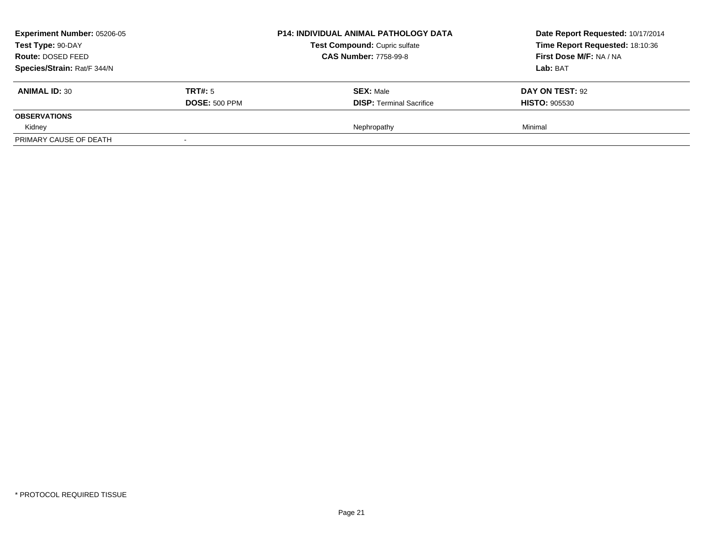| <b>Experiment Number: 05206-05</b><br>Test Type: 90-DAY |                      | <b>P14: INDIVIDUAL ANIMAL PATHOLOGY DATA</b> | Date Report Requested: 10/17/2014 |
|---------------------------------------------------------|----------------------|----------------------------------------------|-----------------------------------|
|                                                         |                      | Test Compound: Cupric sulfate                | Time Report Requested: 18:10:36   |
| Route: DOSED FEED                                       |                      | <b>CAS Number: 7758-99-8</b>                 | First Dose M/F: NA / NA           |
| Species/Strain: Rat/F 344/N                             |                      |                                              | <b>Lab:</b> BAT                   |
| <b>ANIMAL ID: 30</b>                                    | TRT#: 5              | <b>SEX: Male</b>                             | DAY ON TEST: 92                   |
|                                                         | <b>DOSE: 500 PPM</b> | <b>DISP:</b> Terminal Sacrifice              | <b>HISTO: 905530</b>              |
| <b>OBSERVATIONS</b>                                     |                      |                                              |                                   |
| Kidney                                                  |                      | Nephropathy                                  | Minimal                           |
| PRIMARY CAUSE OF DEATH                                  |                      |                                              |                                   |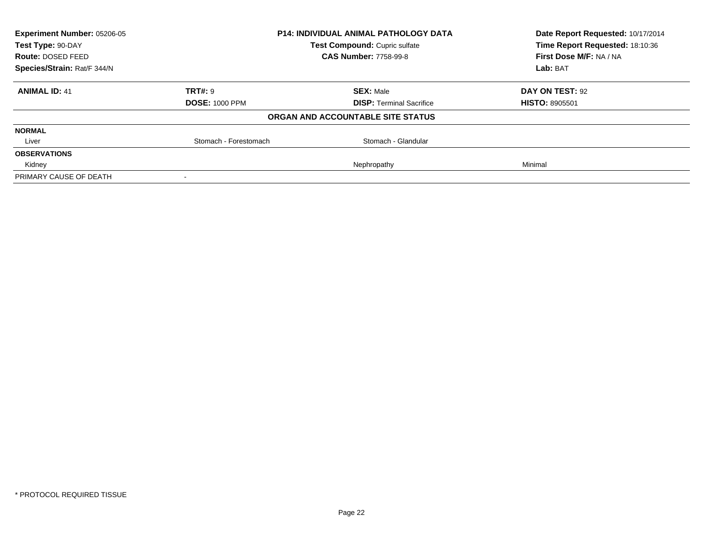| <b>Experiment Number: 05206-05</b> |                               | <b>P14: INDIVIDUAL ANIMAL PATHOLOGY DATA</b> | Date Report Requested: 10/17/2014 |
|------------------------------------|-------------------------------|----------------------------------------------|-----------------------------------|
| Test Type: 90-DAY                  | Test Compound: Cupric sulfate |                                              | Time Report Requested: 18:10:36   |
| <b>Route: DOSED FEED</b>           |                               | <b>CAS Number: 7758-99-8</b>                 | First Dose M/F: NA / NA           |
| Species/Strain: Rat/F 344/N        |                               |                                              | Lab: BAT                          |
| <b>ANIMAL ID: 41</b>               | TRT#: 9                       | <b>SEX: Male</b>                             | DAY ON TEST: 92                   |
|                                    | <b>DOSE: 1000 PPM</b>         | <b>DISP:</b> Terminal Sacrifice              | <b>HISTO: 8905501</b>             |
|                                    |                               | ORGAN AND ACCOUNTABLE SITE STATUS            |                                   |
| <b>NORMAL</b>                      |                               |                                              |                                   |
| Liver                              | Stomach - Forestomach         | Stomach - Glandular                          |                                   |
| <b>OBSERVATIONS</b>                |                               |                                              |                                   |
| Kidney                             |                               | Nephropathy                                  | Minimal                           |
| PRIMARY CAUSE OF DEATH             |                               |                                              |                                   |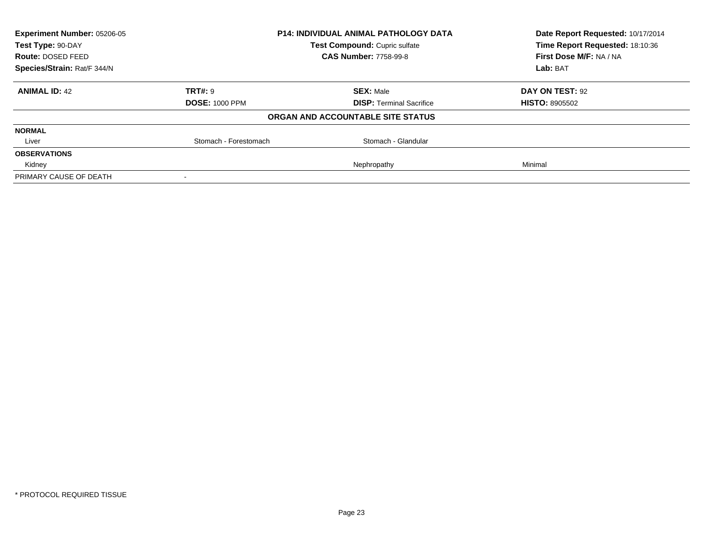| <b>Experiment Number: 05206-05</b>                 |                       | <b>P14: INDIVIDUAL ANIMAL PATHOLOGY DATA</b> | Date Report Requested: 10/17/2014 |
|----------------------------------------------------|-----------------------|----------------------------------------------|-----------------------------------|
| Test Compound: Cupric sulfate<br>Test Type: 90-DAY |                       | Time Report Requested: 18:10:36              |                                   |
| <b>Route: DOSED FEED</b>                           |                       | <b>CAS Number: 7758-99-8</b>                 | First Dose M/F: NA / NA           |
| Species/Strain: Rat/F 344/N                        |                       |                                              | Lab: BAT                          |
| <b>ANIMAL ID: 42</b>                               | TRT#: 9               | <b>SEX: Male</b>                             | DAY ON TEST: 92                   |
|                                                    | <b>DOSE: 1000 PPM</b> | <b>DISP:</b> Terminal Sacrifice              | <b>HISTO: 8905502</b>             |
|                                                    |                       | ORGAN AND ACCOUNTABLE SITE STATUS            |                                   |
| <b>NORMAL</b>                                      |                       |                                              |                                   |
| Liver                                              | Stomach - Forestomach | Stomach - Glandular                          |                                   |
| <b>OBSERVATIONS</b>                                |                       |                                              |                                   |
| Kidney                                             |                       | Nephropathy                                  | Minimal                           |
| PRIMARY CAUSE OF DEATH                             |                       |                                              |                                   |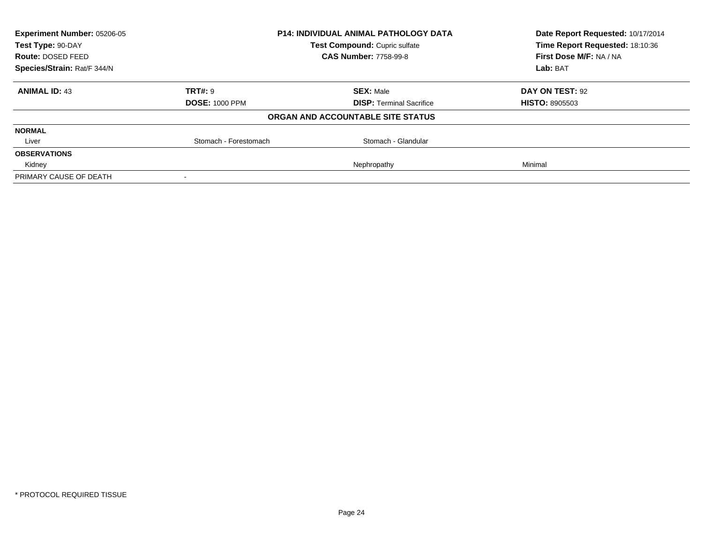| <b>Experiment Number: 05206-05</b> |                       | <b>P14: INDIVIDUAL ANIMAL PATHOLOGY DATA</b> | Date Report Requested: 10/17/2014 |
|------------------------------------|-----------------------|----------------------------------------------|-----------------------------------|
| Test Type: 90-DAY                  |                       | Test Compound: Cupric sulfate                | Time Report Requested: 18:10:36   |
| <b>Route: DOSED FEED</b>           |                       | <b>CAS Number: 7758-99-8</b>                 | First Dose M/F: NA / NA           |
| Species/Strain: Rat/F 344/N        |                       |                                              | Lab: BAT                          |
| <b>ANIMAL ID: 43</b>               | TRT#: 9               | <b>SEX: Male</b>                             | DAY ON TEST: 92                   |
|                                    | <b>DOSE: 1000 PPM</b> | <b>DISP:</b> Terminal Sacrifice              | <b>HISTO: 8905503</b>             |
|                                    |                       | ORGAN AND ACCOUNTABLE SITE STATUS            |                                   |
| <b>NORMAL</b>                      |                       |                                              |                                   |
| Liver                              | Stomach - Forestomach | Stomach - Glandular                          |                                   |
| <b>OBSERVATIONS</b>                |                       |                                              |                                   |
| Kidney                             |                       | Nephropathy                                  | Minimal                           |
| PRIMARY CAUSE OF DEATH             |                       |                                              |                                   |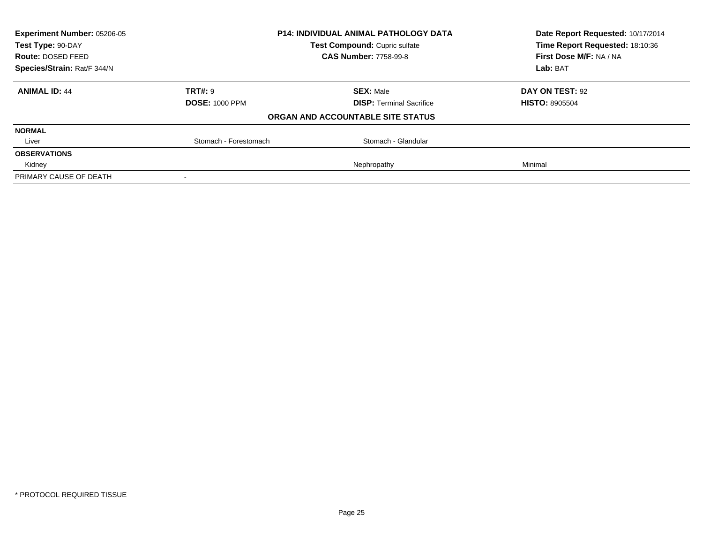| <b>Experiment Number: 05206-05</b> |                       | <b>P14: INDIVIDUAL ANIMAL PATHOLOGY DATA</b> | Date Report Requested: 10/17/2014 |
|------------------------------------|-----------------------|----------------------------------------------|-----------------------------------|
| Test Type: 90-DAY                  |                       | Test Compound: Cupric sulfate                | Time Report Requested: 18:10:36   |
| <b>Route: DOSED FEED</b>           |                       | <b>CAS Number: 7758-99-8</b>                 | First Dose M/F: NA / NA           |
| Species/Strain: Rat/F 344/N        |                       |                                              | Lab: BAT                          |
| <b>ANIMAL ID: 44</b>               | TRT#: 9               | <b>SEX: Male</b>                             | DAY ON TEST: 92                   |
|                                    | <b>DOSE: 1000 PPM</b> | <b>DISP:</b> Terminal Sacrifice              | <b>HISTO: 8905504</b>             |
|                                    |                       | ORGAN AND ACCOUNTABLE SITE STATUS            |                                   |
| <b>NORMAL</b>                      |                       |                                              |                                   |
| Liver                              | Stomach - Forestomach | Stomach - Glandular                          |                                   |
| <b>OBSERVATIONS</b>                |                       |                                              |                                   |
| Kidney                             |                       | Nephropathy                                  | Minimal                           |
| PRIMARY CAUSE OF DEATH             |                       |                                              |                                   |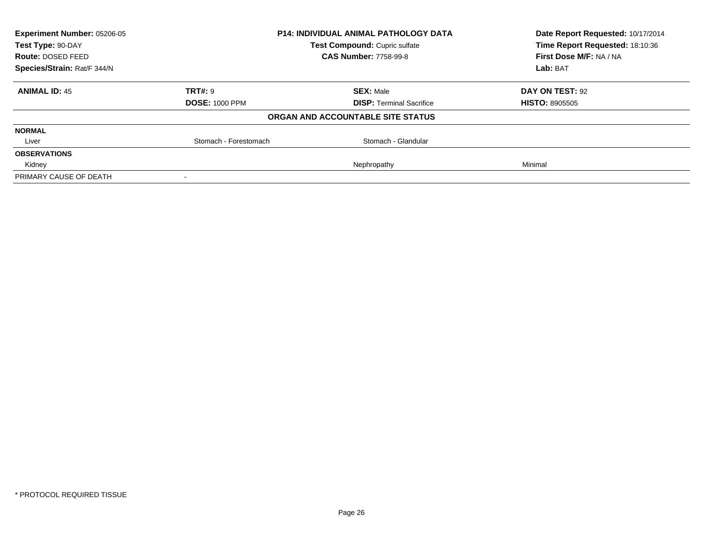| <b>Experiment Number: 05206-05</b> |                       | <b>P14: INDIVIDUAL ANIMAL PATHOLOGY DATA</b> | Date Report Requested: 10/17/2014 |
|------------------------------------|-----------------------|----------------------------------------------|-----------------------------------|
| Test Type: 90-DAY                  |                       | Test Compound: Cupric sulfate                | Time Report Requested: 18:10:36   |
| <b>Route: DOSED FEED</b>           |                       | <b>CAS Number: 7758-99-8</b>                 | First Dose M/F: NA / NA           |
| Species/Strain: Rat/F 344/N        |                       |                                              | Lab: BAT                          |
| <b>ANIMAL ID: 45</b>               | TRT#: 9               | <b>SEX: Male</b>                             | DAY ON TEST: 92                   |
|                                    | <b>DOSE: 1000 PPM</b> | <b>DISP:</b> Terminal Sacrifice              | <b>HISTO: 8905505</b>             |
|                                    |                       | ORGAN AND ACCOUNTABLE SITE STATUS            |                                   |
| <b>NORMAL</b>                      |                       |                                              |                                   |
| Liver                              | Stomach - Forestomach | Stomach - Glandular                          |                                   |
| <b>OBSERVATIONS</b>                |                       |                                              |                                   |
| Kidney                             |                       | Nephropathy                                  | Minimal                           |
| PRIMARY CAUSE OF DEATH             |                       |                                              |                                   |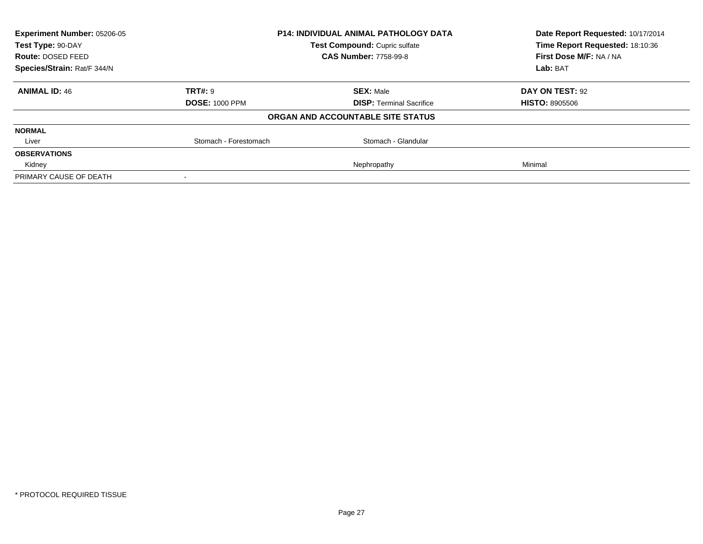| <b>Experiment Number: 05206-05</b> |                       | <b>P14: INDIVIDUAL ANIMAL PATHOLOGY DATA</b> | Date Report Requested: 10/17/2014<br>Time Report Requested: 18:10:36 |
|------------------------------------|-----------------------|----------------------------------------------|----------------------------------------------------------------------|
| Test Type: 90-DAY                  |                       | Test Compound: Cupric sulfate                |                                                                      |
| <b>Route: DOSED FEED</b>           |                       | <b>CAS Number: 7758-99-8</b>                 | First Dose M/F: NA / NA                                              |
| Species/Strain: Rat/F 344/N        |                       |                                              | Lab: BAT                                                             |
| <b>ANIMAL ID: 46</b>               | TRT#: 9               | <b>SEX: Male</b>                             | DAY ON TEST: 92                                                      |
|                                    | <b>DOSE: 1000 PPM</b> | <b>DISP:</b> Terminal Sacrifice              | <b>HISTO: 8905506</b>                                                |
|                                    |                       | ORGAN AND ACCOUNTABLE SITE STATUS            |                                                                      |
| <b>NORMAL</b>                      |                       |                                              |                                                                      |
| Liver                              | Stomach - Forestomach | Stomach - Glandular                          |                                                                      |
| <b>OBSERVATIONS</b>                |                       |                                              |                                                                      |
| Kidney                             |                       | Nephropathy                                  | Minimal                                                              |
| PRIMARY CAUSE OF DEATH             |                       |                                              |                                                                      |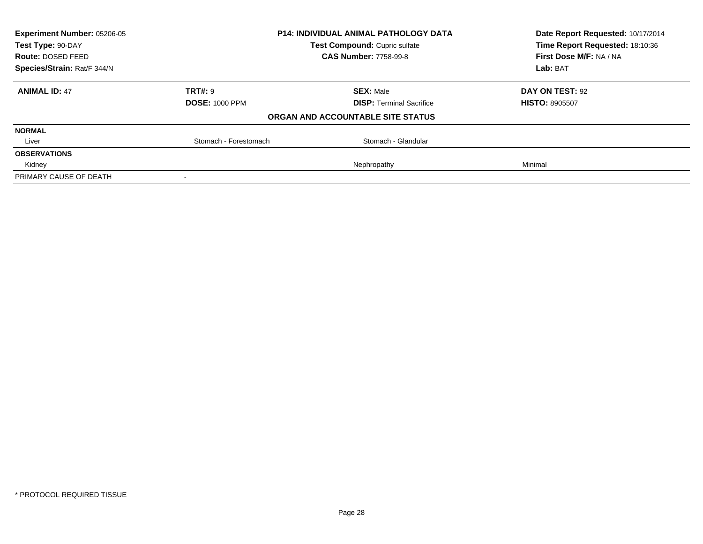| <b>Experiment Number: 05206-05</b> |                       | <b>P14: INDIVIDUAL ANIMAL PATHOLOGY DATA</b> | Date Report Requested: 10/17/2014<br>Time Report Requested: 18:10:36 |
|------------------------------------|-----------------------|----------------------------------------------|----------------------------------------------------------------------|
| Test Type: 90-DAY                  |                       | Test Compound: Cupric sulfate                |                                                                      |
| <b>Route: DOSED FEED</b>           |                       | <b>CAS Number: 7758-99-8</b>                 | First Dose M/F: NA / NA                                              |
| Species/Strain: Rat/F 344/N        |                       |                                              | Lab: BAT                                                             |
| <b>ANIMAL ID: 47</b>               | TRT#: 9               | <b>SEX: Male</b>                             | DAY ON TEST: 92                                                      |
|                                    | <b>DOSE: 1000 PPM</b> | <b>DISP:</b> Terminal Sacrifice              | <b>HISTO: 8905507</b>                                                |
|                                    |                       | ORGAN AND ACCOUNTABLE SITE STATUS            |                                                                      |
| <b>NORMAL</b>                      |                       |                                              |                                                                      |
| Liver                              | Stomach - Forestomach | Stomach - Glandular                          |                                                                      |
| <b>OBSERVATIONS</b>                |                       |                                              |                                                                      |
| Kidney                             |                       | Nephropathy                                  | Minimal                                                              |
| PRIMARY CAUSE OF DEATH             |                       |                                              |                                                                      |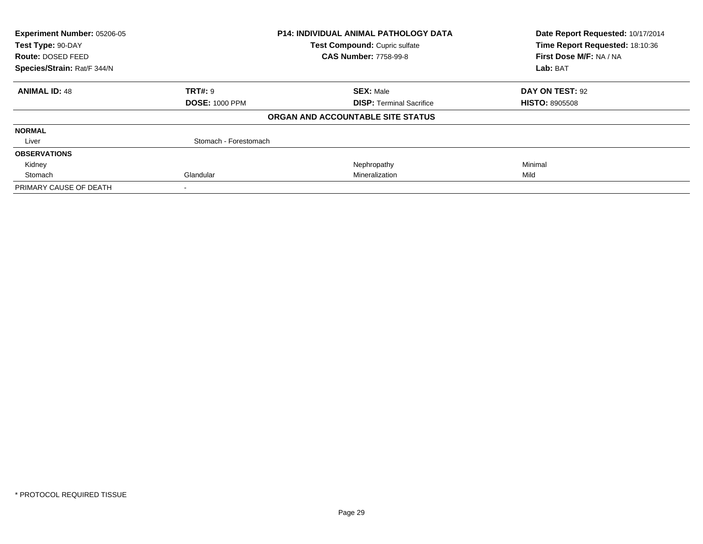| Experiment Number: 05206-05<br>Test Type: 90-DAY |                       | <b>P14: INDIVIDUAL ANIMAL PATHOLOGY DATA</b> | Date Report Requested: 10/17/2014 |
|--------------------------------------------------|-----------------------|----------------------------------------------|-----------------------------------|
|                                                  |                       | Test Compound: Cupric sulfate                | Time Report Requested: 18:10:36   |
| Route: DOSED FEED                                |                       | <b>CAS Number: 7758-99-8</b>                 | First Dose M/F: NA / NA           |
| Species/Strain: Rat/F 344/N                      |                       |                                              | Lab: BAT                          |
| <b>ANIMAL ID: 48</b>                             | <b>TRT#: 9</b>        | <b>SEX: Male</b>                             | DAY ON TEST: 92                   |
|                                                  | <b>DOSE: 1000 PPM</b> | <b>DISP:</b> Terminal Sacrifice              | <b>HISTO: 8905508</b>             |
|                                                  |                       | ORGAN AND ACCOUNTABLE SITE STATUS            |                                   |
| <b>NORMAL</b>                                    |                       |                                              |                                   |
| Liver                                            | Stomach - Forestomach |                                              |                                   |
| <b>OBSERVATIONS</b>                              |                       |                                              |                                   |
| Kidney                                           |                       | Nephropathy                                  | Minimal                           |
| Stomach                                          | Glandular             | Mineralization                               | Mild                              |
| PRIMARY CAUSE OF DEATH                           |                       |                                              |                                   |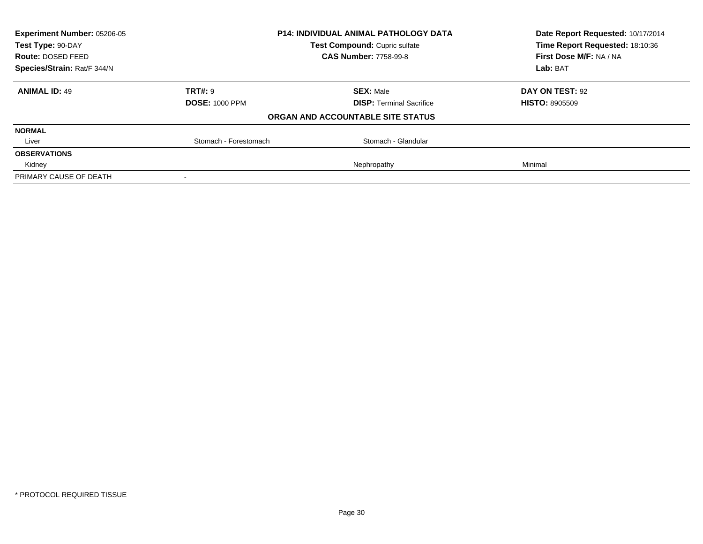| <b>Experiment Number: 05206-05</b> |                       | <b>P14: INDIVIDUAL ANIMAL PATHOLOGY DATA</b> | Date Report Requested: 10/17/2014<br>Time Report Requested: 18:10:36 |
|------------------------------------|-----------------------|----------------------------------------------|----------------------------------------------------------------------|
| Test Type: 90-DAY                  |                       | Test Compound: Cupric sulfate                |                                                                      |
| <b>Route: DOSED FEED</b>           |                       | <b>CAS Number: 7758-99-8</b>                 | First Dose M/F: NA / NA                                              |
| Species/Strain: Rat/F 344/N        |                       |                                              | Lab: BAT                                                             |
| <b>ANIMAL ID: 49</b>               | TRT#: 9               | <b>SEX: Male</b>                             | DAY ON TEST: 92                                                      |
|                                    | <b>DOSE: 1000 PPM</b> | <b>DISP:</b> Terminal Sacrifice              | <b>HISTO: 8905509</b>                                                |
|                                    |                       | ORGAN AND ACCOUNTABLE SITE STATUS            |                                                                      |
| <b>NORMAL</b>                      |                       |                                              |                                                                      |
| Liver                              | Stomach - Forestomach | Stomach - Glandular                          |                                                                      |
| <b>OBSERVATIONS</b>                |                       |                                              |                                                                      |
| Kidney                             |                       | Nephropathy                                  | Minimal                                                              |
| PRIMARY CAUSE OF DEATH             |                       |                                              |                                                                      |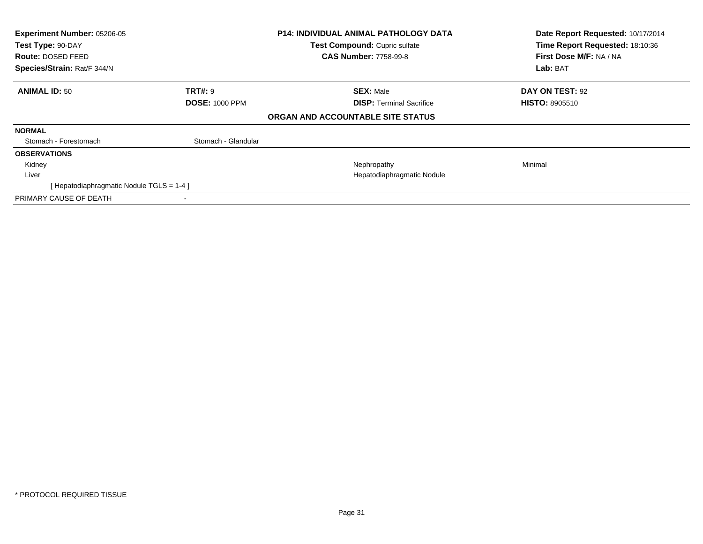| Experiment Number: 05206-05<br>Test Type: 90-DAY<br>Route: DOSED FEED<br>Species/Strain: Rat/F 344/N |                       | <b>P14: INDIVIDUAL ANIMAL PATHOLOGY DATA</b><br>Test Compound: Cupric sulfate<br><b>CAS Number: 7758-99-8</b> | Date Report Requested: 10/17/2014<br>Time Report Requested: 18:10:36<br>First Dose M/F: NA / NA<br>Lab: BAT |
|------------------------------------------------------------------------------------------------------|-----------------------|---------------------------------------------------------------------------------------------------------------|-------------------------------------------------------------------------------------------------------------|
|                                                                                                      |                       |                                                                                                               |                                                                                                             |
| <b>ANIMAL ID: 50</b>                                                                                 | <b>TRT#: 9</b>        | <b>SEX: Male</b>                                                                                              | DAY ON TEST: 92                                                                                             |
|                                                                                                      | <b>DOSE: 1000 PPM</b> | <b>DISP:</b> Terminal Sacrifice                                                                               | <b>HISTO: 8905510</b>                                                                                       |
|                                                                                                      |                       | ORGAN AND ACCOUNTABLE SITE STATUS                                                                             |                                                                                                             |
| <b>NORMAL</b>                                                                                        |                       |                                                                                                               |                                                                                                             |
| Stomach - Forestomach                                                                                | Stomach - Glandular   |                                                                                                               |                                                                                                             |
| <b>OBSERVATIONS</b>                                                                                  |                       |                                                                                                               |                                                                                                             |
| Kidney                                                                                               |                       | Nephropathy                                                                                                   | Minimal                                                                                                     |
| Liver                                                                                                |                       | Hepatodiaphragmatic Nodule                                                                                    |                                                                                                             |
| [Hepatodiaphragmatic Nodule TGLS = 1-4]                                                              |                       |                                                                                                               |                                                                                                             |
| PRIMARY CAUSE OF DEATH                                                                               |                       |                                                                                                               |                                                                                                             |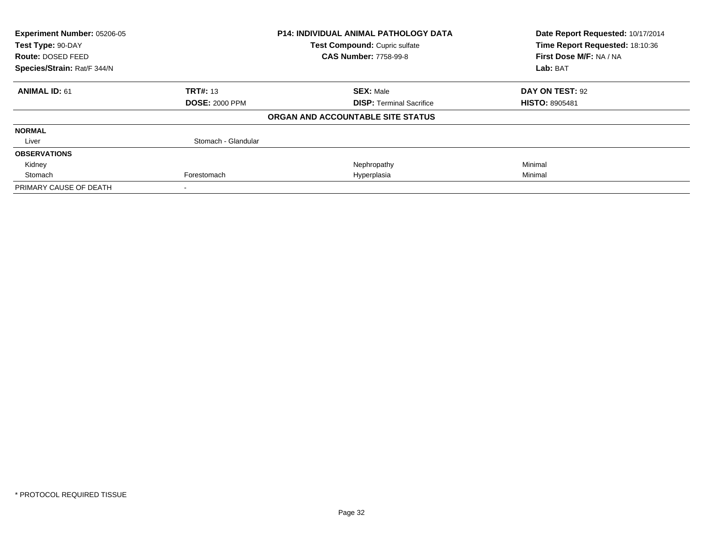| Experiment Number: 05206-05 |                       | <b>P14: INDIVIDUAL ANIMAL PATHOLOGY DATA</b> | Date Report Requested: 10/17/2014 |
|-----------------------------|-----------------------|----------------------------------------------|-----------------------------------|
| Test Type: 90-DAY           |                       | Test Compound: Cupric sulfate                | Time Report Requested: 18:10:36   |
| Route: DOSED FEED           |                       | <b>CAS Number: 7758-99-8</b>                 | First Dose M/F: NA / NA           |
| Species/Strain: Rat/F 344/N |                       |                                              | Lab: BAT                          |
| <b>ANIMAL ID: 61</b>        | <b>TRT#: 13</b>       | <b>SEX: Male</b>                             | DAY ON TEST: 92                   |
|                             | <b>DOSE: 2000 PPM</b> | <b>DISP:</b> Terminal Sacrifice              | <b>HISTO: 8905481</b>             |
|                             |                       | ORGAN AND ACCOUNTABLE SITE STATUS            |                                   |
| <b>NORMAL</b>               |                       |                                              |                                   |
| Liver                       | Stomach - Glandular   |                                              |                                   |
| <b>OBSERVATIONS</b>         |                       |                                              |                                   |
| Kidney                      |                       | Nephropathy                                  | Minimal                           |
| Stomach                     | Forestomach           | Hyperplasia                                  | Minimal                           |
| PRIMARY CAUSE OF DEATH      |                       |                                              |                                   |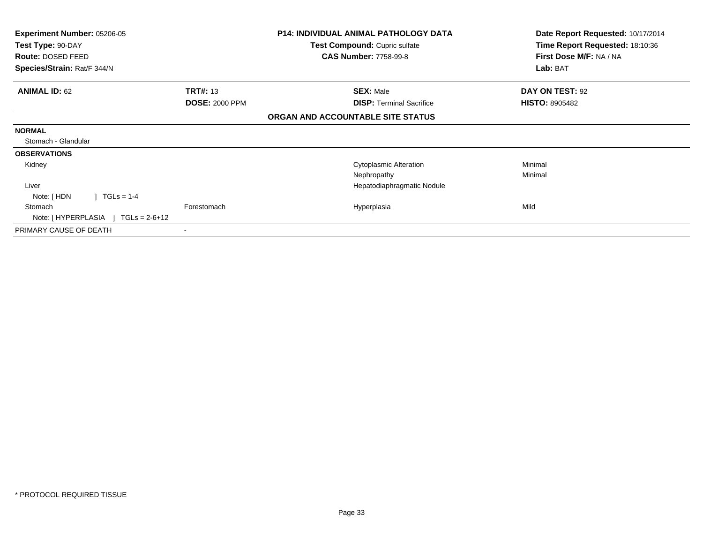| Experiment Number: 05206-05<br>Test Type: 90-DAY<br>Route: DOSED FEED<br>Species/Strain: Rat/F 344/N |                       | P14: INDIVIDUAL ANIMAL PATHOLOGY DATA<br>Test Compound: Cupric sulfate<br><b>CAS Number: 7758-99-8</b> | Date Report Requested: 10/17/2014<br>Time Report Requested: 18:10:36<br>First Dose M/F: NA / NA<br>Lab: BAT |
|------------------------------------------------------------------------------------------------------|-----------------------|--------------------------------------------------------------------------------------------------------|-------------------------------------------------------------------------------------------------------------|
|                                                                                                      |                       |                                                                                                        |                                                                                                             |
| <b>ANIMAL ID: 62</b>                                                                                 | <b>TRT#: 13</b>       | <b>SEX: Male</b>                                                                                       | DAY ON TEST: 92                                                                                             |
|                                                                                                      | <b>DOSE: 2000 PPM</b> | <b>DISP:</b> Terminal Sacrifice                                                                        | <b>HISTO: 8905482</b>                                                                                       |
|                                                                                                      |                       | ORGAN AND ACCOUNTABLE SITE STATUS                                                                      |                                                                                                             |
| <b>NORMAL</b>                                                                                        |                       |                                                                                                        |                                                                                                             |
| Stomach - Glandular                                                                                  |                       |                                                                                                        |                                                                                                             |
| <b>OBSERVATIONS</b>                                                                                  |                       |                                                                                                        |                                                                                                             |
| Kidney                                                                                               |                       | <b>Cytoplasmic Alteration</b>                                                                          | Minimal                                                                                                     |
|                                                                                                      |                       | Nephropathy                                                                                            | Minimal                                                                                                     |
| Liver                                                                                                |                       | Hepatodiaphragmatic Nodule                                                                             |                                                                                                             |
| $1 TGLs = 1-4$<br>Note: [HDN                                                                         |                       |                                                                                                        |                                                                                                             |
| Stomach                                                                                              | Forestomach           | Hyperplasia                                                                                            | Mild                                                                                                        |
| Note: $[HYPERPLASIA] TGLs = 2-6+12$                                                                  |                       |                                                                                                        |                                                                                                             |
| PRIMARY CAUSE OF DEATH                                                                               |                       |                                                                                                        |                                                                                                             |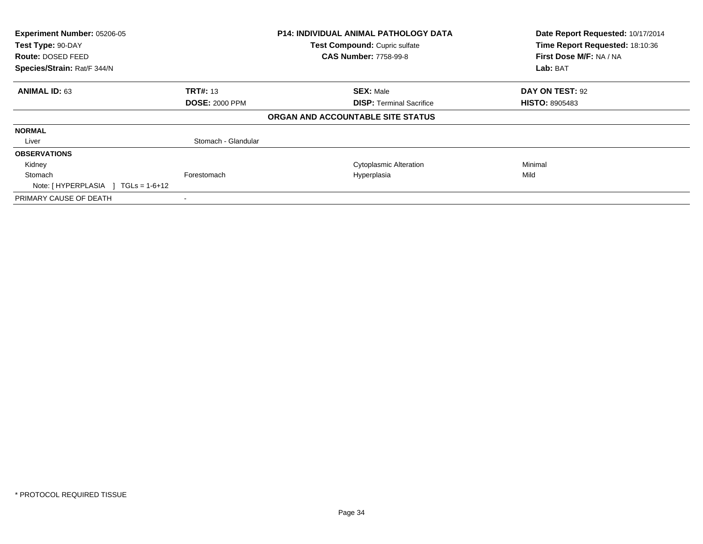| Experiment Number: 05206-05<br>Test Type: 90-DAY |                       | <b>P14: INDIVIDUAL ANIMAL PATHOLOGY DATA</b> | Date Report Requested: 10/17/2014<br>Time Report Requested: 18:10:36 |
|--------------------------------------------------|-----------------------|----------------------------------------------|----------------------------------------------------------------------|
|                                                  |                       | Test Compound: Cupric sulfate                |                                                                      |
| <b>Route: DOSED FEED</b>                         |                       | <b>CAS Number: 7758-99-8</b>                 | First Dose M/F: NA / NA                                              |
| Species/Strain: Rat/F 344/N                      |                       |                                              | Lab: BAT                                                             |
| <b>ANIMAL ID: 63</b>                             | <b>TRT#: 13</b>       | <b>SEX: Male</b>                             | DAY ON TEST: 92                                                      |
|                                                  | <b>DOSE: 2000 PPM</b> | <b>DISP:</b> Terminal Sacrifice              | <b>HISTO: 8905483</b>                                                |
|                                                  |                       | ORGAN AND ACCOUNTABLE SITE STATUS            |                                                                      |
| <b>NORMAL</b>                                    |                       |                                              |                                                                      |
| Liver                                            | Stomach - Glandular   |                                              |                                                                      |
| <b>OBSERVATIONS</b>                              |                       |                                              |                                                                      |
| Kidney                                           |                       | <b>Cytoplasmic Alteration</b>                | Minimal                                                              |
| Stomach                                          | Forestomach           | Hyperplasia                                  | Mild                                                                 |
| Note: $[HYPERPLASIA] TGLs = 1-6+12$              |                       |                                              |                                                                      |
| PRIMARY CAUSE OF DEATH                           |                       |                                              |                                                                      |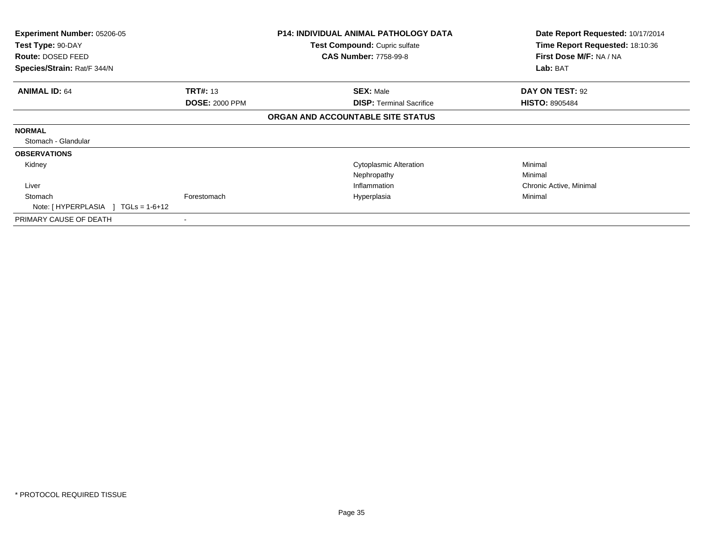| <b>Experiment Number: 05206-05</b><br>Test Type: 90-DAY<br><b>Route: DOSED FEED</b><br>Species/Strain: Rat/F 344/N |                       | <b>P14: INDIVIDUAL ANIMAL PATHOLOGY DATA</b><br>Test Compound: Cupric sulfate<br><b>CAS Number: 7758-99-8</b> | Date Report Requested: 10/17/2014<br>Time Report Requested: 18:10:36<br>First Dose M/F: NA / NA<br>Lab: BAT |
|--------------------------------------------------------------------------------------------------------------------|-----------------------|---------------------------------------------------------------------------------------------------------------|-------------------------------------------------------------------------------------------------------------|
| <b>ANIMAL ID: 64</b>                                                                                               | <b>TRT#: 13</b>       | <b>SEX: Male</b>                                                                                              | DAY ON TEST: 92                                                                                             |
|                                                                                                                    | <b>DOSE: 2000 PPM</b> | <b>DISP: Terminal Sacrifice</b>                                                                               | <b>HISTO: 8905484</b>                                                                                       |
|                                                                                                                    |                       | ORGAN AND ACCOUNTABLE SITE STATUS                                                                             |                                                                                                             |
| <b>NORMAL</b>                                                                                                      |                       |                                                                                                               |                                                                                                             |
| Stomach - Glandular                                                                                                |                       |                                                                                                               |                                                                                                             |
| <b>OBSERVATIONS</b>                                                                                                |                       |                                                                                                               |                                                                                                             |
| Kidney                                                                                                             |                       | <b>Cytoplasmic Alteration</b>                                                                                 | Minimal                                                                                                     |
|                                                                                                                    |                       | Nephropathy                                                                                                   | Minimal                                                                                                     |
| Liver                                                                                                              |                       | Inflammation                                                                                                  | Chronic Active, Minimal                                                                                     |
| Stomach                                                                                                            | Forestomach           | Hyperplasia                                                                                                   | Minimal                                                                                                     |
| Note: $[HYPERPLASIA] TGLs = 1-6+12$                                                                                |                       |                                                                                                               |                                                                                                             |
| PRIMARY CAUSE OF DEATH                                                                                             |                       |                                                                                                               |                                                                                                             |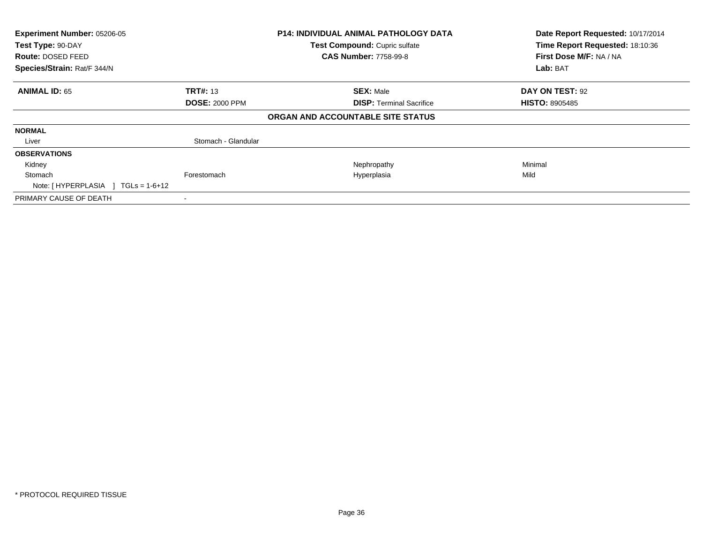| Experiment Number: 05206-05        |                       | <b>P14: INDIVIDUAL ANIMAL PATHOLOGY DATA</b> | Date Report Requested: 10/17/2014 |
|------------------------------------|-----------------------|----------------------------------------------|-----------------------------------|
| Test Type: 90-DAY                  |                       | Test Compound: Cupric sulfate                | Time Report Requested: 18:10:36   |
| <b>Route: DOSED FEED</b>           |                       | <b>CAS Number: 7758-99-8</b>                 | First Dose M/F: NA / NA           |
| Species/Strain: Rat/F 344/N        |                       |                                              | Lab: BAT                          |
| <b>ANIMAL ID: 65</b>               | <b>TRT#: 13</b>       | <b>SEX: Male</b>                             | DAY ON TEST: 92                   |
|                                    | <b>DOSE: 2000 PPM</b> | <b>DISP:</b> Terminal Sacrifice              | <b>HISTO: 8905485</b>             |
| ORGAN AND ACCOUNTABLE SITE STATUS  |                       |                                              |                                   |
| <b>NORMAL</b>                      |                       |                                              |                                   |
| Liver                              | Stomach - Glandular   |                                              |                                   |
| <b>OBSERVATIONS</b>                |                       |                                              |                                   |
| Kidney                             |                       | Nephropathy                                  | Minimal                           |
| Stomach                            | Forestomach           | Hyperplasia                                  | Mild                              |
| Note: [HYPERPLASIA ] TGLs = 1-6+12 |                       |                                              |                                   |
| PRIMARY CAUSE OF DEATH             | $\,$ $\,$             |                                              |                                   |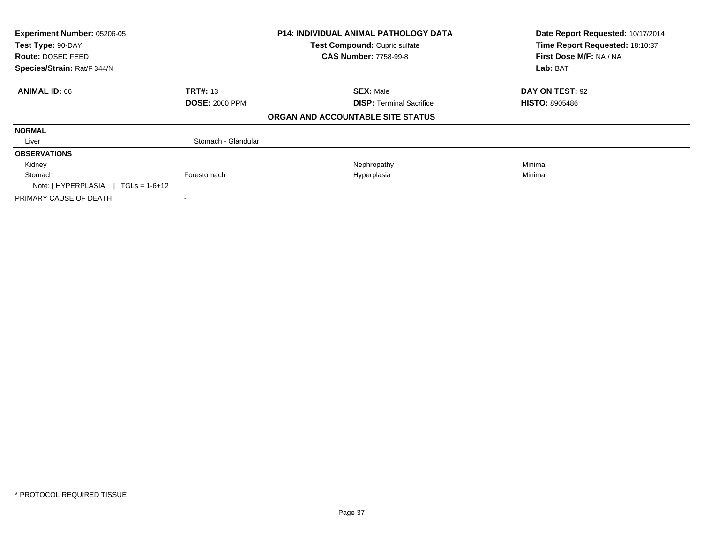| Experiment Number: 05206-05<br>Test Type: 90-DAY<br><b>Route: DOSED FEED</b><br>Species/Strain: Rat/F 344/N |                       | P14: INDIVIDUAL ANIMAL PATHOLOGY DATA<br>Test Compound: Cupric sulfate<br><b>CAS Number: 7758-99-8</b> | Date Report Requested: 10/17/2014<br>Time Report Requested: 18:10:37<br>First Dose M/F: NA / NA<br>Lab: BAT |
|-------------------------------------------------------------------------------------------------------------|-----------------------|--------------------------------------------------------------------------------------------------------|-------------------------------------------------------------------------------------------------------------|
| <b>ANIMAL ID: 66</b>                                                                                        | <b>TRT#: 13</b>       | <b>SEX: Male</b>                                                                                       | DAY ON TEST: 92                                                                                             |
|                                                                                                             | <b>DOSE: 2000 PPM</b> | <b>DISP:</b> Terminal Sacrifice                                                                        | <b>HISTO: 8905486</b>                                                                                       |
|                                                                                                             |                       | ORGAN AND ACCOUNTABLE SITE STATUS                                                                      |                                                                                                             |
| <b>NORMAL</b>                                                                                               |                       |                                                                                                        |                                                                                                             |
| Liver                                                                                                       | Stomach - Glandular   |                                                                                                        |                                                                                                             |
| <b>OBSERVATIONS</b>                                                                                         |                       |                                                                                                        |                                                                                                             |
| Kidney                                                                                                      |                       | Nephropathy                                                                                            | Minimal                                                                                                     |
| Stomach<br>Note: $[HYPERPLASIA] TGLs = 1-6+12$                                                              | Forestomach           | Hyperplasia                                                                                            | Minimal                                                                                                     |
| PRIMARY CAUSE OF DEATH                                                                                      |                       |                                                                                                        |                                                                                                             |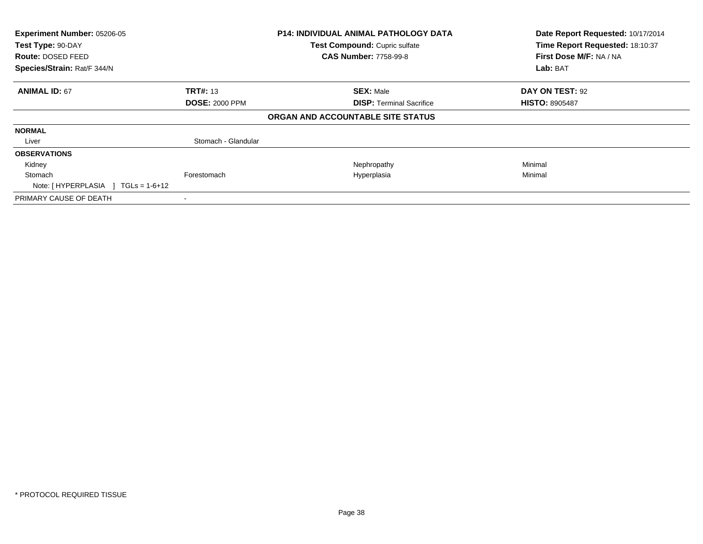| Experiment Number: 05206-05<br>Test Type: 90-DAY<br><b>Route: DOSED FEED</b> |                       | <b>P14: INDIVIDUAL ANIMAL PATHOLOGY DATA</b><br>Test Compound: Cupric sulfate<br><b>CAS Number: 7758-99-8</b> | Date Report Requested: 10/17/2014<br>Time Report Requested: 18:10:37<br>First Dose M/F: NA / NA |
|------------------------------------------------------------------------------|-----------------------|---------------------------------------------------------------------------------------------------------------|-------------------------------------------------------------------------------------------------|
| Species/Strain: Rat/F 344/N                                                  |                       |                                                                                                               | Lab: BAT                                                                                        |
| <b>ANIMAL ID: 67</b>                                                         | <b>TRT#: 13</b>       | <b>SEX: Male</b>                                                                                              | DAY ON TEST: 92                                                                                 |
|                                                                              | <b>DOSE: 2000 PPM</b> | <b>DISP:</b> Terminal Sacrifice                                                                               | <b>HISTO: 8905487</b>                                                                           |
|                                                                              |                       | ORGAN AND ACCOUNTABLE SITE STATUS                                                                             |                                                                                                 |
| <b>NORMAL</b>                                                                |                       |                                                                                                               |                                                                                                 |
| Liver                                                                        | Stomach - Glandular   |                                                                                                               |                                                                                                 |
| <b>OBSERVATIONS</b>                                                          |                       |                                                                                                               |                                                                                                 |
| Kidney                                                                       |                       | Nephropathy                                                                                                   | Minimal                                                                                         |
| Stomach<br>Note: $[HYPERPLASIA] TGLs = 1-6+12$                               | Forestomach           | Hyperplasia                                                                                                   | Minimal                                                                                         |
| PRIMARY CAUSE OF DEATH                                                       |                       |                                                                                                               |                                                                                                 |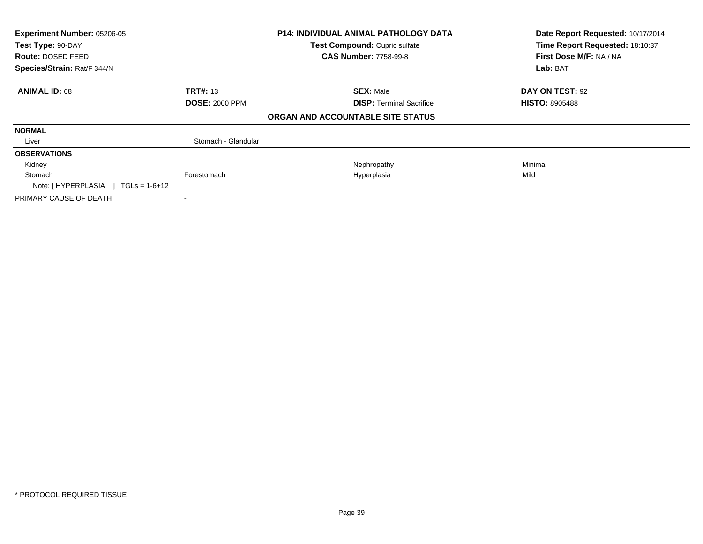| Experiment Number: 05206-05<br>Test Type: 90-DAY |                       | <b>P14: INDIVIDUAL ANIMAL PATHOLOGY DATA</b> | Date Report Requested: 10/17/2014<br>Time Report Requested: 18:10:37 |
|--------------------------------------------------|-----------------------|----------------------------------------------|----------------------------------------------------------------------|
|                                                  |                       | Test Compound: Cupric sulfate                |                                                                      |
| <b>Route: DOSED FEED</b>                         |                       | <b>CAS Number: 7758-99-8</b>                 | First Dose M/F: NA / NA                                              |
| Species/Strain: Rat/F 344/N                      |                       |                                              | Lab: BAT                                                             |
| <b>ANIMAL ID: 68</b>                             | <b>TRT#: 13</b>       | <b>SEX: Male</b>                             | DAY ON TEST: 92                                                      |
|                                                  | <b>DOSE: 2000 PPM</b> | <b>DISP:</b> Terminal Sacrifice              | <b>HISTO: 8905488</b>                                                |
|                                                  |                       | ORGAN AND ACCOUNTABLE SITE STATUS            |                                                                      |
| <b>NORMAL</b>                                    |                       |                                              |                                                                      |
| Liver                                            | Stomach - Glandular   |                                              |                                                                      |
| <b>OBSERVATIONS</b>                              |                       |                                              |                                                                      |
| Kidney                                           |                       | Nephropathy                                  | Minimal                                                              |
| Stomach                                          | Forestomach           | Hyperplasia                                  | Mild                                                                 |
| Note: [HYPERPLASIA ] TGLs = 1-6+12               |                       |                                              |                                                                      |
| PRIMARY CAUSE OF DEATH                           | $\blacksquare$        |                                              |                                                                      |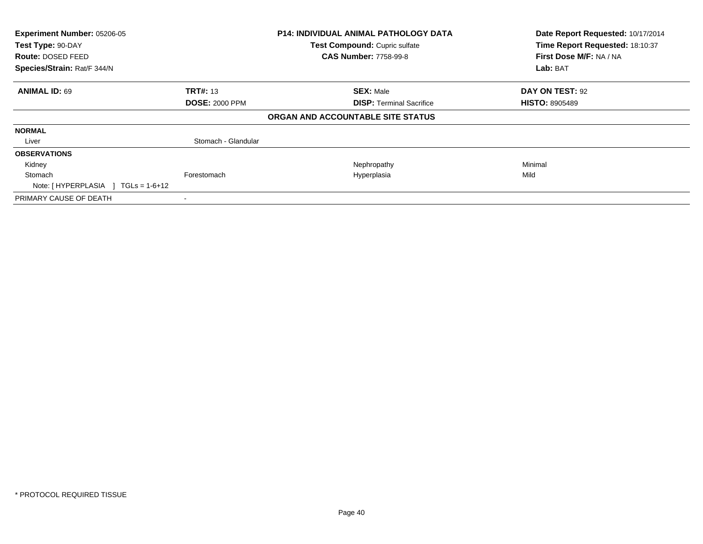| Experiment Number: 05206-05<br>Test Type: 90-DAY |                       | <b>P14: INDIVIDUAL ANIMAL PATHOLOGY DATA</b> | Date Report Requested: 10/17/2014<br>Time Report Requested: 18:10:37 |
|--------------------------------------------------|-----------------------|----------------------------------------------|----------------------------------------------------------------------|
|                                                  |                       | Test Compound: Cupric sulfate                |                                                                      |
| <b>Route: DOSED FEED</b>                         |                       | <b>CAS Number: 7758-99-8</b>                 | First Dose M/F: NA / NA                                              |
| Species/Strain: Rat/F 344/N                      |                       |                                              | Lab: BAT                                                             |
| <b>ANIMAL ID: 69</b>                             | <b>TRT#: 13</b>       | <b>SEX: Male</b>                             | DAY ON TEST: 92                                                      |
|                                                  | <b>DOSE: 2000 PPM</b> | <b>DISP:</b> Terminal Sacrifice              | <b>HISTO: 8905489</b>                                                |
|                                                  |                       | ORGAN AND ACCOUNTABLE SITE STATUS            |                                                                      |
| <b>NORMAL</b>                                    |                       |                                              |                                                                      |
| Liver                                            | Stomach - Glandular   |                                              |                                                                      |
| <b>OBSERVATIONS</b>                              |                       |                                              |                                                                      |
| Kidney                                           |                       | Nephropathy                                  | Minimal                                                              |
| Stomach                                          | Forestomach           | Hyperplasia                                  | Mild                                                                 |
| Note: $[HYPERPLASIA] TGLs = 1-6+12$              |                       |                                              |                                                                      |
| PRIMARY CAUSE OF DEATH                           |                       |                                              |                                                                      |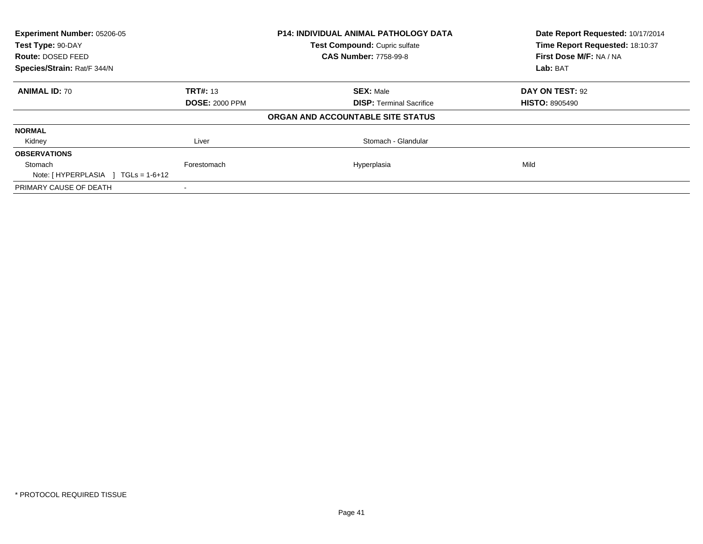| Experiment Number: 05206-05<br>Test Type: 90-DAY |                       | P14: INDIVIDUAL ANIMAL PATHOLOGY DATA | Date Report Requested: 10/17/2014<br>Time Report Requested: 18:10:37 |
|--------------------------------------------------|-----------------------|---------------------------------------|----------------------------------------------------------------------|
|                                                  |                       | Test Compound: Cupric sulfate         |                                                                      |
| Route: DOSED FEED                                |                       | <b>CAS Number: 7758-99-8</b>          | First Dose M/F: NA / NA                                              |
| Species/Strain: Rat/F 344/N                      |                       |                                       | Lab: BAT                                                             |
| <b>ANIMAL ID: 70</b>                             | <b>TRT#:</b> 13       | <b>SEX: Male</b>                      | DAY ON TEST: 92                                                      |
|                                                  | <b>DOSE: 2000 PPM</b> | <b>DISP: Terminal Sacrifice</b>       | <b>HISTO: 8905490</b>                                                |
|                                                  |                       | ORGAN AND ACCOUNTABLE SITE STATUS     |                                                                      |
| <b>NORMAL</b>                                    |                       |                                       |                                                                      |
| Kidney                                           | Liver                 | Stomach - Glandular                   |                                                                      |
| <b>OBSERVATIONS</b>                              |                       |                                       |                                                                      |
| Stomach                                          | Forestomach           | Hyperplasia                           | Mild                                                                 |
| Note: $[HYPERPLASIA] TGLs = 1-6+12$              |                       |                                       |                                                                      |
| PRIMARY CAUSE OF DEATH                           |                       |                                       |                                                                      |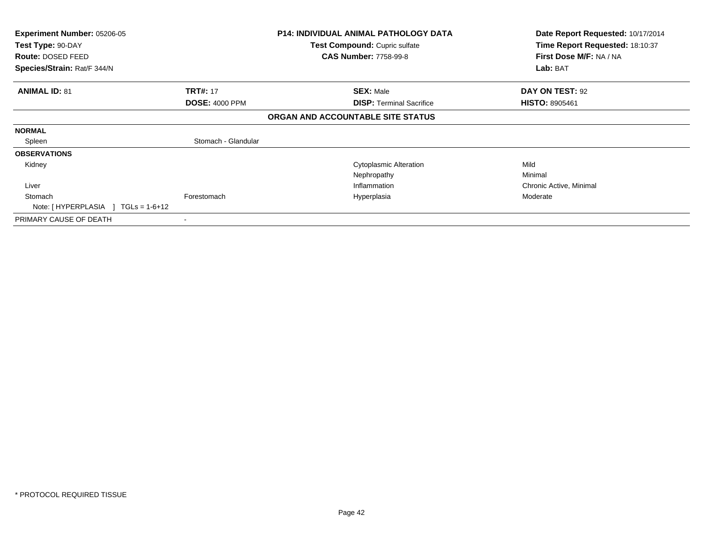| <b>Experiment Number: 05206-05</b><br>Test Type: 90-DAY<br>Route: DOSED FEED<br>Species/Strain: Rat/F 344/N |                       | <b>P14: INDIVIDUAL ANIMAL PATHOLOGY DATA</b><br><b>Test Compound: Cupric sulfate</b><br><b>CAS Number: 7758-99-8</b> | Date Report Requested: 10/17/2014<br>Time Report Requested: 18:10:37<br>First Dose M/F: NA / NA<br>Lab: BAT |
|-------------------------------------------------------------------------------------------------------------|-----------------------|----------------------------------------------------------------------------------------------------------------------|-------------------------------------------------------------------------------------------------------------|
| <b>ANIMAL ID: 81</b>                                                                                        | <b>TRT#: 17</b>       | <b>SEX: Male</b>                                                                                                     | DAY ON TEST: 92                                                                                             |
|                                                                                                             | <b>DOSE: 4000 PPM</b> | <b>DISP: Terminal Sacrifice</b>                                                                                      | <b>HISTO: 8905461</b>                                                                                       |
|                                                                                                             |                       | ORGAN AND ACCOUNTABLE SITE STATUS                                                                                    |                                                                                                             |
| <b>NORMAL</b>                                                                                               |                       |                                                                                                                      |                                                                                                             |
| Spleen                                                                                                      | Stomach - Glandular   |                                                                                                                      |                                                                                                             |
| <b>OBSERVATIONS</b>                                                                                         |                       |                                                                                                                      |                                                                                                             |
| Kidney                                                                                                      |                       | <b>Cytoplasmic Alteration</b>                                                                                        | Mild                                                                                                        |
|                                                                                                             |                       | Nephropathy                                                                                                          | Minimal                                                                                                     |
| Liver                                                                                                       |                       | Inflammation                                                                                                         | Chronic Active, Minimal                                                                                     |
| Stomach                                                                                                     | Forestomach           | Hyperplasia                                                                                                          | Moderate                                                                                                    |
| Note: $[HYPERPLASIA] TGLs = 1-6+12$                                                                         |                       |                                                                                                                      |                                                                                                             |
| PRIMARY CAUSE OF DEATH                                                                                      | $\blacksquare$        |                                                                                                                      |                                                                                                             |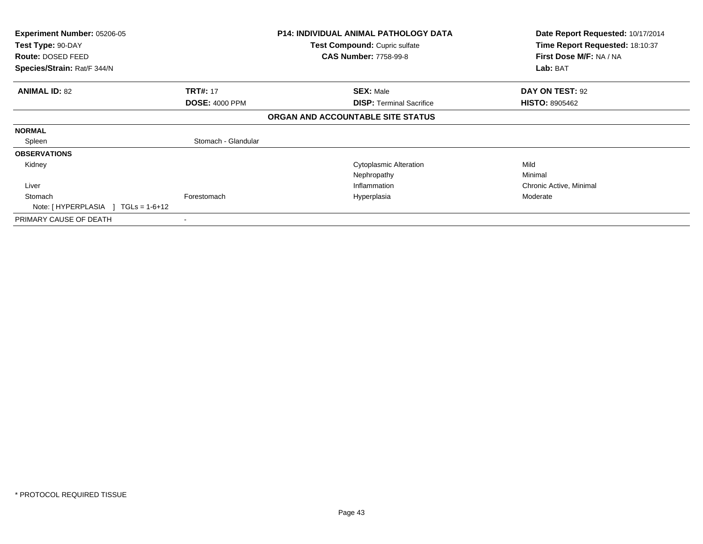| <b>Experiment Number: 05206-05</b><br>Test Type: 90-DAY |                       | <b>P14: INDIVIDUAL ANIMAL PATHOLOGY DATA</b><br><b>Test Compound: Cupric sulfate</b> | Date Report Requested: 10/17/2014<br>Time Report Requested: 18:10:37 |
|---------------------------------------------------------|-----------------------|--------------------------------------------------------------------------------------|----------------------------------------------------------------------|
| <b>Route: DOSED FEED</b>                                |                       | <b>CAS Number: 7758-99-8</b>                                                         | First Dose M/F: NA / NA                                              |
| Species/Strain: Rat/F 344/N                             |                       |                                                                                      | Lab: BAT                                                             |
| <b>ANIMAL ID: 82</b>                                    | <b>TRT#: 17</b>       | <b>SEX: Male</b>                                                                     | DAY ON TEST: 92                                                      |
|                                                         | <b>DOSE: 4000 PPM</b> | <b>DISP: Terminal Sacrifice</b>                                                      | <b>HISTO: 8905462</b>                                                |
|                                                         |                       | ORGAN AND ACCOUNTABLE SITE STATUS                                                    |                                                                      |
| <b>NORMAL</b>                                           |                       |                                                                                      |                                                                      |
| Spleen                                                  | Stomach - Glandular   |                                                                                      |                                                                      |
| <b>OBSERVATIONS</b>                                     |                       |                                                                                      |                                                                      |
| Kidney                                                  |                       | <b>Cytoplasmic Alteration</b>                                                        | Mild                                                                 |
|                                                         |                       | Nephropathy                                                                          | Minimal                                                              |
| Liver                                                   |                       | Inflammation                                                                         | Chronic Active, Minimal                                              |
| Stomach                                                 | Forestomach           | Hyperplasia                                                                          | Moderate                                                             |
| Note: $[HYPERPLASIA] TGLs = 1-6+12$                     |                       |                                                                                      |                                                                      |
| PRIMARY CAUSE OF DEATH                                  |                       |                                                                                      |                                                                      |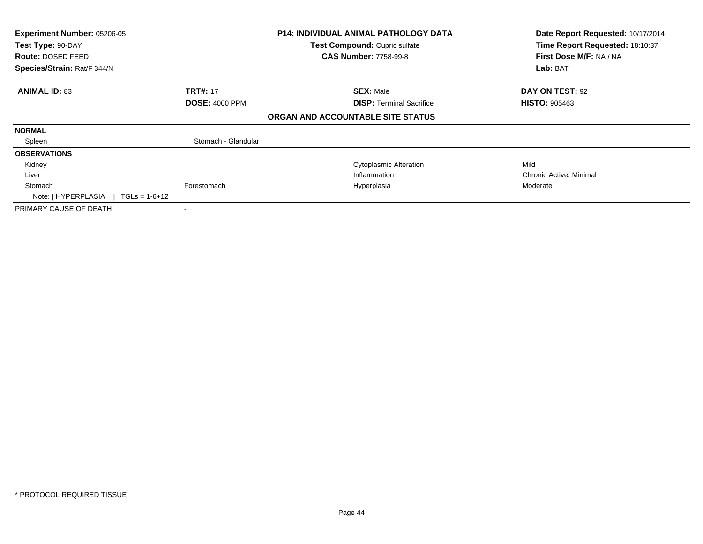| Experiment Number: 05206-05<br>Test Type: 90-DAY<br><b>Route: DOSED FEED</b><br>Species/Strain: Rat/F 344/N |                                          | <b>P14: INDIVIDUAL ANIMAL PATHOLOGY DATA</b><br>Test Compound: Cupric sulfate<br><b>CAS Number: 7758-99-8</b> | Date Report Requested: 10/17/2014<br>Time Report Requested: 18:10:37<br>First Dose M/F: NA / NA<br>Lab: BAT |
|-------------------------------------------------------------------------------------------------------------|------------------------------------------|---------------------------------------------------------------------------------------------------------------|-------------------------------------------------------------------------------------------------------------|
| <b>ANIMAL ID: 83</b>                                                                                        | <b>TRT#: 17</b><br><b>DOSE: 4000 PPM</b> | <b>SEX: Male</b><br><b>DISP:</b> Terminal Sacrifice                                                           | <b>DAY ON TEST: 92</b><br><b>HISTO: 905463</b>                                                              |
|                                                                                                             |                                          | ORGAN AND ACCOUNTABLE SITE STATUS                                                                             |                                                                                                             |
| <b>NORMAL</b>                                                                                               |                                          |                                                                                                               |                                                                                                             |
| Spleen                                                                                                      | Stomach - Glandular                      |                                                                                                               |                                                                                                             |
| <b>OBSERVATIONS</b>                                                                                         |                                          |                                                                                                               |                                                                                                             |
| Kidney                                                                                                      |                                          | <b>Cytoplasmic Alteration</b>                                                                                 | Mild                                                                                                        |
| Liver                                                                                                       |                                          | Inflammation                                                                                                  | Chronic Active, Minimal                                                                                     |
| Stomach<br>Note: $[HYPERPLASIA] TGLs = 1-6+12$                                                              | Forestomach                              | Hyperplasia                                                                                                   | Moderate                                                                                                    |
| PRIMARY CAUSE OF DEATH                                                                                      |                                          |                                                                                                               |                                                                                                             |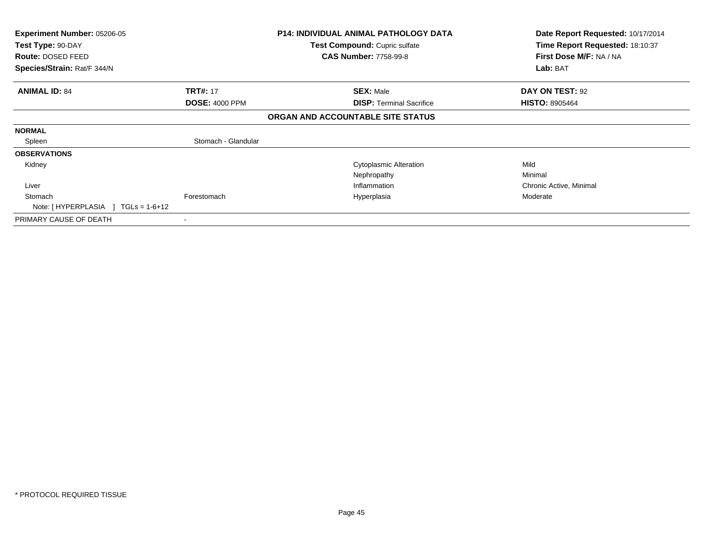| <b>Experiment Number: 05206-05</b><br>Test Type: 90-DAY<br>Route: DOSED FEED<br>Species/Strain: Rat/F 344/N |                       | <b>P14: INDIVIDUAL ANIMAL PATHOLOGY DATA</b><br><b>Test Compound: Cupric sulfate</b><br><b>CAS Number: 7758-99-8</b> | Date Report Requested: 10/17/2014<br>Time Report Requested: 18:10:37<br>First Dose M/F: NA / NA<br>Lab: BAT |
|-------------------------------------------------------------------------------------------------------------|-----------------------|----------------------------------------------------------------------------------------------------------------------|-------------------------------------------------------------------------------------------------------------|
|                                                                                                             |                       |                                                                                                                      |                                                                                                             |
| <b>ANIMAL ID: 84</b>                                                                                        | <b>TRT#: 17</b>       | <b>SEX: Male</b>                                                                                                     | DAY ON TEST: 92                                                                                             |
|                                                                                                             | <b>DOSE: 4000 PPM</b> | <b>DISP: Terminal Sacrifice</b>                                                                                      | <b>HISTO: 8905464</b>                                                                                       |
|                                                                                                             |                       | ORGAN AND ACCOUNTABLE SITE STATUS                                                                                    |                                                                                                             |
| <b>NORMAL</b>                                                                                               |                       |                                                                                                                      |                                                                                                             |
| Spleen                                                                                                      | Stomach - Glandular   |                                                                                                                      |                                                                                                             |
| <b>OBSERVATIONS</b>                                                                                         |                       |                                                                                                                      |                                                                                                             |
| Kidney                                                                                                      |                       | <b>Cytoplasmic Alteration</b>                                                                                        | Mild                                                                                                        |
|                                                                                                             |                       | Nephropathy                                                                                                          | Minimal                                                                                                     |
| Liver                                                                                                       |                       | Inflammation                                                                                                         | Chronic Active, Minimal                                                                                     |
| Stomach                                                                                                     | Forestomach           | Hyperplasia                                                                                                          | Moderate                                                                                                    |
| Note: $[HYPERPLASIA] TGLs = 1-6+12$                                                                         |                       |                                                                                                                      |                                                                                                             |
| PRIMARY CAUSE OF DEATH                                                                                      | ۰                     |                                                                                                                      |                                                                                                             |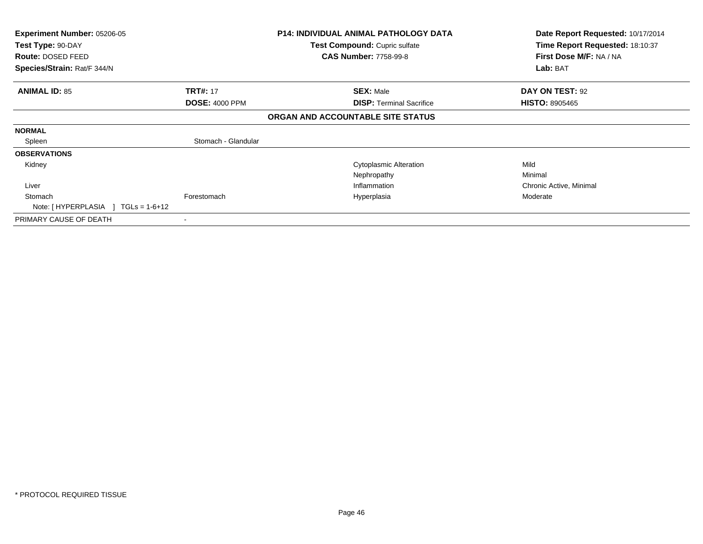| <b>Experiment Number: 05206-05</b><br>Test Type: 90-DAY |                       | <b>P14: INDIVIDUAL ANIMAL PATHOLOGY DATA</b><br><b>Test Compound: Cupric sulfate</b> | Date Report Requested: 10/17/2014<br>Time Report Requested: 18:10:37 |
|---------------------------------------------------------|-----------------------|--------------------------------------------------------------------------------------|----------------------------------------------------------------------|
| <b>Route: DOSED FEED</b>                                |                       | <b>CAS Number: 7758-99-8</b>                                                         | First Dose M/F: NA / NA                                              |
| Species/Strain: Rat/F 344/N                             |                       |                                                                                      | Lab: BAT                                                             |
| <b>ANIMAL ID: 85</b>                                    | <b>TRT#: 17</b>       | <b>SEX: Male</b>                                                                     | DAY ON TEST: 92                                                      |
|                                                         | <b>DOSE: 4000 PPM</b> | <b>DISP: Terminal Sacrifice</b>                                                      | <b>HISTO: 8905465</b>                                                |
|                                                         |                       | ORGAN AND ACCOUNTABLE SITE STATUS                                                    |                                                                      |
| <b>NORMAL</b>                                           |                       |                                                                                      |                                                                      |
| Spleen                                                  | Stomach - Glandular   |                                                                                      |                                                                      |
| <b>OBSERVATIONS</b>                                     |                       |                                                                                      |                                                                      |
| Kidney                                                  |                       | <b>Cytoplasmic Alteration</b>                                                        | Mild                                                                 |
|                                                         |                       | Nephropathy                                                                          | Minimal                                                              |
| Liver                                                   |                       | Inflammation                                                                         | Chronic Active, Minimal                                              |
| Stomach                                                 | Forestomach           | Hyperplasia                                                                          | Moderate                                                             |
| Note: $[HYPERPLASIA] TGLs = 1-6+12$                     |                       |                                                                                      |                                                                      |
| PRIMARY CAUSE OF DEATH                                  |                       |                                                                                      |                                                                      |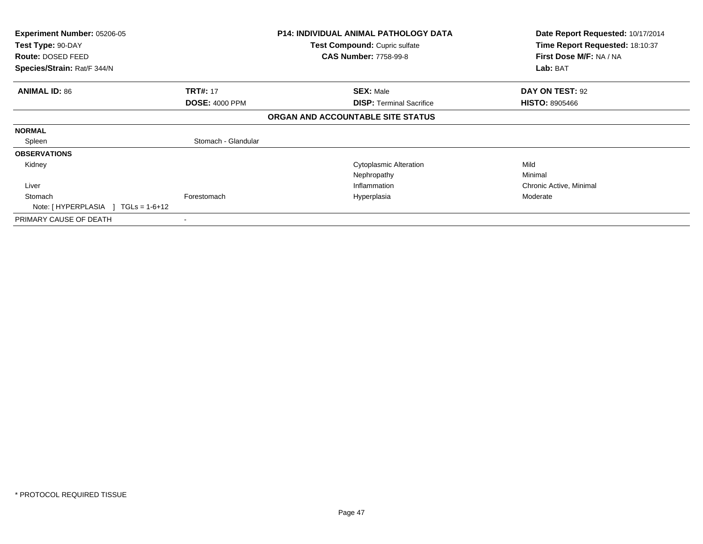| <b>Experiment Number: 05206-05</b><br>Test Type: 90-DAY |                       | <b>P14: INDIVIDUAL ANIMAL PATHOLOGY DATA</b><br><b>Test Compound: Cupric sulfate</b> | Date Report Requested: 10/17/2014<br>Time Report Requested: 18:10:37 |
|---------------------------------------------------------|-----------------------|--------------------------------------------------------------------------------------|----------------------------------------------------------------------|
| <b>Route: DOSED FEED</b>                                |                       | <b>CAS Number: 7758-99-8</b>                                                         | First Dose M/F: NA / NA                                              |
| Species/Strain: Rat/F 344/N                             |                       |                                                                                      | Lab: BAT                                                             |
| <b>ANIMAL ID: 86</b>                                    | <b>TRT#: 17</b>       | <b>SEX: Male</b>                                                                     | DAY ON TEST: 92                                                      |
|                                                         | <b>DOSE: 4000 PPM</b> | <b>DISP: Terminal Sacrifice</b>                                                      | <b>HISTO: 8905466</b>                                                |
|                                                         |                       | ORGAN AND ACCOUNTABLE SITE STATUS                                                    |                                                                      |
| <b>NORMAL</b>                                           |                       |                                                                                      |                                                                      |
| Spleen                                                  | Stomach - Glandular   |                                                                                      |                                                                      |
| <b>OBSERVATIONS</b>                                     |                       |                                                                                      |                                                                      |
| Kidney                                                  |                       | <b>Cytoplasmic Alteration</b>                                                        | Mild                                                                 |
|                                                         |                       | Nephropathy                                                                          | Minimal                                                              |
| Liver                                                   |                       | Inflammation                                                                         | Chronic Active, Minimal                                              |
| Stomach                                                 | Forestomach           | Hyperplasia                                                                          | Moderate                                                             |
| Note: $[HYPERPLASIA] TGLs = 1-6+12$                     |                       |                                                                                      |                                                                      |
| PRIMARY CAUSE OF DEATH                                  |                       |                                                                                      |                                                                      |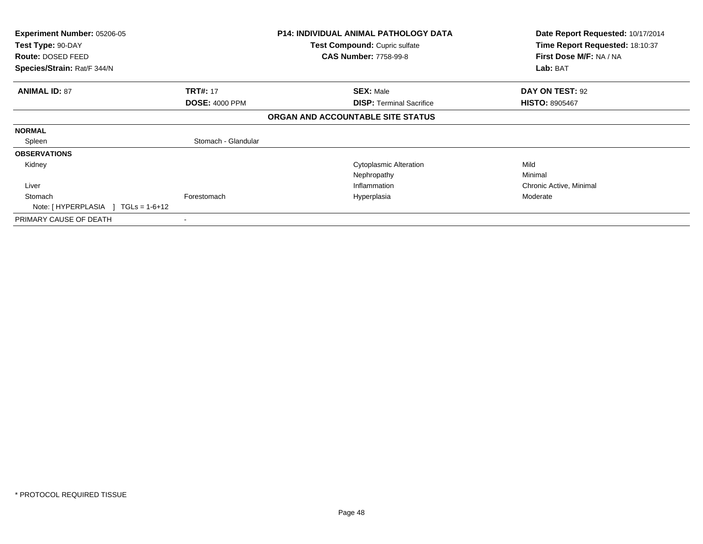| <b>Experiment Number: 05206-05</b><br>Test Type: 90-DAY |                       | <b>P14: INDIVIDUAL ANIMAL PATHOLOGY DATA</b><br>Test Compound: Cupric sulfate | Date Report Requested: 10/17/2014<br>Time Report Requested: 18:10:37 |
|---------------------------------------------------------|-----------------------|-------------------------------------------------------------------------------|----------------------------------------------------------------------|
| Route: DOSED FEED                                       |                       | <b>CAS Number: 7758-99-8</b>                                                  | First Dose M/F: NA / NA                                              |
| Species/Strain: Rat/F 344/N                             |                       |                                                                               | Lab: BAT                                                             |
| <b>ANIMAL ID: 87</b>                                    | <b>TRT#: 17</b>       | <b>SEX: Male</b>                                                              | <b>DAY ON TEST: 92</b>                                               |
|                                                         | <b>DOSE: 4000 PPM</b> | <b>DISP: Terminal Sacrifice</b>                                               | <b>HISTO: 8905467</b>                                                |
|                                                         |                       | ORGAN AND ACCOUNTABLE SITE STATUS                                             |                                                                      |
| <b>NORMAL</b>                                           |                       |                                                                               |                                                                      |
| Spleen                                                  | Stomach - Glandular   |                                                                               |                                                                      |
| <b>OBSERVATIONS</b>                                     |                       |                                                                               |                                                                      |
| Kidney                                                  |                       | <b>Cytoplasmic Alteration</b>                                                 | Mild                                                                 |
|                                                         |                       | Nephropathy                                                                   | Minimal                                                              |
| Liver                                                   |                       | Inflammation                                                                  | Chronic Active, Minimal                                              |
| Stomach                                                 | Forestomach           | Hyperplasia                                                                   | Moderate                                                             |
| Note: $[HYPERPLASIA] TGLs = 1-6+12$                     |                       |                                                                               |                                                                      |
| PRIMARY CAUSE OF DEATH                                  | ۰                     |                                                                               |                                                                      |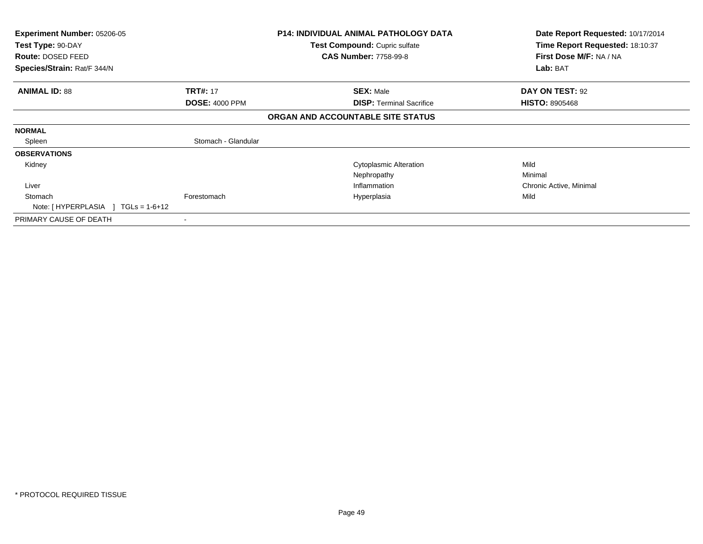| <b>Experiment Number: 05206-05</b><br>Test Type: 90-DAY |                       | <b>P14: INDIVIDUAL ANIMAL PATHOLOGY DATA</b><br>Test Compound: Cupric sulfate | Date Report Requested: 10/17/2014<br>Time Report Requested: 18:10:37 |
|---------------------------------------------------------|-----------------------|-------------------------------------------------------------------------------|----------------------------------------------------------------------|
| <b>Route: DOSED FEED</b>                                |                       | <b>CAS Number: 7758-99-8</b>                                                  | First Dose M/F: NA / NA                                              |
| Species/Strain: Rat/F 344/N                             |                       |                                                                               | Lab: BAT                                                             |
| <b>ANIMAL ID: 88</b>                                    | <b>TRT#: 17</b>       | <b>SEX: Male</b>                                                              | <b>DAY ON TEST: 92</b>                                               |
|                                                         | <b>DOSE: 4000 PPM</b> | <b>DISP: Terminal Sacrifice</b>                                               | <b>HISTO: 8905468</b>                                                |
|                                                         |                       | ORGAN AND ACCOUNTABLE SITE STATUS                                             |                                                                      |
| <b>NORMAL</b>                                           |                       |                                                                               |                                                                      |
| Spleen                                                  | Stomach - Glandular   |                                                                               |                                                                      |
| <b>OBSERVATIONS</b>                                     |                       |                                                                               |                                                                      |
| Kidney                                                  |                       | <b>Cytoplasmic Alteration</b>                                                 | Mild                                                                 |
|                                                         |                       | Nephropathy                                                                   | Minimal                                                              |
| Liver                                                   |                       | Inflammation                                                                  | Chronic Active, Minimal                                              |
| Stomach                                                 | Forestomach           | Hyperplasia                                                                   | Mild                                                                 |
| Note: $[HYPERPLASIA] TGLs = 1-6+12$                     |                       |                                                                               |                                                                      |
| PRIMARY CAUSE OF DEATH                                  |                       |                                                                               |                                                                      |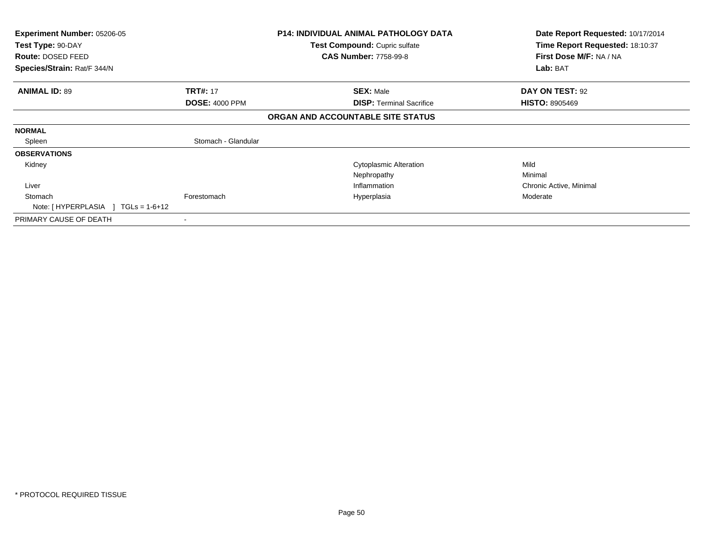| <b>Experiment Number: 05206-05</b><br>Test Type: 90-DAY |                       | <b>P14: INDIVIDUAL ANIMAL PATHOLOGY DATA</b><br><b>Test Compound: Cupric sulfate</b> | Date Report Requested: 10/17/2014<br>Time Report Requested: 18:10:37 |
|---------------------------------------------------------|-----------------------|--------------------------------------------------------------------------------------|----------------------------------------------------------------------|
| <b>Route: DOSED FEED</b>                                |                       | <b>CAS Number: 7758-99-8</b>                                                         | First Dose M/F: NA / NA                                              |
| Species/Strain: Rat/F 344/N                             |                       |                                                                                      | Lab: BAT                                                             |
| <b>ANIMAL ID: 89</b>                                    | <b>TRT#: 17</b>       | <b>SEX: Male</b>                                                                     | DAY ON TEST: 92                                                      |
|                                                         | <b>DOSE: 4000 PPM</b> | <b>DISP: Terminal Sacrifice</b>                                                      | <b>HISTO: 8905469</b>                                                |
|                                                         |                       | ORGAN AND ACCOUNTABLE SITE STATUS                                                    |                                                                      |
| <b>NORMAL</b>                                           |                       |                                                                                      |                                                                      |
| Spleen                                                  | Stomach - Glandular   |                                                                                      |                                                                      |
| <b>OBSERVATIONS</b>                                     |                       |                                                                                      |                                                                      |
| Kidney                                                  |                       | <b>Cytoplasmic Alteration</b>                                                        | Mild                                                                 |
|                                                         |                       | Nephropathy                                                                          | Minimal                                                              |
| Liver                                                   |                       | Inflammation                                                                         | Chronic Active, Minimal                                              |
| Stomach                                                 | Forestomach           | Hyperplasia                                                                          | Moderate                                                             |
| Note: $[HYPERPLASIA] TGLs = 1-6+12$                     |                       |                                                                                      |                                                                      |
| PRIMARY CAUSE OF DEATH                                  |                       |                                                                                      |                                                                      |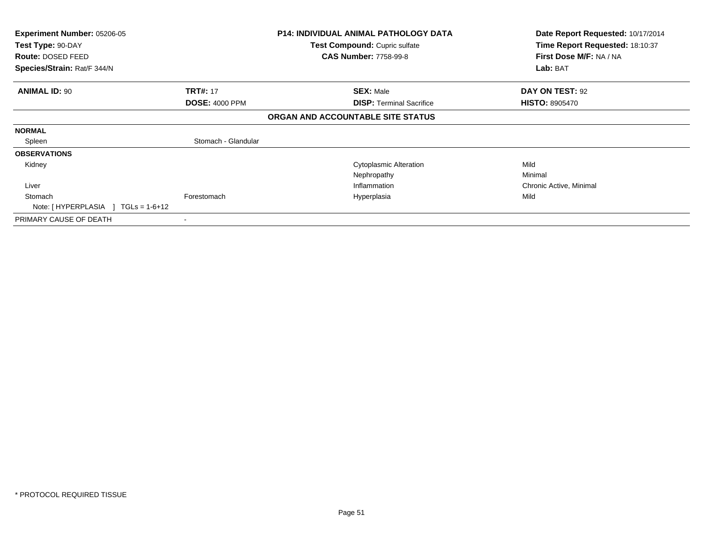| <b>Experiment Number: 05206-05</b><br>Test Type: 90-DAY |                       | <b>P14: INDIVIDUAL ANIMAL PATHOLOGY DATA</b><br>Test Compound: Cupric sulfate | Date Report Requested: 10/17/2014<br>Time Report Requested: 18:10:37 |
|---------------------------------------------------------|-----------------------|-------------------------------------------------------------------------------|----------------------------------------------------------------------|
| Route: DOSED FEED                                       |                       | <b>CAS Number: 7758-99-8</b>                                                  | First Dose M/F: NA / NA                                              |
| Species/Strain: Rat/F 344/N                             |                       |                                                                               | Lab: BAT                                                             |
| <b>ANIMAL ID: 90</b>                                    | <b>TRT#: 17</b>       | <b>SEX: Male</b>                                                              | DAY ON TEST: 92                                                      |
|                                                         | <b>DOSE: 4000 PPM</b> | <b>DISP: Terminal Sacrifice</b>                                               | <b>HISTO: 8905470</b>                                                |
|                                                         |                       | ORGAN AND ACCOUNTABLE SITE STATUS                                             |                                                                      |
| <b>NORMAL</b>                                           |                       |                                                                               |                                                                      |
| Spleen                                                  | Stomach - Glandular   |                                                                               |                                                                      |
| <b>OBSERVATIONS</b>                                     |                       |                                                                               |                                                                      |
| Kidney                                                  |                       | <b>Cytoplasmic Alteration</b>                                                 | Mild                                                                 |
|                                                         |                       | Nephropathy                                                                   | Minimal                                                              |
| Liver                                                   |                       | Inflammation                                                                  | Chronic Active, Minimal                                              |
| Stomach                                                 | Forestomach           | Hyperplasia                                                                   | Mild                                                                 |
| Note: $[HYPERPLASIA] TGLs = 1-6+12$                     |                       |                                                                               |                                                                      |
| PRIMARY CAUSE OF DEATH                                  | ۰                     |                                                                               |                                                                      |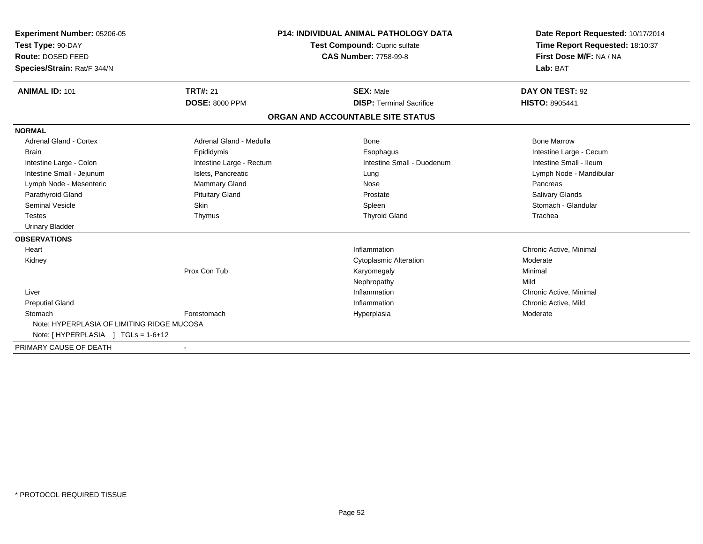| <b>Experiment Number: 05206-05</b><br>Test Type: 90-DAY<br>Route: DOSED FEED<br>Species/Strain: Rat/F 344/N |                          | <b>P14: INDIVIDUAL ANIMAL PATHOLOGY DATA</b><br>Test Compound: Cupric sulfate<br><b>CAS Number: 7758-99-8</b> | Date Report Requested: 10/17/2014<br>Time Report Requested: 18:10:37<br>First Dose M/F: NA / NA<br>Lab: BAT |
|-------------------------------------------------------------------------------------------------------------|--------------------------|---------------------------------------------------------------------------------------------------------------|-------------------------------------------------------------------------------------------------------------|
| <b>ANIMAL ID: 101</b>                                                                                       | <b>TRT#: 21</b>          | <b>SEX: Male</b>                                                                                              | DAY ON TEST: 92                                                                                             |
|                                                                                                             | <b>DOSE: 8000 PPM</b>    | <b>DISP: Terminal Sacrifice</b>                                                                               | <b>HISTO: 8905441</b>                                                                                       |
|                                                                                                             |                          | ORGAN AND ACCOUNTABLE SITE STATUS                                                                             |                                                                                                             |
| <b>NORMAL</b>                                                                                               |                          |                                                                                                               |                                                                                                             |
| <b>Adrenal Gland - Cortex</b>                                                                               | Adrenal Gland - Medulla  | <b>Bone</b>                                                                                                   | <b>Bone Marrow</b>                                                                                          |
| <b>Brain</b>                                                                                                | Epididymis               | Esophagus                                                                                                     | Intestine Large - Cecum                                                                                     |
| Intestine Large - Colon                                                                                     | Intestine Large - Rectum | Intestine Small - Duodenum                                                                                    | Intestine Small - Ileum                                                                                     |
| Intestine Small - Jejunum                                                                                   | Islets, Pancreatic       | Lung                                                                                                          | Lymph Node - Mandibular                                                                                     |
| Lymph Node - Mesenteric                                                                                     | Mammary Gland            | Nose                                                                                                          | Pancreas                                                                                                    |
| Parathyroid Gland                                                                                           | <b>Pituitary Gland</b>   | Prostate                                                                                                      | <b>Salivary Glands</b>                                                                                      |
| <b>Seminal Vesicle</b>                                                                                      | Skin                     | Spleen                                                                                                        | Stomach - Glandular                                                                                         |
| <b>Testes</b>                                                                                               | Thymus                   | <b>Thyroid Gland</b>                                                                                          | Trachea                                                                                                     |
| <b>Urinary Bladder</b>                                                                                      |                          |                                                                                                               |                                                                                                             |
| <b>OBSERVATIONS</b>                                                                                         |                          |                                                                                                               |                                                                                                             |
| Heart                                                                                                       |                          | Inflammation                                                                                                  | Chronic Active, Minimal                                                                                     |
| Kidney                                                                                                      |                          | <b>Cytoplasmic Alteration</b>                                                                                 | Moderate                                                                                                    |
|                                                                                                             | Prox Con Tub             | Karyomegaly                                                                                                   | Minimal                                                                                                     |
|                                                                                                             |                          | Nephropathy                                                                                                   | Mild                                                                                                        |
| Liver                                                                                                       |                          | Inflammation                                                                                                  | Chronic Active, Minimal                                                                                     |
| <b>Preputial Gland</b>                                                                                      |                          | Inflammation                                                                                                  | Chronic Active, Mild                                                                                        |
| Stomach                                                                                                     | Forestomach              | Hyperplasia                                                                                                   | Moderate                                                                                                    |
| Note: HYPERPLASIA OF LIMITING RIDGE MUCOSA                                                                  |                          |                                                                                                               |                                                                                                             |
| Note: $[HYPERPLASIA] TGLs = 1-6+12$                                                                         |                          |                                                                                                               |                                                                                                             |
| PRIMARY CAUSE OF DEATH                                                                                      |                          |                                                                                                               |                                                                                                             |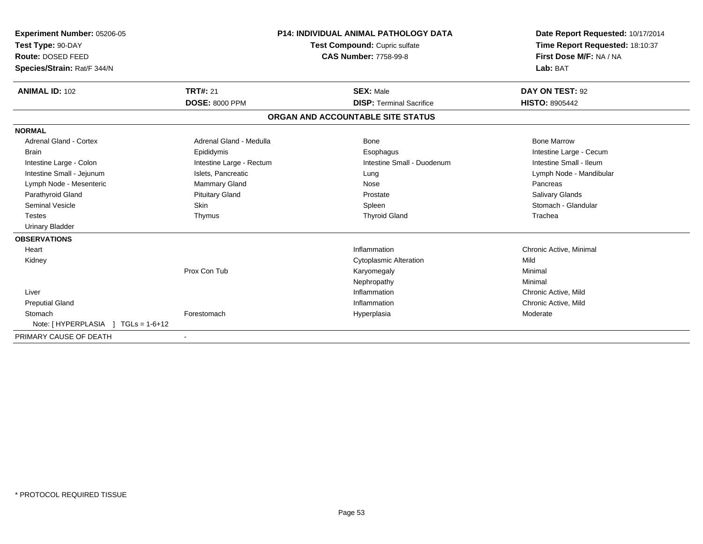| Experiment Number: 05206-05<br>Test Type: 90-DAY<br>Route: DOSED FEED<br>Species/Strain: Rat/F 344/N |                          | <b>P14: INDIVIDUAL ANIMAL PATHOLOGY DATA</b><br>Test Compound: Cupric sulfate<br><b>CAS Number: 7758-99-8</b> |                                   | Date Report Requested: 10/17/2014<br>Time Report Requested: 18:10:37<br>First Dose M/F: NA / NA<br>Lab: BAT |
|------------------------------------------------------------------------------------------------------|--------------------------|---------------------------------------------------------------------------------------------------------------|-----------------------------------|-------------------------------------------------------------------------------------------------------------|
| <b>ANIMAL ID: 102</b>                                                                                | <b>TRT#: 21</b>          |                                                                                                               | <b>SEX: Male</b>                  | DAY ON TEST: 92                                                                                             |
|                                                                                                      | <b>DOSE: 8000 PPM</b>    |                                                                                                               | <b>DISP: Terminal Sacrifice</b>   | <b>HISTO: 8905442</b>                                                                                       |
|                                                                                                      |                          |                                                                                                               | ORGAN AND ACCOUNTABLE SITE STATUS |                                                                                                             |
| <b>NORMAL</b>                                                                                        |                          |                                                                                                               |                                   |                                                                                                             |
| <b>Adrenal Gland - Cortex</b>                                                                        | Adrenal Gland - Medulla  |                                                                                                               | <b>Bone</b>                       | <b>Bone Marrow</b>                                                                                          |
| <b>Brain</b>                                                                                         | Epididymis               |                                                                                                               | Esophagus                         | Intestine Large - Cecum                                                                                     |
| Intestine Large - Colon                                                                              | Intestine Large - Rectum |                                                                                                               | Intestine Small - Duodenum        | Intestine Small - Ileum                                                                                     |
| Intestine Small - Jejunum                                                                            | Islets, Pancreatic       |                                                                                                               | Lung                              | Lymph Node - Mandibular                                                                                     |
| Lymph Node - Mesenteric                                                                              | <b>Mammary Gland</b>     |                                                                                                               | Nose                              | Pancreas                                                                                                    |
| Parathyroid Gland                                                                                    | <b>Pituitary Gland</b>   |                                                                                                               | Prostate                          | Salivary Glands                                                                                             |
| <b>Seminal Vesicle</b>                                                                               | Skin                     |                                                                                                               | Spleen                            | Stomach - Glandular                                                                                         |
| <b>Testes</b>                                                                                        | Thymus                   |                                                                                                               | <b>Thyroid Gland</b>              | Trachea                                                                                                     |
| <b>Urinary Bladder</b>                                                                               |                          |                                                                                                               |                                   |                                                                                                             |
| <b>OBSERVATIONS</b>                                                                                  |                          |                                                                                                               |                                   |                                                                                                             |
| Heart                                                                                                |                          |                                                                                                               | Inflammation                      | Chronic Active, Minimal                                                                                     |
| Kidney                                                                                               |                          |                                                                                                               | <b>Cytoplasmic Alteration</b>     | Mild                                                                                                        |
|                                                                                                      | Prox Con Tub             |                                                                                                               | Karyomegaly                       | Minimal                                                                                                     |
|                                                                                                      |                          |                                                                                                               | Nephropathy                       | Minimal                                                                                                     |
| Liver                                                                                                |                          |                                                                                                               | Inflammation                      | Chronic Active, Mild                                                                                        |
| <b>Preputial Gland</b>                                                                               |                          |                                                                                                               | Inflammation                      | Chronic Active, Mild                                                                                        |
| Stomach                                                                                              | Forestomach              |                                                                                                               | Hyperplasia                       | Moderate                                                                                                    |
| Note: $[HYPERPLASIA] TGLs = 1-6+12$                                                                  |                          |                                                                                                               |                                   |                                                                                                             |
| PRIMARY CAUSE OF DEATH                                                                               |                          |                                                                                                               |                                   |                                                                                                             |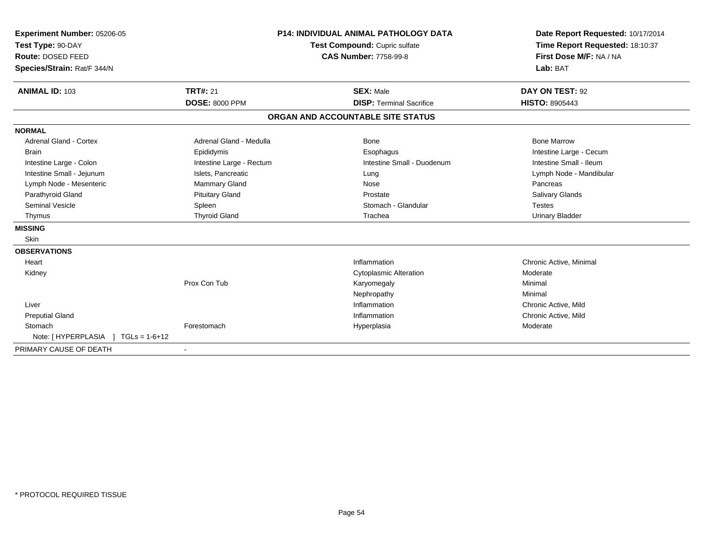| Experiment Number: 05206-05<br>Test Type: 90-DAY<br>Route: DOSED FEED<br>Species/Strain: Rat/F 344/N |                          | P14: INDIVIDUAL ANIMAL PATHOLOGY DATA<br>Test Compound: Cupric sulfate<br><b>CAS Number: 7758-99-8</b> |                                   | Date Report Requested: 10/17/2014<br>Time Report Requested: 18:10:37<br>First Dose M/F: NA / NA<br>Lab: BAT |
|------------------------------------------------------------------------------------------------------|--------------------------|--------------------------------------------------------------------------------------------------------|-----------------------------------|-------------------------------------------------------------------------------------------------------------|
| <b>ANIMAL ID: 103</b>                                                                                | <b>TRT#: 21</b>          |                                                                                                        | <b>SEX: Male</b>                  | DAY ON TEST: 92                                                                                             |
|                                                                                                      | <b>DOSE: 8000 PPM</b>    |                                                                                                        | <b>DISP: Terminal Sacrifice</b>   | <b>HISTO: 8905443</b>                                                                                       |
|                                                                                                      |                          |                                                                                                        | ORGAN AND ACCOUNTABLE SITE STATUS |                                                                                                             |
| <b>NORMAL</b>                                                                                        |                          |                                                                                                        |                                   |                                                                                                             |
| <b>Adrenal Gland - Cortex</b>                                                                        | Adrenal Gland - Medulla  |                                                                                                        | Bone                              | <b>Bone Marrow</b>                                                                                          |
| <b>Brain</b>                                                                                         | Epididymis               |                                                                                                        | Esophagus                         | Intestine Large - Cecum                                                                                     |
| Intestine Large - Colon                                                                              | Intestine Large - Rectum |                                                                                                        | Intestine Small - Duodenum        | Intestine Small - Ileum                                                                                     |
| Intestine Small - Jejunum                                                                            | Islets, Pancreatic       |                                                                                                        | Lung                              | Lymph Node - Mandibular                                                                                     |
| Lymph Node - Mesenteric                                                                              | Mammary Gland            |                                                                                                        | Nose                              | Pancreas                                                                                                    |
| Parathyroid Gland                                                                                    | <b>Pituitary Gland</b>   |                                                                                                        | Prostate                          | <b>Salivary Glands</b>                                                                                      |
| <b>Seminal Vesicle</b>                                                                               | Spleen                   |                                                                                                        | Stomach - Glandular               | <b>Testes</b>                                                                                               |
| Thymus                                                                                               | <b>Thyroid Gland</b>     |                                                                                                        | Trachea                           | <b>Urinary Bladder</b>                                                                                      |
| <b>MISSING</b>                                                                                       |                          |                                                                                                        |                                   |                                                                                                             |
| Skin                                                                                                 |                          |                                                                                                        |                                   |                                                                                                             |
| <b>OBSERVATIONS</b>                                                                                  |                          |                                                                                                        |                                   |                                                                                                             |
| Heart                                                                                                |                          |                                                                                                        | Inflammation                      | Chronic Active, Minimal                                                                                     |
| Kidney                                                                                               |                          |                                                                                                        | <b>Cytoplasmic Alteration</b>     | Moderate                                                                                                    |
|                                                                                                      | Prox Con Tub             |                                                                                                        | Karyomegaly                       | Minimal                                                                                                     |
|                                                                                                      |                          |                                                                                                        | Nephropathy                       | Minimal                                                                                                     |
| Liver                                                                                                |                          |                                                                                                        | Inflammation                      | Chronic Active, Mild                                                                                        |
| <b>Preputial Gland</b>                                                                               |                          |                                                                                                        | Inflammation                      | Chronic Active, Mild                                                                                        |
| Stomach                                                                                              | Forestomach              |                                                                                                        | Hyperplasia                       | Moderate                                                                                                    |
| Note: [ HYPERPLASIA ]<br>$TGLs = 1-6+12$                                                             |                          |                                                                                                        |                                   |                                                                                                             |
| PRIMARY CAUSE OF DEATH                                                                               |                          |                                                                                                        |                                   |                                                                                                             |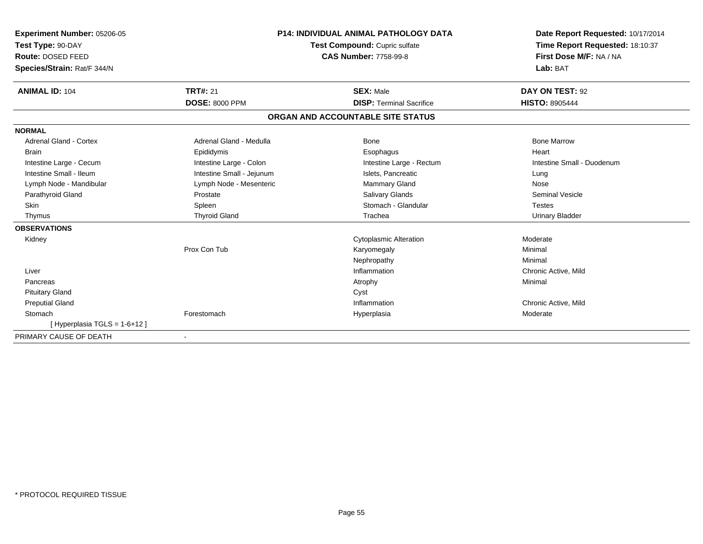| Experiment Number: 05206-05<br>Test Type: 90-DAY<br>Route: DOSED FEED<br>Species/Strain: Rat/F 344/N |                           | <b>P14: INDIVIDUAL ANIMAL PATHOLOGY DATA</b><br>Test Compound: Cupric sulfate<br><b>CAS Number: 7758-99-8</b> | Date Report Requested: 10/17/2014<br>Time Report Requested: 18:10:37<br>First Dose M/F: NA / NA<br>Lab: BAT |
|------------------------------------------------------------------------------------------------------|---------------------------|---------------------------------------------------------------------------------------------------------------|-------------------------------------------------------------------------------------------------------------|
| <b>ANIMAL ID: 104</b>                                                                                | <b>TRT#: 21</b>           | <b>SEX: Male</b>                                                                                              | DAY ON TEST: 92                                                                                             |
|                                                                                                      | <b>DOSE: 8000 PPM</b>     | <b>DISP: Terminal Sacrifice</b>                                                                               | <b>HISTO: 8905444</b>                                                                                       |
|                                                                                                      |                           | ORGAN AND ACCOUNTABLE SITE STATUS                                                                             |                                                                                                             |
| <b>NORMAL</b>                                                                                        |                           |                                                                                                               |                                                                                                             |
| <b>Adrenal Gland - Cortex</b>                                                                        | Adrenal Gland - Medulla   | <b>Bone</b>                                                                                                   | <b>Bone Marrow</b>                                                                                          |
| <b>Brain</b>                                                                                         | Epididymis                | Esophagus                                                                                                     | Heart                                                                                                       |
| Intestine Large - Cecum                                                                              | Intestine Large - Colon   | Intestine Large - Rectum                                                                                      | Intestine Small - Duodenum                                                                                  |
| Intestine Small - Ileum                                                                              | Intestine Small - Jejunum | Islets, Pancreatic                                                                                            | Lung                                                                                                        |
| Lymph Node - Mandibular                                                                              | Lymph Node - Mesenteric   | Mammary Gland                                                                                                 | Nose                                                                                                        |
| Parathyroid Gland                                                                                    | Prostate                  | Salivary Glands                                                                                               | <b>Seminal Vesicle</b>                                                                                      |
| <b>Skin</b>                                                                                          | Spleen                    | Stomach - Glandular                                                                                           | <b>Testes</b>                                                                                               |
| Thymus                                                                                               | <b>Thyroid Gland</b>      | Trachea                                                                                                       | <b>Urinary Bladder</b>                                                                                      |
| <b>OBSERVATIONS</b>                                                                                  |                           |                                                                                                               |                                                                                                             |
| Kidney                                                                                               |                           | <b>Cytoplasmic Alteration</b>                                                                                 | Moderate                                                                                                    |
|                                                                                                      | Prox Con Tub              | Karyomegaly                                                                                                   | Minimal                                                                                                     |
|                                                                                                      |                           | Nephropathy                                                                                                   | Minimal                                                                                                     |
| Liver                                                                                                |                           | Inflammation                                                                                                  | Chronic Active, Mild                                                                                        |
| Pancreas                                                                                             |                           | Atrophy                                                                                                       | Minimal                                                                                                     |
| <b>Pituitary Gland</b>                                                                               |                           | Cyst                                                                                                          |                                                                                                             |
| <b>Preputial Gland</b>                                                                               |                           | Inflammation                                                                                                  | Chronic Active, Mild                                                                                        |
| Stomach                                                                                              | Forestomach               | Hyperplasia                                                                                                   | Moderate                                                                                                    |
| [Hyperplasia TGLS = 1-6+12]                                                                          |                           |                                                                                                               |                                                                                                             |
| PRIMARY CAUSE OF DEATH                                                                               |                           |                                                                                                               |                                                                                                             |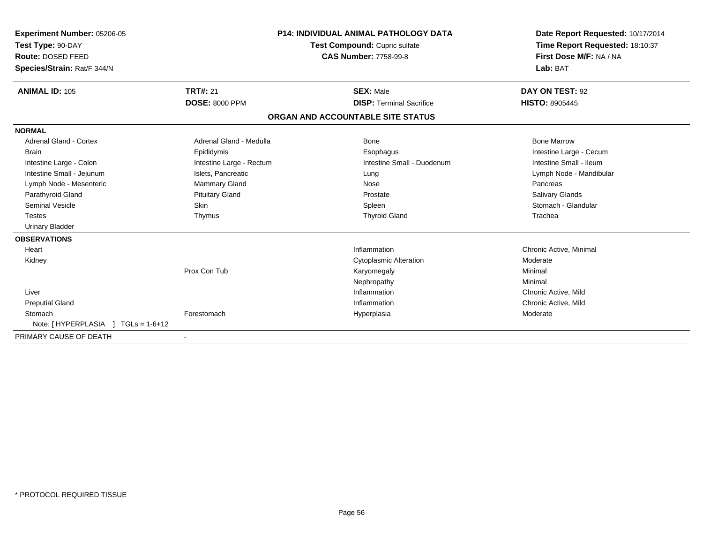| Experiment Number: 05206-05<br>Test Type: 90-DAY<br>Route: DOSED FEED<br>Species/Strain: Rat/F 344/N |                          | <b>P14: INDIVIDUAL ANIMAL PATHOLOGY DATA</b><br>Test Compound: Cupric sulfate<br><b>CAS Number: 7758-99-8</b> |                                   | Date Report Requested: 10/17/2014<br>Time Report Requested: 18:10:37<br>First Dose M/F: NA / NA<br>Lab: BAT |  |
|------------------------------------------------------------------------------------------------------|--------------------------|---------------------------------------------------------------------------------------------------------------|-----------------------------------|-------------------------------------------------------------------------------------------------------------|--|
| <b>ANIMAL ID: 105</b>                                                                                | <b>TRT#: 21</b>          |                                                                                                               | <b>SEX: Male</b>                  | DAY ON TEST: 92                                                                                             |  |
|                                                                                                      | <b>DOSE: 8000 PPM</b>    |                                                                                                               | <b>DISP: Terminal Sacrifice</b>   | <b>HISTO: 8905445</b>                                                                                       |  |
|                                                                                                      |                          |                                                                                                               | ORGAN AND ACCOUNTABLE SITE STATUS |                                                                                                             |  |
| <b>NORMAL</b>                                                                                        |                          |                                                                                                               |                                   |                                                                                                             |  |
| <b>Adrenal Gland - Cortex</b>                                                                        | Adrenal Gland - Medulla  |                                                                                                               | <b>Bone</b>                       | <b>Bone Marrow</b>                                                                                          |  |
| <b>Brain</b>                                                                                         | Epididymis               |                                                                                                               | Esophagus                         | Intestine Large - Cecum                                                                                     |  |
| Intestine Large - Colon                                                                              | Intestine Large - Rectum |                                                                                                               | Intestine Small - Duodenum        | Intestine Small - Ileum                                                                                     |  |
| Intestine Small - Jejunum                                                                            | Islets, Pancreatic       |                                                                                                               | Lung                              | Lymph Node - Mandibular                                                                                     |  |
| Lymph Node - Mesenteric                                                                              | <b>Mammary Gland</b>     |                                                                                                               | Nose                              | Pancreas                                                                                                    |  |
| Parathyroid Gland                                                                                    | <b>Pituitary Gland</b>   |                                                                                                               | Prostate                          | Salivary Glands                                                                                             |  |
| <b>Seminal Vesicle</b>                                                                               | Skin                     |                                                                                                               | Spleen                            | Stomach - Glandular                                                                                         |  |
| <b>Testes</b>                                                                                        | Thymus                   |                                                                                                               | <b>Thyroid Gland</b>              | Trachea                                                                                                     |  |
| <b>Urinary Bladder</b>                                                                               |                          |                                                                                                               |                                   |                                                                                                             |  |
| <b>OBSERVATIONS</b>                                                                                  |                          |                                                                                                               |                                   |                                                                                                             |  |
| Heart                                                                                                |                          |                                                                                                               | Inflammation                      | Chronic Active, Minimal                                                                                     |  |
| Kidney                                                                                               |                          |                                                                                                               | <b>Cytoplasmic Alteration</b>     | Moderate                                                                                                    |  |
|                                                                                                      | Prox Con Tub             |                                                                                                               | Karyomegaly                       | Minimal                                                                                                     |  |
|                                                                                                      |                          |                                                                                                               | Nephropathy                       | Minimal                                                                                                     |  |
| Liver                                                                                                |                          |                                                                                                               | Inflammation                      | Chronic Active, Mild                                                                                        |  |
| <b>Preputial Gland</b>                                                                               |                          |                                                                                                               | Inflammation                      | Chronic Active, Mild                                                                                        |  |
| Stomach                                                                                              | Forestomach              |                                                                                                               | Hyperplasia                       | Moderate                                                                                                    |  |
| Note: $[HYPERPLASIA] TGLs = 1-6+12$                                                                  |                          |                                                                                                               |                                   |                                                                                                             |  |
| PRIMARY CAUSE OF DEATH                                                                               |                          |                                                                                                               |                                   |                                                                                                             |  |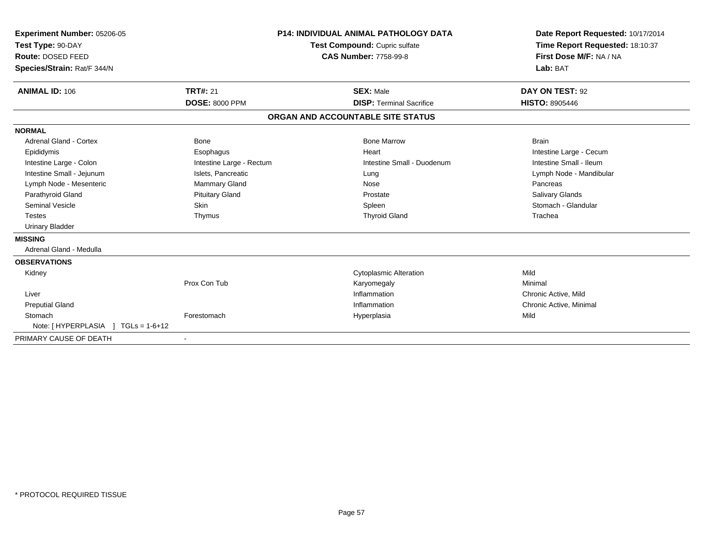| Experiment Number: 05206-05<br>Test Type: 90-DAY<br>Route: DOSED FEED<br>Species/Strain: Rat/F 344/N |                          | <b>P14: INDIVIDUAL ANIMAL PATHOLOGY DATA</b><br>Test Compound: Cupric sulfate<br><b>CAS Number: 7758-99-8</b> |                                   | Date Report Requested: 10/17/2014<br>Time Report Requested: 18:10:37<br>First Dose M/F: NA / NA<br>Lab: BAT |  |
|------------------------------------------------------------------------------------------------------|--------------------------|---------------------------------------------------------------------------------------------------------------|-----------------------------------|-------------------------------------------------------------------------------------------------------------|--|
| <b>ANIMAL ID: 106</b>                                                                                | <b>TRT#: 21</b>          |                                                                                                               | <b>SEX: Male</b>                  | DAY ON TEST: 92                                                                                             |  |
|                                                                                                      | <b>DOSE: 8000 PPM</b>    |                                                                                                               | <b>DISP: Terminal Sacrifice</b>   | <b>HISTO: 8905446</b>                                                                                       |  |
|                                                                                                      |                          |                                                                                                               | ORGAN AND ACCOUNTABLE SITE STATUS |                                                                                                             |  |
| <b>NORMAL</b>                                                                                        |                          |                                                                                                               |                                   |                                                                                                             |  |
| Adrenal Gland - Cortex                                                                               | Bone                     |                                                                                                               | <b>Bone Marrow</b>                | <b>Brain</b>                                                                                                |  |
| Epididymis                                                                                           | Esophagus                |                                                                                                               | Heart                             | Intestine Large - Cecum                                                                                     |  |
| Intestine Large - Colon                                                                              | Intestine Large - Rectum |                                                                                                               | Intestine Small - Duodenum        | Intestine Small - Ileum                                                                                     |  |
| Intestine Small - Jejunum                                                                            | Islets, Pancreatic       |                                                                                                               | Lung                              | Lymph Node - Mandibular                                                                                     |  |
| Lymph Node - Mesenteric                                                                              | Mammary Gland            |                                                                                                               | Nose                              | Pancreas                                                                                                    |  |
| Parathyroid Gland                                                                                    | <b>Pituitary Gland</b>   |                                                                                                               | Prostate                          | Salivary Glands                                                                                             |  |
| <b>Seminal Vesicle</b>                                                                               | Skin                     |                                                                                                               | Spleen                            | Stomach - Glandular                                                                                         |  |
| <b>Testes</b>                                                                                        | Thymus                   |                                                                                                               | <b>Thyroid Gland</b>              | Trachea                                                                                                     |  |
| <b>Urinary Bladder</b>                                                                               |                          |                                                                                                               |                                   |                                                                                                             |  |
| <b>MISSING</b>                                                                                       |                          |                                                                                                               |                                   |                                                                                                             |  |
| Adrenal Gland - Medulla                                                                              |                          |                                                                                                               |                                   |                                                                                                             |  |
| <b>OBSERVATIONS</b>                                                                                  |                          |                                                                                                               |                                   |                                                                                                             |  |
| Kidney                                                                                               |                          |                                                                                                               | <b>Cytoplasmic Alteration</b>     | Mild                                                                                                        |  |
|                                                                                                      | Prox Con Tub             |                                                                                                               | Karyomegaly                       | Minimal                                                                                                     |  |
| Liver                                                                                                |                          |                                                                                                               | Inflammation                      | Chronic Active, Mild                                                                                        |  |
| <b>Preputial Gland</b>                                                                               |                          |                                                                                                               | Inflammation                      | Chronic Active, Minimal                                                                                     |  |
| Stomach                                                                                              | Forestomach              |                                                                                                               | Hyperplasia                       | Mild                                                                                                        |  |
| Note: [HYPERPLASIA ] TGLs = 1-6+12                                                                   |                          |                                                                                                               |                                   |                                                                                                             |  |
| PRIMARY CAUSE OF DEATH                                                                               |                          |                                                                                                               |                                   |                                                                                                             |  |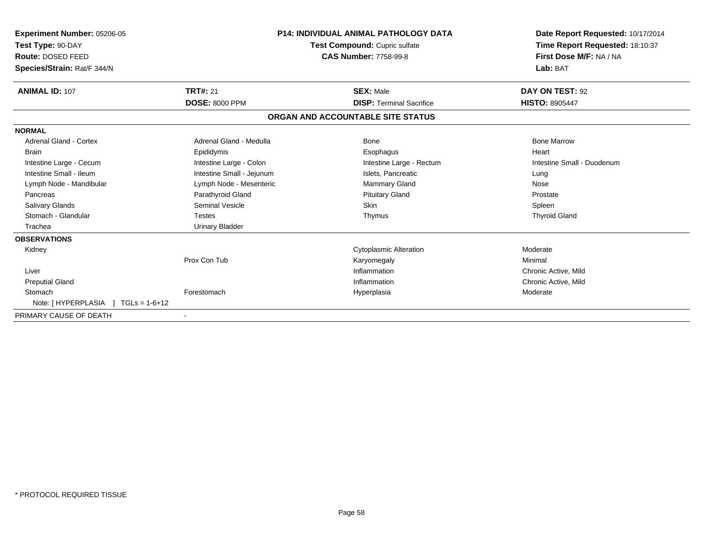| Experiment Number: 05206-05<br>Test Type: 90-DAY<br>Route: DOSED FEED<br>Species/Strain: Rat/F 344/N |                           | <b>P14: INDIVIDUAL ANIMAL PATHOLOGY DATA</b><br>Test Compound: Cupric sulfate<br><b>CAS Number: 7758-99-8</b> | Date Report Requested: 10/17/2014<br>Time Report Requested: 18:10:37<br>First Dose M/F: NA / NA<br>Lab: BAT |
|------------------------------------------------------------------------------------------------------|---------------------------|---------------------------------------------------------------------------------------------------------------|-------------------------------------------------------------------------------------------------------------|
| <b>ANIMAL ID: 107</b>                                                                                | <b>TRT#: 21</b>           | <b>SEX: Male</b>                                                                                              | DAY ON TEST: 92                                                                                             |
|                                                                                                      | <b>DOSE: 8000 PPM</b>     | <b>DISP: Terminal Sacrifice</b>                                                                               | <b>HISTO: 8905447</b>                                                                                       |
|                                                                                                      |                           | ORGAN AND ACCOUNTABLE SITE STATUS                                                                             |                                                                                                             |
| <b>NORMAL</b>                                                                                        |                           |                                                                                                               |                                                                                                             |
| Adrenal Gland - Cortex                                                                               | Adrenal Gland - Medulla   | Bone                                                                                                          | <b>Bone Marrow</b>                                                                                          |
| <b>Brain</b>                                                                                         | Epididymis                | Esophagus                                                                                                     | Heart                                                                                                       |
| Intestine Large - Cecum                                                                              | Intestine Large - Colon   | Intestine Large - Rectum                                                                                      | Intestine Small - Duodenum                                                                                  |
| Intestine Small - Ileum                                                                              | Intestine Small - Jejunum | Islets, Pancreatic                                                                                            | Lung                                                                                                        |
| Lymph Node - Mandibular                                                                              | Lymph Node - Mesenteric   | Mammary Gland                                                                                                 | Nose                                                                                                        |
| Pancreas                                                                                             | Parathyroid Gland         | <b>Pituitary Gland</b>                                                                                        | Prostate                                                                                                    |
| Salivary Glands                                                                                      | <b>Seminal Vesicle</b>    | Skin                                                                                                          | Spleen                                                                                                      |
| Stomach - Glandular                                                                                  | <b>Testes</b>             | Thymus                                                                                                        | <b>Thyroid Gland</b>                                                                                        |
| Trachea                                                                                              | <b>Urinary Bladder</b>    |                                                                                                               |                                                                                                             |
| <b>OBSERVATIONS</b>                                                                                  |                           |                                                                                                               |                                                                                                             |
| Kidney                                                                                               |                           | <b>Cytoplasmic Alteration</b>                                                                                 | Moderate                                                                                                    |
|                                                                                                      | Prox Con Tub              | Karyomegaly                                                                                                   | Minimal                                                                                                     |
| Liver                                                                                                |                           | Inflammation                                                                                                  | Chronic Active, Mild                                                                                        |
| <b>Preputial Gland</b>                                                                               |                           | Inflammation                                                                                                  | Chronic Active, Mild                                                                                        |
| Stomach                                                                                              | Forestomach               | Hyperplasia                                                                                                   | Moderate                                                                                                    |
| Note: [HYPERPLASIA ]<br>$TGLs = 1-6+12$                                                              |                           |                                                                                                               |                                                                                                             |
| PRIMARY CAUSE OF DEATH                                                                               |                           |                                                                                                               |                                                                                                             |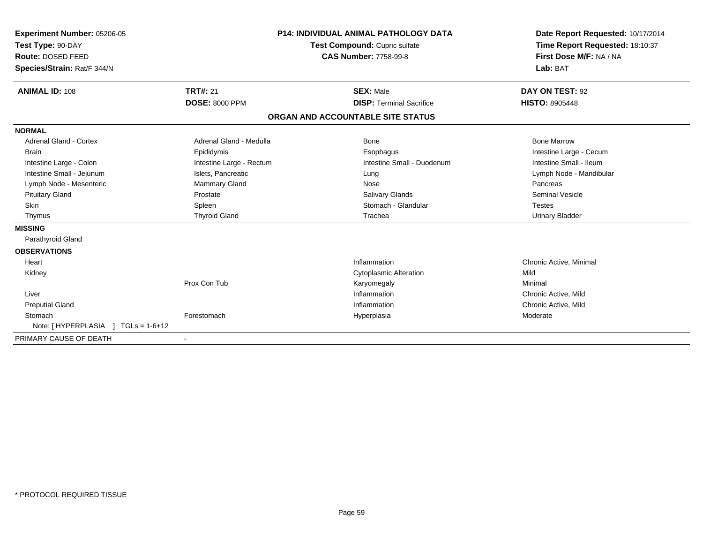| <b>Experiment Number: 05206-05</b><br>Test Type: 90-DAY<br>Route: DOSED FEED<br>Species/Strain: Rat/F 344/N |                          | <b>P14: INDIVIDUAL ANIMAL PATHOLOGY DATA</b><br>Test Compound: Cupric sulfate<br><b>CAS Number: 7758-99-8</b> |                                   | Date Report Requested: 10/17/2014<br>Time Report Requested: 18:10:37<br>First Dose M/F: NA / NA<br>Lab: BAT |
|-------------------------------------------------------------------------------------------------------------|--------------------------|---------------------------------------------------------------------------------------------------------------|-----------------------------------|-------------------------------------------------------------------------------------------------------------|
| <b>ANIMAL ID: 108</b>                                                                                       | <b>TRT#: 21</b>          |                                                                                                               | <b>SEX: Male</b>                  | DAY ON TEST: 92                                                                                             |
|                                                                                                             | <b>DOSE: 8000 PPM</b>    |                                                                                                               | <b>DISP: Terminal Sacrifice</b>   | <b>HISTO: 8905448</b>                                                                                       |
|                                                                                                             |                          |                                                                                                               | ORGAN AND ACCOUNTABLE SITE STATUS |                                                                                                             |
| <b>NORMAL</b>                                                                                               |                          |                                                                                                               |                                   |                                                                                                             |
| <b>Adrenal Gland - Cortex</b>                                                                               | Adrenal Gland - Medulla  |                                                                                                               | Bone                              | <b>Bone Marrow</b>                                                                                          |
| Brain                                                                                                       | Epididymis               |                                                                                                               | Esophagus                         | Intestine Large - Cecum                                                                                     |
| Intestine Large - Colon                                                                                     | Intestine Large - Rectum |                                                                                                               | Intestine Small - Duodenum        | Intestine Small - Ileum                                                                                     |
| Intestine Small - Jejunum                                                                                   | Islets, Pancreatic       |                                                                                                               | Lung                              | Lymph Node - Mandibular                                                                                     |
| Lymph Node - Mesenteric                                                                                     | <b>Mammary Gland</b>     |                                                                                                               | Nose                              | Pancreas                                                                                                    |
| <b>Pituitary Gland</b>                                                                                      | Prostate                 |                                                                                                               | Salivary Glands                   | <b>Seminal Vesicle</b>                                                                                      |
| <b>Skin</b>                                                                                                 | Spleen                   |                                                                                                               | Stomach - Glandular               | <b>Testes</b>                                                                                               |
| Thymus                                                                                                      | <b>Thyroid Gland</b>     |                                                                                                               | Trachea                           | <b>Urinary Bladder</b>                                                                                      |
| <b>MISSING</b>                                                                                              |                          |                                                                                                               |                                   |                                                                                                             |
| Parathyroid Gland                                                                                           |                          |                                                                                                               |                                   |                                                                                                             |
| <b>OBSERVATIONS</b>                                                                                         |                          |                                                                                                               |                                   |                                                                                                             |
| Heart                                                                                                       |                          |                                                                                                               | Inflammation                      | Chronic Active, Minimal                                                                                     |
| Kidney                                                                                                      |                          |                                                                                                               | <b>Cytoplasmic Alteration</b>     | Mild                                                                                                        |
|                                                                                                             | Prox Con Tub             |                                                                                                               | Karyomegaly                       | Minimal                                                                                                     |
| Liver                                                                                                       |                          |                                                                                                               | Inflammation                      | Chronic Active, Mild                                                                                        |
| <b>Preputial Gland</b>                                                                                      |                          |                                                                                                               | Inflammation                      | Chronic Active, Mild                                                                                        |
| Stomach                                                                                                     | Forestomach              |                                                                                                               | Hyperplasia                       | Moderate                                                                                                    |
| $TGLs = 1-6+12$<br>Note: [HYPERPLASIA ]                                                                     |                          |                                                                                                               |                                   |                                                                                                             |
| PRIMARY CAUSE OF DEATH                                                                                      |                          |                                                                                                               |                                   |                                                                                                             |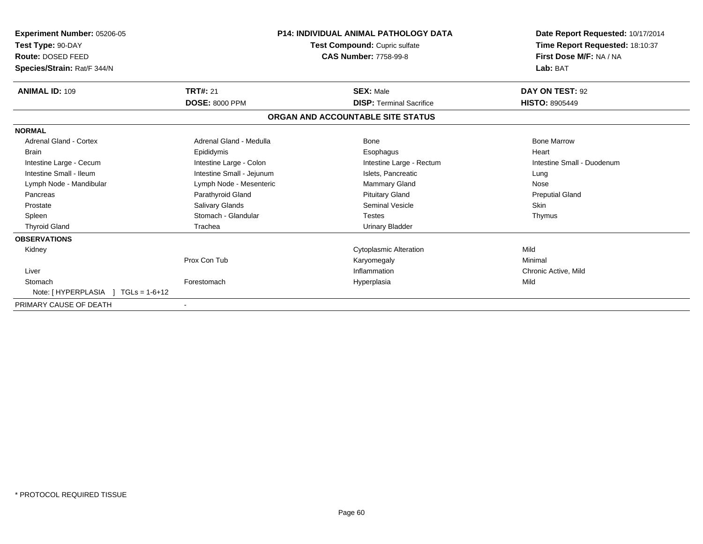| <b>Experiment Number: 05206-05</b><br>Test Type: 90-DAY<br>Route: DOSED FEED<br>Species/Strain: Rat/F 344/N |                           | <b>P14: INDIVIDUAL ANIMAL PATHOLOGY DATA</b><br>Test Compound: Cupric sulfate<br><b>CAS Number: 7758-99-8</b> | Date Report Requested: 10/17/2014<br>Time Report Requested: 18:10:37<br>First Dose M/F: NA / NA<br>Lab: BAT |
|-------------------------------------------------------------------------------------------------------------|---------------------------|---------------------------------------------------------------------------------------------------------------|-------------------------------------------------------------------------------------------------------------|
| <b>ANIMAL ID: 109</b>                                                                                       | <b>TRT#: 21</b>           | <b>SEX: Male</b>                                                                                              | DAY ON TEST: 92                                                                                             |
|                                                                                                             | <b>DOSE: 8000 PPM</b>     | <b>DISP: Terminal Sacrifice</b>                                                                               | <b>HISTO: 8905449</b>                                                                                       |
|                                                                                                             |                           | ORGAN AND ACCOUNTABLE SITE STATUS                                                                             |                                                                                                             |
| <b>NORMAL</b>                                                                                               |                           |                                                                                                               |                                                                                                             |
| <b>Adrenal Gland - Cortex</b>                                                                               | Adrenal Gland - Medulla   | Bone                                                                                                          | <b>Bone Marrow</b>                                                                                          |
| <b>Brain</b>                                                                                                | Epididymis                | Esophagus                                                                                                     | Heart                                                                                                       |
| Intestine Large - Cecum                                                                                     | Intestine Large - Colon   | Intestine Large - Rectum                                                                                      | Intestine Small - Duodenum                                                                                  |
| Intestine Small - Ileum                                                                                     | Intestine Small - Jejunum | Islets, Pancreatic                                                                                            | Lung                                                                                                        |
| Lymph Node - Mandibular                                                                                     | Lymph Node - Mesenteric   | <b>Mammary Gland</b>                                                                                          | Nose                                                                                                        |
| Pancreas                                                                                                    | Parathyroid Gland         | <b>Pituitary Gland</b>                                                                                        | <b>Preputial Gland</b>                                                                                      |
| Prostate                                                                                                    | Salivary Glands           | <b>Seminal Vesicle</b>                                                                                        | Skin                                                                                                        |
| Spleen                                                                                                      | Stomach - Glandular       | <b>Testes</b>                                                                                                 | Thymus                                                                                                      |
| <b>Thyroid Gland</b>                                                                                        | Trachea                   | Urinary Bladder                                                                                               |                                                                                                             |
| <b>OBSERVATIONS</b>                                                                                         |                           |                                                                                                               |                                                                                                             |
| Kidney                                                                                                      |                           | <b>Cytoplasmic Alteration</b>                                                                                 | Mild                                                                                                        |
|                                                                                                             | Prox Con Tub              | Karyomegaly                                                                                                   | Minimal                                                                                                     |
| Liver                                                                                                       |                           | Inflammation                                                                                                  | Chronic Active, Mild                                                                                        |
| Stomach                                                                                                     | Forestomach               | Hyperplasia                                                                                                   | Mild                                                                                                        |
| Note: [HYPERPLASIA ]<br>$TGLs = 1-6+12$                                                                     |                           |                                                                                                               |                                                                                                             |
| PRIMARY CAUSE OF DEATH                                                                                      |                           |                                                                                                               |                                                                                                             |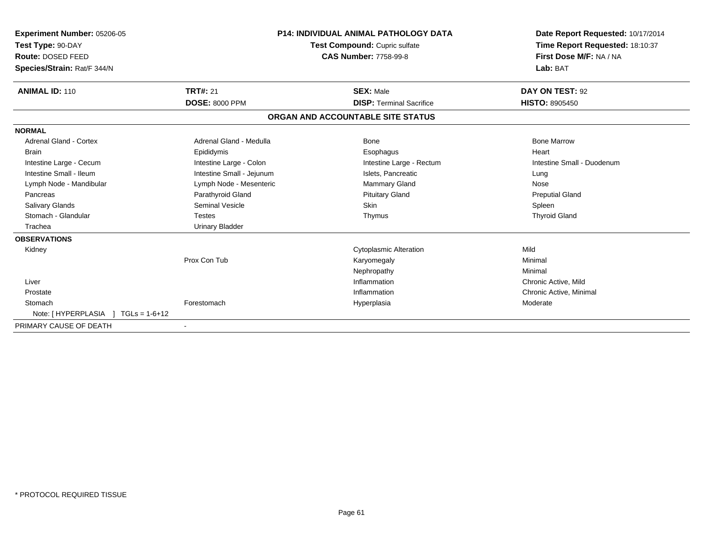| Experiment Number: 05206-05<br>Test Type: 90-DAY<br>Route: DOSED FEED<br>Species/Strain: Rat/F 344/N | <b>P14: INDIVIDUAL ANIMAL PATHOLOGY DATA</b><br>Test Compound: Cupric sulfate<br><b>CAS Number: 7758-99-8</b> |                                   | Date Report Requested: 10/17/2014<br>Time Report Requested: 18:10:37<br>First Dose M/F: NA / NA<br>Lab: BAT |
|------------------------------------------------------------------------------------------------------|---------------------------------------------------------------------------------------------------------------|-----------------------------------|-------------------------------------------------------------------------------------------------------------|
| <b>ANIMAL ID: 110</b>                                                                                | <b>TRT#: 21</b>                                                                                               | <b>SEX: Male</b>                  | DAY ON TEST: 92                                                                                             |
|                                                                                                      | <b>DOSE: 8000 PPM</b>                                                                                         | <b>DISP: Terminal Sacrifice</b>   | <b>HISTO: 8905450</b>                                                                                       |
|                                                                                                      |                                                                                                               | ORGAN AND ACCOUNTABLE SITE STATUS |                                                                                                             |
| <b>NORMAL</b>                                                                                        |                                                                                                               |                                   |                                                                                                             |
| Adrenal Gland - Cortex                                                                               | Adrenal Gland - Medulla                                                                                       | Bone                              | <b>Bone Marrow</b>                                                                                          |
| Brain                                                                                                | Epididymis                                                                                                    | Esophagus                         | Heart                                                                                                       |
| Intestine Large - Cecum                                                                              | Intestine Large - Colon                                                                                       | Intestine Large - Rectum          | Intestine Small - Duodenum                                                                                  |
| Intestine Small - Ileum                                                                              | Intestine Small - Jejunum                                                                                     | Islets, Pancreatic                | Lung                                                                                                        |
| Lymph Node - Mandibular                                                                              | Lymph Node - Mesenteric                                                                                       | Mammary Gland                     | Nose                                                                                                        |
| Pancreas                                                                                             | Parathyroid Gland                                                                                             | <b>Pituitary Gland</b>            | <b>Preputial Gland</b>                                                                                      |
| <b>Salivary Glands</b>                                                                               | Seminal Vesicle                                                                                               | Skin                              | Spleen                                                                                                      |
| Stomach - Glandular                                                                                  | <b>Testes</b>                                                                                                 | Thymus                            | <b>Thyroid Gland</b>                                                                                        |
| Trachea                                                                                              | <b>Urinary Bladder</b>                                                                                        |                                   |                                                                                                             |
| <b>OBSERVATIONS</b>                                                                                  |                                                                                                               |                                   |                                                                                                             |
| Kidney                                                                                               |                                                                                                               | <b>Cytoplasmic Alteration</b>     | Mild                                                                                                        |
|                                                                                                      | Prox Con Tub                                                                                                  | Karyomegaly                       | Minimal                                                                                                     |
|                                                                                                      |                                                                                                               | Nephropathy                       | Minimal                                                                                                     |
| Liver                                                                                                |                                                                                                               | Inflammation                      | Chronic Active, Mild                                                                                        |
| Prostate                                                                                             |                                                                                                               | Inflammation                      | Chronic Active, Minimal                                                                                     |
| Stomach                                                                                              | Forestomach                                                                                                   | Hyperplasia                       | Moderate                                                                                                    |
| Note: [HYPERPLASIA ]<br>$TGLs = 1-6+12$                                                              |                                                                                                               |                                   |                                                                                                             |
| PRIMARY CAUSE OF DEATH                                                                               |                                                                                                               |                                   |                                                                                                             |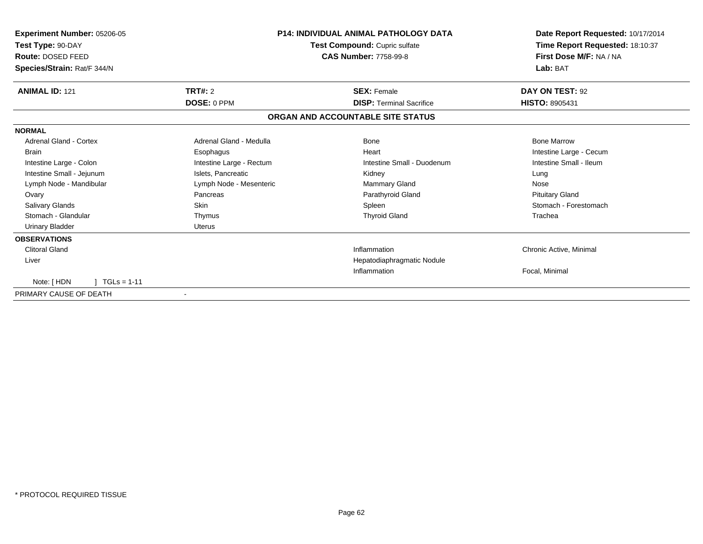| Experiment Number: 05206-05<br>Test Type: 90-DAY<br>Route: DOSED FEED | <b>P14: INDIVIDUAL ANIMAL PATHOLOGY DATA</b><br>Test Compound: Cupric sulfate<br><b>CAS Number: 7758-99-8</b> |                                   | Date Report Requested: 10/17/2014<br>Time Report Requested: 18:10:37<br>First Dose M/F: NA / NA |
|-----------------------------------------------------------------------|---------------------------------------------------------------------------------------------------------------|-----------------------------------|-------------------------------------------------------------------------------------------------|
| Species/Strain: Rat/F 344/N                                           |                                                                                                               |                                   | Lab: BAT                                                                                        |
| <b>ANIMAL ID: 121</b>                                                 | TRT#: 2                                                                                                       | <b>SEX: Female</b>                | DAY ON TEST: 92                                                                                 |
|                                                                       | <b>DOSE: 0 PPM</b>                                                                                            | <b>DISP: Terminal Sacrifice</b>   | <b>HISTO: 8905431</b>                                                                           |
|                                                                       |                                                                                                               | ORGAN AND ACCOUNTABLE SITE STATUS |                                                                                                 |
| <b>NORMAL</b>                                                         |                                                                                                               |                                   |                                                                                                 |
| <b>Adrenal Gland - Cortex</b>                                         | Adrenal Gland - Medulla                                                                                       | Bone                              | <b>Bone Marrow</b>                                                                              |
| <b>Brain</b>                                                          | Esophagus                                                                                                     | Heart                             | Intestine Large - Cecum                                                                         |
| Intestine Large - Colon                                               | Intestine Large - Rectum                                                                                      | Intestine Small - Duodenum        | Intestine Small - Ileum                                                                         |
| Intestine Small - Jejunum                                             | Islets, Pancreatic                                                                                            | Kidney                            | Lung                                                                                            |
| Lymph Node - Mandibular                                               | Lymph Node - Mesenteric                                                                                       | Mammary Gland                     | Nose                                                                                            |
| Ovary                                                                 | Pancreas                                                                                                      | Parathyroid Gland                 | <b>Pituitary Gland</b>                                                                          |
| Salivary Glands                                                       | <b>Skin</b>                                                                                                   | Spleen                            | Stomach - Forestomach                                                                           |
| Stomach - Glandular                                                   | Thymus                                                                                                        | <b>Thyroid Gland</b>              | Trachea                                                                                         |
| <b>Urinary Bladder</b>                                                | <b>Uterus</b>                                                                                                 |                                   |                                                                                                 |
| <b>OBSERVATIONS</b>                                                   |                                                                                                               |                                   |                                                                                                 |
| Clitoral Gland                                                        |                                                                                                               | Inflammation                      | Chronic Active, Minimal                                                                         |
| Liver                                                                 |                                                                                                               | Hepatodiaphragmatic Nodule        |                                                                                                 |
|                                                                       |                                                                                                               | Inflammation                      | Focal, Minimal                                                                                  |
| $TGLs = 1-11$<br>Note: [HDN                                           |                                                                                                               |                                   |                                                                                                 |
| PRIMARY CAUSE OF DEATH                                                |                                                                                                               |                                   |                                                                                                 |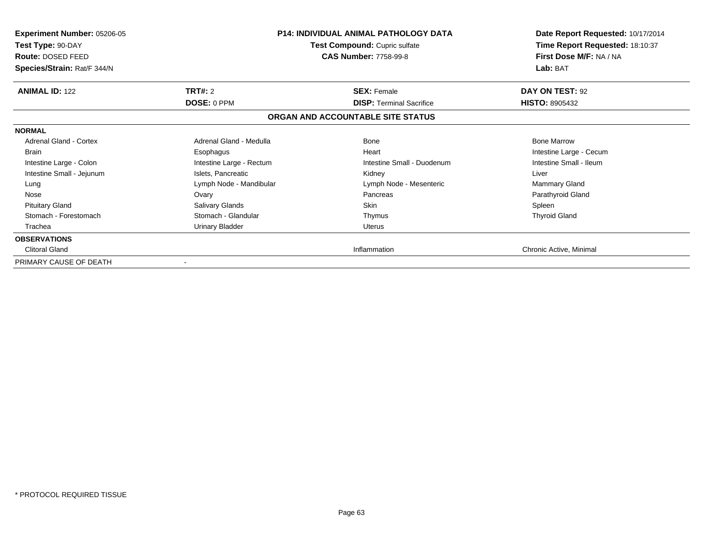| <b>Experiment Number: 05206-05</b><br>Test Type: 90-DAY<br>Route: DOSED FEED<br>Species/Strain: Rat/F 344/N |                          | <b>P14: INDIVIDUAL ANIMAL PATHOLOGY DATA</b><br>Test Compound: Cupric sulfate<br><b>CAS Number: 7758-99-8</b> | Date Report Requested: 10/17/2014<br>Time Report Requested: 18:10:37<br>First Dose M/F: NA / NA<br>Lab: BAT |
|-------------------------------------------------------------------------------------------------------------|--------------------------|---------------------------------------------------------------------------------------------------------------|-------------------------------------------------------------------------------------------------------------|
| <b>ANIMAL ID: 122</b>                                                                                       | TRT#: 2                  | <b>SEX: Female</b>                                                                                            | DAY ON TEST: 92                                                                                             |
|                                                                                                             | DOSE: 0 PPM              | <b>DISP:</b> Terminal Sacrifice                                                                               | <b>HISTO: 8905432</b>                                                                                       |
|                                                                                                             |                          | ORGAN AND ACCOUNTABLE SITE STATUS                                                                             |                                                                                                             |
| <b>NORMAL</b>                                                                                               |                          |                                                                                                               |                                                                                                             |
| Adrenal Gland - Cortex                                                                                      | Adrenal Gland - Medulla  | <b>Bone</b>                                                                                                   | <b>Bone Marrow</b>                                                                                          |
| <b>Brain</b>                                                                                                | Esophagus                | Heart                                                                                                         | Intestine Large - Cecum                                                                                     |
| Intestine Large - Colon                                                                                     | Intestine Large - Rectum | Intestine Small - Duodenum                                                                                    | Intestine Small - Ileum                                                                                     |
| Intestine Small - Jejunum                                                                                   | Islets, Pancreatic       | Kidney                                                                                                        | Liver                                                                                                       |
| Lung                                                                                                        | Lymph Node - Mandibular  | Lymph Node - Mesenteric                                                                                       | <b>Mammary Gland</b>                                                                                        |
| Nose                                                                                                        | Ovary                    | Pancreas                                                                                                      | Parathyroid Gland                                                                                           |
| <b>Pituitary Gland</b>                                                                                      | Salivary Glands          | <b>Skin</b>                                                                                                   | Spleen                                                                                                      |
| Stomach - Forestomach                                                                                       | Stomach - Glandular      | Thymus                                                                                                        | <b>Thyroid Gland</b>                                                                                        |
| Trachea                                                                                                     | Urinary Bladder          | <b>Uterus</b>                                                                                                 |                                                                                                             |
| <b>OBSERVATIONS</b>                                                                                         |                          |                                                                                                               |                                                                                                             |
| <b>Clitoral Gland</b>                                                                                       |                          | Inflammation                                                                                                  | Chronic Active, Minimal                                                                                     |
| PRIMARY CAUSE OF DEATH                                                                                      |                          |                                                                                                               |                                                                                                             |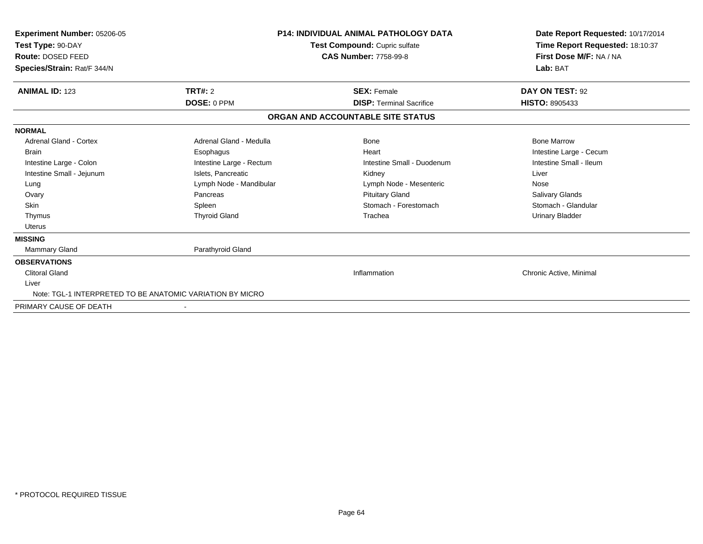| Experiment Number: 05206-05<br>Test Type: 90-DAY<br>Route: DOSED FEED<br>Species/Strain: Rat/F 344/N | <b>P14: INDIVIDUAL ANIMAL PATHOLOGY DATA</b><br>Test Compound: Cupric sulfate<br><b>CAS Number: 7758-99-8</b> |                                   | Date Report Requested: 10/17/2014<br>Time Report Requested: 18:10:37<br>First Dose M/F: NA / NA<br>Lab: BAT |
|------------------------------------------------------------------------------------------------------|---------------------------------------------------------------------------------------------------------------|-----------------------------------|-------------------------------------------------------------------------------------------------------------|
| <b>ANIMAL ID: 123</b>                                                                                | TRT#: 2                                                                                                       | <b>SEX: Female</b>                | DAY ON TEST: 92                                                                                             |
|                                                                                                      | DOSE: 0 PPM                                                                                                   | <b>DISP: Terminal Sacrifice</b>   | <b>HISTO: 8905433</b>                                                                                       |
|                                                                                                      |                                                                                                               | ORGAN AND ACCOUNTABLE SITE STATUS |                                                                                                             |
| <b>NORMAL</b>                                                                                        |                                                                                                               |                                   |                                                                                                             |
| <b>Adrenal Gland - Cortex</b>                                                                        | Adrenal Gland - Medulla                                                                                       | Bone                              | <b>Bone Marrow</b>                                                                                          |
| <b>Brain</b>                                                                                         | Esophagus                                                                                                     | Heart                             | Intestine Large - Cecum                                                                                     |
| Intestine Large - Colon                                                                              | Intestine Large - Rectum                                                                                      | Intestine Small - Duodenum        | Intestine Small - Ileum                                                                                     |
| Intestine Small - Jejunum                                                                            | Islets, Pancreatic                                                                                            | Kidney                            | Liver                                                                                                       |
| Lung                                                                                                 | Lymph Node - Mandibular                                                                                       | Lymph Node - Mesenteric           | Nose                                                                                                        |
| Ovary                                                                                                | Pancreas                                                                                                      | <b>Pituitary Gland</b>            | <b>Salivary Glands</b>                                                                                      |
| <b>Skin</b>                                                                                          | Spleen                                                                                                        | Stomach - Forestomach             | Stomach - Glandular                                                                                         |
| Thymus                                                                                               | <b>Thyroid Gland</b>                                                                                          | Trachea                           | <b>Urinary Bladder</b>                                                                                      |
| <b>Uterus</b>                                                                                        |                                                                                                               |                                   |                                                                                                             |
| <b>MISSING</b>                                                                                       |                                                                                                               |                                   |                                                                                                             |
| <b>Mammary Gland</b>                                                                                 | Parathyroid Gland                                                                                             |                                   |                                                                                                             |
| <b>OBSERVATIONS</b>                                                                                  |                                                                                                               |                                   |                                                                                                             |
| <b>Clitoral Gland</b>                                                                                |                                                                                                               | Inflammation                      | Chronic Active, Minimal                                                                                     |
| Liver                                                                                                |                                                                                                               |                                   |                                                                                                             |
| Note: TGL-1 INTERPRETED TO BE ANATOMIC VARIATION BY MICRO                                            |                                                                                                               |                                   |                                                                                                             |
| PRIMARY CAUSE OF DEATH                                                                               |                                                                                                               |                                   |                                                                                                             |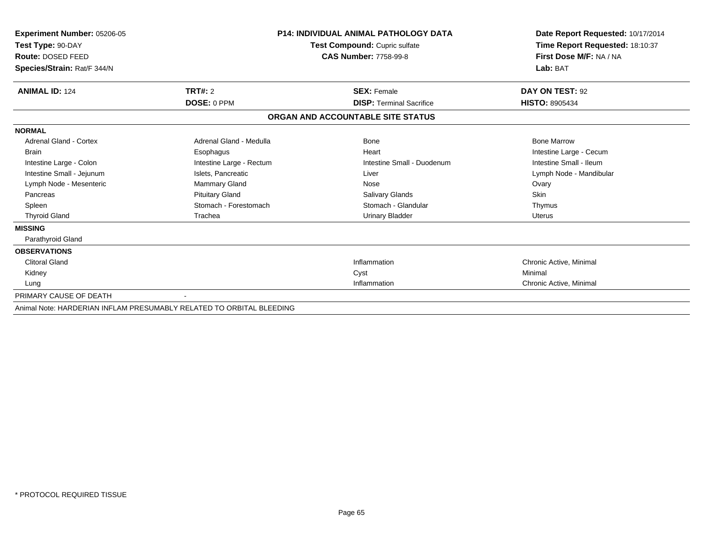| <b>Experiment Number: 05206-05</b>                                   |                               | <b>P14: INDIVIDUAL ANIMAL PATHOLOGY DATA</b> | Date Report Requested: 10/17/2014 |
|----------------------------------------------------------------------|-------------------------------|----------------------------------------------|-----------------------------------|
| Test Type: 90-DAY                                                    | Test Compound: Cupric sulfate |                                              | Time Report Requested: 18:10:37   |
| Route: DOSED FEED                                                    |                               | <b>CAS Number: 7758-99-8</b>                 | First Dose M/F: NA / NA           |
| Species/Strain: Rat/F 344/N                                          |                               |                                              | Lab: BAT                          |
| <b>ANIMAL ID: 124</b>                                                | <b>TRT#: 2</b>                | <b>SEX: Female</b>                           | DAY ON TEST: 92                   |
|                                                                      | DOSE: 0 PPM                   | <b>DISP:</b> Terminal Sacrifice              | <b>HISTO: 8905434</b>             |
|                                                                      |                               | ORGAN AND ACCOUNTABLE SITE STATUS            |                                   |
| <b>NORMAL</b>                                                        |                               |                                              |                                   |
| Adrenal Gland - Cortex                                               | Adrenal Gland - Medulla       | Bone                                         | <b>Bone Marrow</b>                |
| <b>Brain</b>                                                         | Esophagus                     | Heart                                        | Intestine Large - Cecum           |
| Intestine Large - Colon                                              | Intestine Large - Rectum      | Intestine Small - Duodenum                   | Intestine Small - Ileum           |
| Intestine Small - Jejunum                                            | Islets, Pancreatic            | Liver                                        | Lymph Node - Mandibular           |
| Lymph Node - Mesenteric                                              | <b>Mammary Gland</b>          | Nose                                         | Ovary                             |
| Pancreas                                                             | <b>Pituitary Gland</b>        | <b>Salivary Glands</b>                       | <b>Skin</b>                       |
| Spleen                                                               | Stomach - Forestomach         | Stomach - Glandular                          | Thymus                            |
| <b>Thyroid Gland</b>                                                 | Trachea                       | <b>Urinary Bladder</b>                       | Uterus                            |
| <b>MISSING</b>                                                       |                               |                                              |                                   |
| Parathyroid Gland                                                    |                               |                                              |                                   |
| <b>OBSERVATIONS</b>                                                  |                               |                                              |                                   |
| <b>Clitoral Gland</b>                                                |                               | Inflammation                                 | Chronic Active, Minimal           |
| Kidney                                                               |                               | Cyst                                         | Minimal                           |
| Lung                                                                 |                               | Inflammation                                 | Chronic Active, Minimal           |
| PRIMARY CAUSE OF DEATH                                               |                               |                                              |                                   |
| Animal Note: HARDERIAN INFLAM PRESUMABLY RELATED TO ORBITAL BLEEDING |                               |                                              |                                   |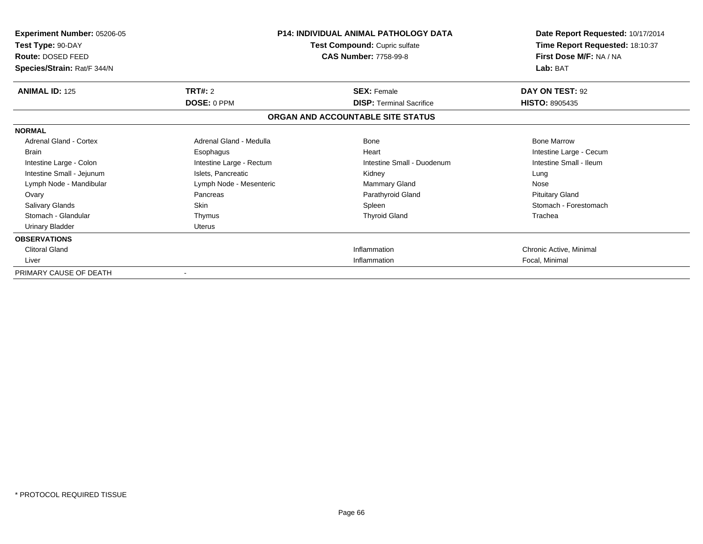| Experiment Number: 05206-05<br>Test Type: 90-DAY<br>Route: DOSED FEED<br>Species/Strain: Rat/F 344/N | <b>P14: INDIVIDUAL ANIMAL PATHOLOGY DATA</b><br>Test Compound: Cupric sulfate<br><b>CAS Number: 7758-99-8</b> |                                   | Date Report Requested: 10/17/2014<br>Time Report Requested: 18:10:37<br>First Dose M/F: NA / NA<br>Lab: BAT |
|------------------------------------------------------------------------------------------------------|---------------------------------------------------------------------------------------------------------------|-----------------------------------|-------------------------------------------------------------------------------------------------------------|
| <b>ANIMAL ID: 125</b>                                                                                | TRT#: 2                                                                                                       | <b>SEX: Female</b>                | DAY ON TEST: 92                                                                                             |
|                                                                                                      | <b>DOSE: 0 PPM</b>                                                                                            | <b>DISP: Terminal Sacrifice</b>   | <b>HISTO: 8905435</b>                                                                                       |
|                                                                                                      |                                                                                                               | ORGAN AND ACCOUNTABLE SITE STATUS |                                                                                                             |
| <b>NORMAL</b>                                                                                        |                                                                                                               |                                   |                                                                                                             |
| <b>Adrenal Gland - Cortex</b>                                                                        | Adrenal Gland - Medulla                                                                                       | Bone                              | <b>Bone Marrow</b>                                                                                          |
| <b>Brain</b>                                                                                         | Esophagus                                                                                                     | Heart                             | Intestine Large - Cecum                                                                                     |
| Intestine Large - Colon                                                                              | Intestine Large - Rectum                                                                                      | Intestine Small - Duodenum        | Intestine Small - Ileum                                                                                     |
| Intestine Small - Jejunum                                                                            | Islets, Pancreatic                                                                                            | Kidney                            | Lung                                                                                                        |
| Lymph Node - Mandibular                                                                              | Lymph Node - Mesenteric                                                                                       | <b>Mammary Gland</b>              | Nose                                                                                                        |
| Ovary                                                                                                | Pancreas                                                                                                      | Parathyroid Gland                 | <b>Pituitary Gland</b>                                                                                      |
| Salivary Glands                                                                                      | <b>Skin</b>                                                                                                   | Spleen                            | Stomach - Forestomach                                                                                       |
| Stomach - Glandular                                                                                  | Thymus                                                                                                        | <b>Thyroid Gland</b>              | Trachea                                                                                                     |
| Urinary Bladder                                                                                      | <b>Uterus</b>                                                                                                 |                                   |                                                                                                             |
| <b>OBSERVATIONS</b>                                                                                  |                                                                                                               |                                   |                                                                                                             |
| <b>Clitoral Gland</b>                                                                                |                                                                                                               | Inflammation                      | Chronic Active, Minimal                                                                                     |
| Liver                                                                                                |                                                                                                               | Inflammation                      | Focal, Minimal                                                                                              |
| PRIMARY CAUSE OF DEATH                                                                               | $\blacksquare$                                                                                                |                                   |                                                                                                             |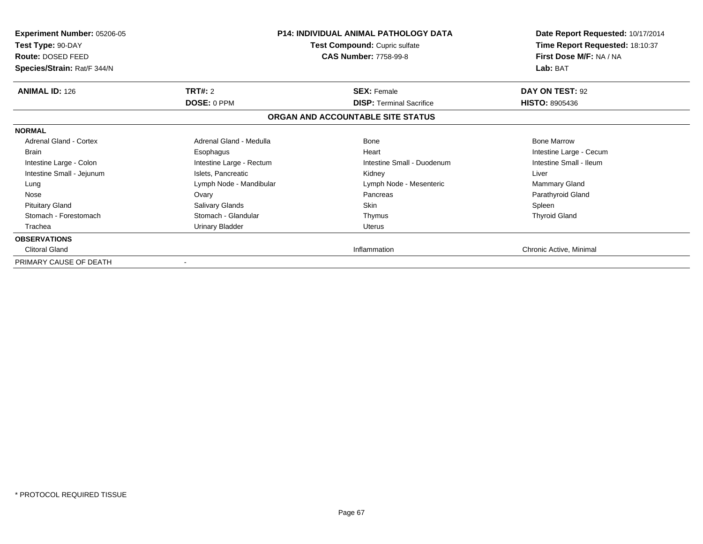| <b>Experiment Number: 05206-05</b><br>Test Type: 90-DAY<br>Route: DOSED FEED<br>Species/Strain: Rat/F 344/N |                          | <b>P14: INDIVIDUAL ANIMAL PATHOLOGY DATA</b><br><b>Test Compound: Cupric sulfate</b><br><b>CAS Number: 7758-99-8</b> | Date Report Requested: 10/17/2014<br>Time Report Requested: 18:10:37<br>First Dose M/F: NA / NA<br>Lab: BAT |
|-------------------------------------------------------------------------------------------------------------|--------------------------|----------------------------------------------------------------------------------------------------------------------|-------------------------------------------------------------------------------------------------------------|
| <b>ANIMAL ID: 126</b>                                                                                       | TRT#: 2                  | <b>SEX: Female</b>                                                                                                   | DAY ON TEST: 92                                                                                             |
|                                                                                                             | DOSE: 0 PPM              | <b>DISP:</b> Terminal Sacrifice                                                                                      | <b>HISTO: 8905436</b>                                                                                       |
|                                                                                                             |                          | ORGAN AND ACCOUNTABLE SITE STATUS                                                                                    |                                                                                                             |
| <b>NORMAL</b>                                                                                               |                          |                                                                                                                      |                                                                                                             |
| Adrenal Gland - Cortex                                                                                      | Adrenal Gland - Medulla  | Bone                                                                                                                 | <b>Bone Marrow</b>                                                                                          |
| <b>Brain</b>                                                                                                | Esophagus                | Heart                                                                                                                | Intestine Large - Cecum                                                                                     |
| Intestine Large - Colon                                                                                     | Intestine Large - Rectum | Intestine Small - Duodenum                                                                                           | Intestine Small - Ileum                                                                                     |
| Intestine Small - Jejunum                                                                                   | Islets, Pancreatic       | Kidney                                                                                                               | Liver                                                                                                       |
| Lung                                                                                                        | Lymph Node - Mandibular  | Lymph Node - Mesenteric                                                                                              | Mammary Gland                                                                                               |
| Nose                                                                                                        | Ovary                    | Pancreas                                                                                                             | Parathyroid Gland                                                                                           |
| <b>Pituitary Gland</b>                                                                                      | Salivary Glands          | Skin                                                                                                                 | Spleen                                                                                                      |
| Stomach - Forestomach                                                                                       | Stomach - Glandular      | Thymus                                                                                                               | <b>Thyroid Gland</b>                                                                                        |
| Trachea                                                                                                     | Urinary Bladder          | <b>Uterus</b>                                                                                                        |                                                                                                             |
| <b>OBSERVATIONS</b>                                                                                         |                          |                                                                                                                      |                                                                                                             |
| <b>Clitoral Gland</b>                                                                                       |                          | Inflammation                                                                                                         | Chronic Active, Minimal                                                                                     |
| PRIMARY CAUSE OF DEATH                                                                                      |                          |                                                                                                                      |                                                                                                             |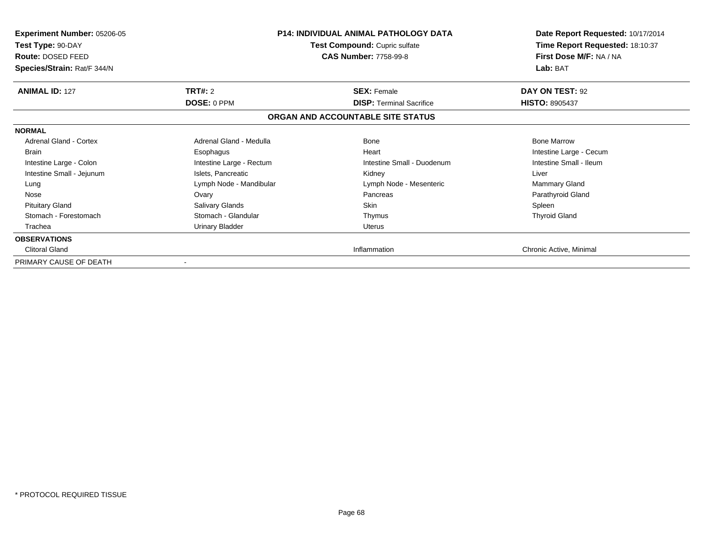| <b>Experiment Number: 05206-05</b><br>Test Type: 90-DAY<br>Route: DOSED FEED<br>Species/Strain: Rat/F 344/N |                          | <b>P14: INDIVIDUAL ANIMAL PATHOLOGY DATA</b><br><b>Test Compound: Cupric sulfate</b><br><b>CAS Number: 7758-99-8</b> | Date Report Requested: 10/17/2014<br>Time Report Requested: 18:10:37<br>First Dose M/F: NA / NA<br>Lab: BAT |
|-------------------------------------------------------------------------------------------------------------|--------------------------|----------------------------------------------------------------------------------------------------------------------|-------------------------------------------------------------------------------------------------------------|
| <b>ANIMAL ID: 127</b>                                                                                       | TRT#: 2                  | <b>SEX: Female</b>                                                                                                   | DAY ON TEST: 92                                                                                             |
|                                                                                                             | DOSE: 0 PPM              | <b>DISP:</b> Terminal Sacrifice                                                                                      | <b>HISTO: 8905437</b>                                                                                       |
|                                                                                                             |                          | ORGAN AND ACCOUNTABLE SITE STATUS                                                                                    |                                                                                                             |
| <b>NORMAL</b>                                                                                               |                          |                                                                                                                      |                                                                                                             |
| Adrenal Gland - Cortex                                                                                      | Adrenal Gland - Medulla  | <b>Bone</b>                                                                                                          | <b>Bone Marrow</b>                                                                                          |
| <b>Brain</b>                                                                                                | Esophagus                | Heart                                                                                                                | Intestine Large - Cecum                                                                                     |
| Intestine Large - Colon                                                                                     | Intestine Large - Rectum | Intestine Small - Duodenum                                                                                           | Intestine Small - Ileum                                                                                     |
| Intestine Small - Jejunum                                                                                   | Islets, Pancreatic       | Kidney                                                                                                               | Liver                                                                                                       |
| Lung                                                                                                        | Lymph Node - Mandibular  | Lymph Node - Mesenteric                                                                                              | Mammary Gland                                                                                               |
| Nose                                                                                                        | Ovary                    | Pancreas                                                                                                             | Parathyroid Gland                                                                                           |
| <b>Pituitary Gland</b>                                                                                      | Salivary Glands          | Skin                                                                                                                 | Spleen                                                                                                      |
| Stomach - Forestomach                                                                                       | Stomach - Glandular      | Thymus                                                                                                               | <b>Thyroid Gland</b>                                                                                        |
| Trachea                                                                                                     | Urinary Bladder          | <b>Uterus</b>                                                                                                        |                                                                                                             |
| <b>OBSERVATIONS</b>                                                                                         |                          |                                                                                                                      |                                                                                                             |
| <b>Clitoral Gland</b>                                                                                       |                          | Inflammation                                                                                                         | Chronic Active, Minimal                                                                                     |
| PRIMARY CAUSE OF DEATH                                                                                      |                          |                                                                                                                      |                                                                                                             |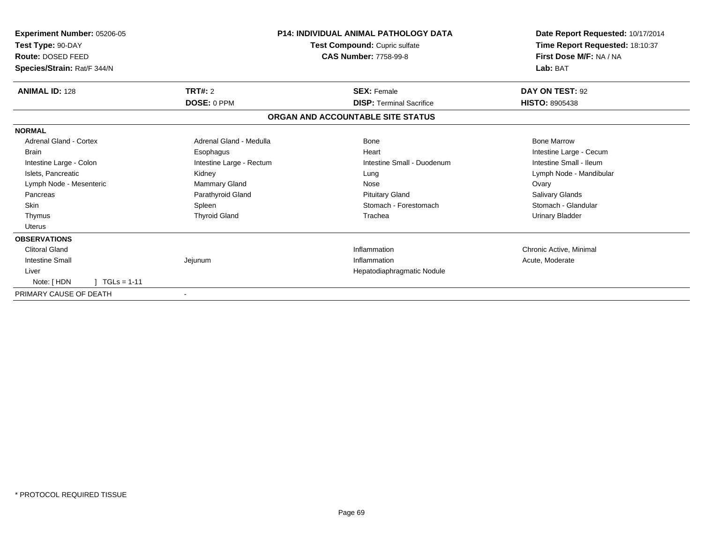| Experiment Number: 05206-05<br>Test Type: 90-DAY<br>Route: DOSED FEED<br>Species/Strain: Rat/F 344/N | <b>P14: INDIVIDUAL ANIMAL PATHOLOGY DATA</b><br>Test Compound: Cupric sulfate<br><b>CAS Number: 7758-99-8</b> |                                   | Date Report Requested: 10/17/2014<br>Time Report Requested: 18:10:37<br>First Dose M/F: NA / NA<br>Lab: BAT |
|------------------------------------------------------------------------------------------------------|---------------------------------------------------------------------------------------------------------------|-----------------------------------|-------------------------------------------------------------------------------------------------------------|
| <b>ANIMAL ID: 128</b>                                                                                | TRT#: 2                                                                                                       | <b>SEX: Female</b>                | DAY ON TEST: 92                                                                                             |
|                                                                                                      | DOSE: 0 PPM                                                                                                   | <b>DISP: Terminal Sacrifice</b>   | <b>HISTO: 8905438</b>                                                                                       |
|                                                                                                      |                                                                                                               | ORGAN AND ACCOUNTABLE SITE STATUS |                                                                                                             |
| <b>NORMAL</b>                                                                                        |                                                                                                               |                                   |                                                                                                             |
| Adrenal Gland - Cortex                                                                               | Adrenal Gland - Medulla                                                                                       | <b>Bone</b>                       | <b>Bone Marrow</b>                                                                                          |
| <b>Brain</b>                                                                                         | Esophagus                                                                                                     | Heart                             | Intestine Large - Cecum                                                                                     |
| Intestine Large - Colon                                                                              | Intestine Large - Rectum                                                                                      | Intestine Small - Duodenum        | Intestine Small - Ileum                                                                                     |
| Islets, Pancreatic                                                                                   | Kidney                                                                                                        | Lung                              | Lymph Node - Mandibular                                                                                     |
| Lymph Node - Mesenteric                                                                              | Mammary Gland                                                                                                 | Nose                              | Ovary                                                                                                       |
| Pancreas                                                                                             | Parathyroid Gland                                                                                             | <b>Pituitary Gland</b>            | Salivary Glands                                                                                             |
| <b>Skin</b>                                                                                          | Spleen                                                                                                        | Stomach - Forestomach             | Stomach - Glandular                                                                                         |
| Thymus                                                                                               | <b>Thyroid Gland</b>                                                                                          | Trachea                           | Urinary Bladder                                                                                             |
| <b>Uterus</b>                                                                                        |                                                                                                               |                                   |                                                                                                             |
| <b>OBSERVATIONS</b>                                                                                  |                                                                                                               |                                   |                                                                                                             |
| <b>Clitoral Gland</b>                                                                                |                                                                                                               | Inflammation                      | Chronic Active, Minimal                                                                                     |
| <b>Intestine Small</b>                                                                               | Jejunum                                                                                                       | Inflammation                      | Acute, Moderate                                                                                             |
| Liver                                                                                                |                                                                                                               | Hepatodiaphragmatic Nodule        |                                                                                                             |
| $TGLs = 1-11$<br>Note: [HDN                                                                          |                                                                                                               |                                   |                                                                                                             |
| PRIMARY CAUSE OF DEATH                                                                               |                                                                                                               |                                   |                                                                                                             |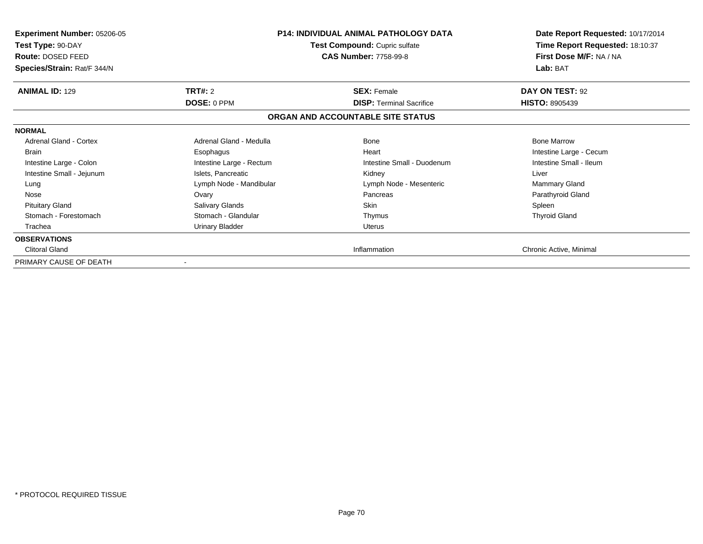| <b>Experiment Number: 05206-05</b><br>Test Type: 90-DAY<br>Route: DOSED FEED<br>Species/Strain: Rat/F 344/N |                          | <b>P14: INDIVIDUAL ANIMAL PATHOLOGY DATA</b><br>Test Compound: Cupric sulfate<br><b>CAS Number: 7758-99-8</b> | Date Report Requested: 10/17/2014<br>Time Report Requested: 18:10:37<br>First Dose M/F: NA / NA<br>Lab: BAT |
|-------------------------------------------------------------------------------------------------------------|--------------------------|---------------------------------------------------------------------------------------------------------------|-------------------------------------------------------------------------------------------------------------|
| <b>ANIMAL ID: 129</b>                                                                                       | TRT#: 2<br>DOSE: 0 PPM   | <b>SEX: Female</b><br><b>DISP: Terminal Sacrifice</b>                                                         | DAY ON TEST: 92<br><b>HISTO: 8905439</b>                                                                    |
|                                                                                                             |                          | ORGAN AND ACCOUNTABLE SITE STATUS                                                                             |                                                                                                             |
| <b>NORMAL</b>                                                                                               |                          |                                                                                                               |                                                                                                             |
| Adrenal Gland - Cortex                                                                                      | Adrenal Gland - Medulla  | Bone                                                                                                          | <b>Bone Marrow</b>                                                                                          |
| <b>Brain</b>                                                                                                | Esophagus                | Heart                                                                                                         | Intestine Large - Cecum                                                                                     |
| Intestine Large - Colon                                                                                     | Intestine Large - Rectum | Intestine Small - Duodenum                                                                                    | Intestine Small - Ileum                                                                                     |
| Intestine Small - Jejunum                                                                                   | Islets, Pancreatic       | Kidney                                                                                                        | Liver                                                                                                       |
| Lung                                                                                                        | Lymph Node - Mandibular  | Lymph Node - Mesenteric                                                                                       | Mammary Gland                                                                                               |
| Nose                                                                                                        | Ovary                    | Pancreas                                                                                                      | Parathyroid Gland                                                                                           |
| <b>Pituitary Gland</b>                                                                                      | Salivary Glands          | Skin                                                                                                          | Spleen                                                                                                      |
| Stomach - Forestomach                                                                                       | Stomach - Glandular      | Thymus                                                                                                        | <b>Thyroid Gland</b>                                                                                        |
| Trachea                                                                                                     | Urinary Bladder          | <b>Uterus</b>                                                                                                 |                                                                                                             |
| <b>OBSERVATIONS</b>                                                                                         |                          |                                                                                                               |                                                                                                             |
| <b>Clitoral Gland</b>                                                                                       |                          | Inflammation                                                                                                  | Chronic Active, Minimal                                                                                     |
| PRIMARY CAUSE OF DEATH                                                                                      |                          |                                                                                                               |                                                                                                             |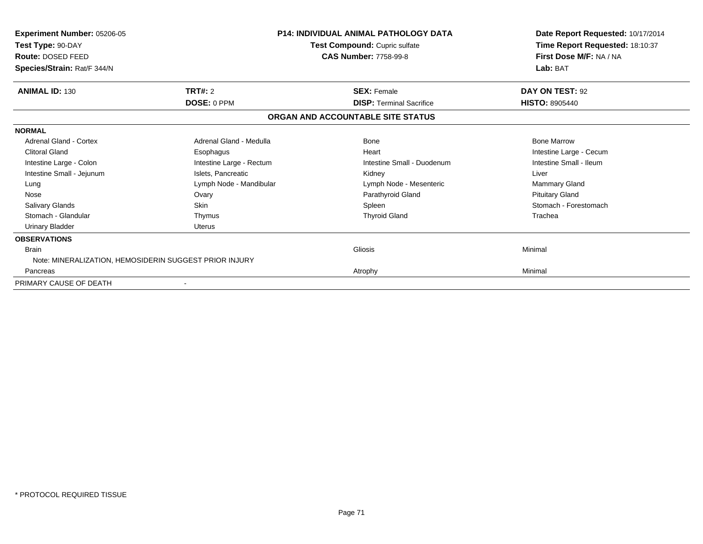| <b>Experiment Number: 05206-05</b><br>Test Type: 90-DAY<br>Route: DOSED FEED<br>Species/Strain: Rat/F 344/N |                          | <b>P14: INDIVIDUAL ANIMAL PATHOLOGY DATA</b><br>Test Compound: Cupric sulfate<br><b>CAS Number: 7758-99-8</b> | Date Report Requested: 10/17/2014<br>Time Report Requested: 18:10:37<br>First Dose M/F: NA / NA<br>Lab: BAT |
|-------------------------------------------------------------------------------------------------------------|--------------------------|---------------------------------------------------------------------------------------------------------------|-------------------------------------------------------------------------------------------------------------|
| <b>ANIMAL ID: 130</b>                                                                                       | <b>TRT#: 2</b>           | <b>SEX: Female</b>                                                                                            | DAY ON TEST: 92                                                                                             |
|                                                                                                             | <b>DOSE: 0 PPM</b>       | <b>DISP: Terminal Sacrifice</b>                                                                               | <b>HISTO: 8905440</b>                                                                                       |
|                                                                                                             |                          | ORGAN AND ACCOUNTABLE SITE STATUS                                                                             |                                                                                                             |
| <b>NORMAL</b>                                                                                               |                          |                                                                                                               |                                                                                                             |
| Adrenal Gland - Cortex                                                                                      | Adrenal Gland - Medulla  | Bone                                                                                                          | <b>Bone Marrow</b>                                                                                          |
| <b>Clitoral Gland</b>                                                                                       | Esophagus                | Heart                                                                                                         | Intestine Large - Cecum                                                                                     |
| Intestine Large - Colon                                                                                     | Intestine Large - Rectum | Intestine Small - Duodenum                                                                                    | Intestine Small - Ileum                                                                                     |
| Intestine Small - Jejunum                                                                                   | Islets. Pancreatic       | Kidney                                                                                                        | Liver                                                                                                       |
| Lung                                                                                                        | Lymph Node - Mandibular  | Lymph Node - Mesenteric                                                                                       | Mammary Gland                                                                                               |
| Nose                                                                                                        | Ovary                    | Parathyroid Gland                                                                                             | <b>Pituitary Gland</b>                                                                                      |
| Salivary Glands                                                                                             | Skin                     | Spleen                                                                                                        | Stomach - Forestomach                                                                                       |
| Stomach - Glandular                                                                                         | Thymus                   | <b>Thyroid Gland</b>                                                                                          | Trachea                                                                                                     |
| <b>Urinary Bladder</b>                                                                                      | <b>Uterus</b>            |                                                                                                               |                                                                                                             |
| <b>OBSERVATIONS</b>                                                                                         |                          |                                                                                                               |                                                                                                             |
| <b>Brain</b><br>Note: MINERALIZATION, HEMOSIDERIN SUGGEST PRIOR INJURY                                      |                          | Gliosis                                                                                                       | Minimal                                                                                                     |
| Pancreas                                                                                                    |                          | Atrophy                                                                                                       | Minimal                                                                                                     |
| PRIMARY CAUSE OF DEATH                                                                                      |                          |                                                                                                               |                                                                                                             |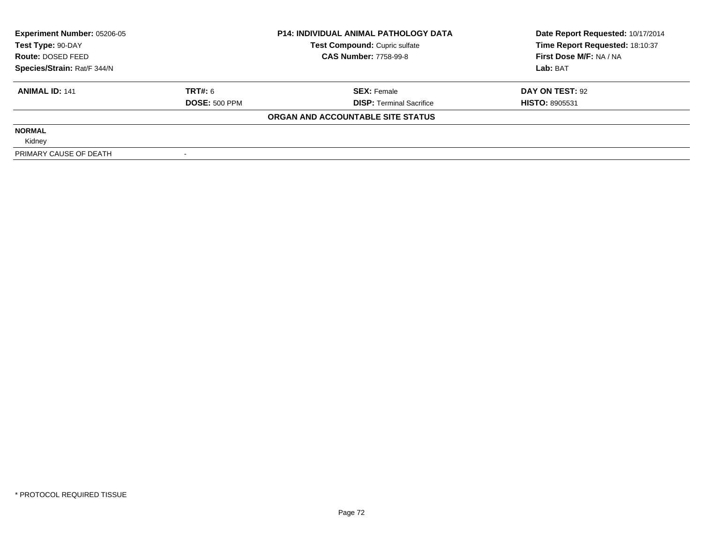| <b>Experiment Number: 05206-05</b><br>Test Type: 90-DAY |                      | <b>P14: INDIVIDUAL ANIMAL PATHOLOGY DATA</b> | Date Report Requested: 10/17/2014 |  |
|---------------------------------------------------------|----------------------|----------------------------------------------|-----------------------------------|--|
|                                                         |                      | <b>Test Compound: Cupric sulfate</b>         | Time Report Requested: 18:10:37   |  |
| Route: DOSED FEED                                       |                      | <b>CAS Number: 7758-99-8</b>                 | First Dose M/F: NA / NA           |  |
| Species/Strain: Rat/F 344/N                             |                      |                                              | Lab: BAT                          |  |
| <b>ANIMAL ID: 141</b>                                   | TRT#: 6              | <b>SEX: Female</b>                           | DAY ON TEST: 92                   |  |
|                                                         | <b>DOSE: 500 PPM</b> | <b>DISP: Terminal Sacrifice</b>              | <b>HISTO: 8905531</b>             |  |
|                                                         |                      | ORGAN AND ACCOUNTABLE SITE STATUS            |                                   |  |
| <b>NORMAL</b>                                           |                      |                                              |                                   |  |
| Kidney                                                  |                      |                                              |                                   |  |
| PRIMARY CAUSE OF DEATH                                  |                      |                                              |                                   |  |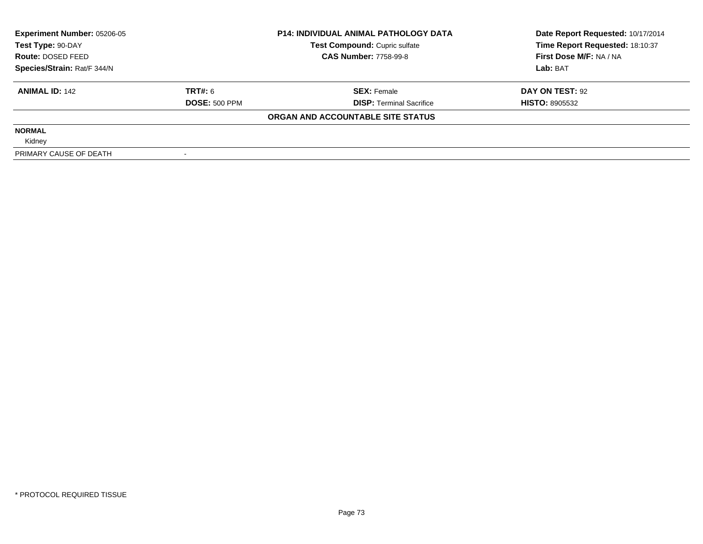| <b>Experiment Number: 05206-05</b><br>Test Type: 90-DAY<br>Route: DOSED FEED |                      | <b>P14: INDIVIDUAL ANIMAL PATHOLOGY DATA</b> | Date Report Requested: 10/17/2014 |  |
|------------------------------------------------------------------------------|----------------------|----------------------------------------------|-----------------------------------|--|
|                                                                              |                      | Test Compound: Cupric sulfate                | Time Report Requested: 18:10:37   |  |
|                                                                              |                      | <b>CAS Number: 7758-99-8</b>                 | First Dose M/F: NA / NA           |  |
| Species/Strain: Rat/F 344/N                                                  |                      |                                              | Lab: BAT                          |  |
| <b>ANIMAL ID: 142</b>                                                        | TRT#: 6              | <b>SEX: Female</b>                           | DAY ON TEST: 92                   |  |
|                                                                              | <b>DOSE: 500 PPM</b> | <b>DISP: Terminal Sacrifice</b>              | <b>HISTO: 8905532</b>             |  |
|                                                                              |                      | ORGAN AND ACCOUNTABLE SITE STATUS            |                                   |  |
| <b>NORMAL</b>                                                                |                      |                                              |                                   |  |
| Kidney                                                                       |                      |                                              |                                   |  |
| PRIMARY CAUSE OF DEATH                                                       |                      |                                              |                                   |  |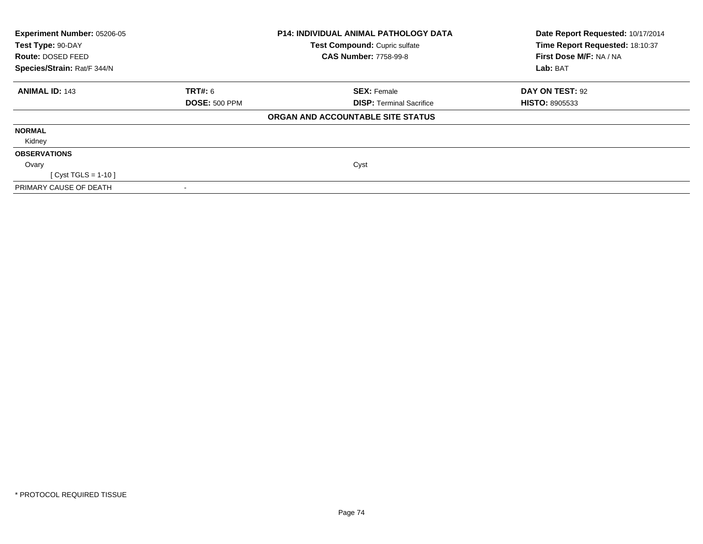| Experiment Number: 05206-05<br>Test Type: 90-DAY<br>Route: DOSED FEED |                      | <b>P14: INDIVIDUAL ANIMAL PATHOLOGY DATA</b><br>Test Compound: Cupric sulfate<br><b>CAS Number: 7758-99-8</b> | Date Report Requested: 10/17/2014<br>Time Report Requested: 18:10:37<br>First Dose M/F: NA / NA |
|-----------------------------------------------------------------------|----------------------|---------------------------------------------------------------------------------------------------------------|-------------------------------------------------------------------------------------------------|
| Species/Strain: Rat/F 344/N                                           |                      |                                                                                                               | Lab: BAT                                                                                        |
| <b>ANIMAL ID: 143</b>                                                 | <b>TRT#: 6</b>       | <b>SEX: Female</b>                                                                                            | DAY ON TEST: 92                                                                                 |
|                                                                       | <b>DOSE: 500 PPM</b> | <b>DISP:</b> Terminal Sacrifice                                                                               | <b>HISTO: 8905533</b>                                                                           |
|                                                                       |                      | ORGAN AND ACCOUNTABLE SITE STATUS                                                                             |                                                                                                 |
| <b>NORMAL</b>                                                         |                      |                                                                                                               |                                                                                                 |
| Kidney                                                                |                      |                                                                                                               |                                                                                                 |
| <b>OBSERVATIONS</b>                                                   |                      |                                                                                                               |                                                                                                 |
| Ovary                                                                 |                      | Cyst                                                                                                          |                                                                                                 |
| $Cyst TGLS = 1-10$                                                    |                      |                                                                                                               |                                                                                                 |
| PRIMARY CAUSE OF DEATH                                                |                      |                                                                                                               |                                                                                                 |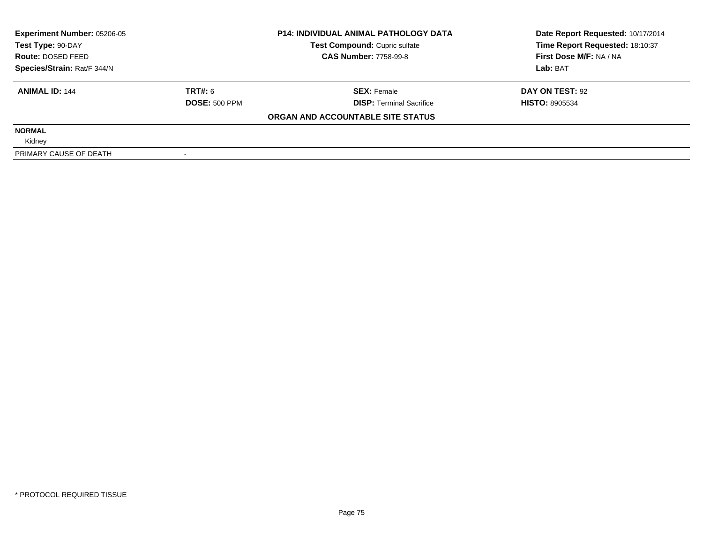| <b>Experiment Number: 05206-05</b><br>Test Type: 90-DAY<br>Route: DOSED FEED |                      | <b>P14: INDIVIDUAL ANIMAL PATHOLOGY DATA</b> | Date Report Requested: 10/17/2014 |  |
|------------------------------------------------------------------------------|----------------------|----------------------------------------------|-----------------------------------|--|
|                                                                              |                      | Test Compound: Cupric sulfate                | Time Report Requested: 18:10:37   |  |
|                                                                              |                      | <b>CAS Number: 7758-99-8</b>                 | First Dose M/F: NA / NA           |  |
| Species/Strain: Rat/F 344/N                                                  |                      |                                              | Lab: BAT                          |  |
| <b>ANIMAL ID: 144</b>                                                        | TRT#: 6              | <b>SEX: Female</b>                           | DAY ON TEST: 92                   |  |
|                                                                              | <b>DOSE: 500 PPM</b> | <b>DISP: Terminal Sacrifice</b>              | <b>HISTO: 8905534</b>             |  |
|                                                                              |                      | ORGAN AND ACCOUNTABLE SITE STATUS            |                                   |  |
| <b>NORMAL</b>                                                                |                      |                                              |                                   |  |
| Kidney                                                                       |                      |                                              |                                   |  |
| PRIMARY CAUSE OF DEATH                                                       |                      |                                              |                                   |  |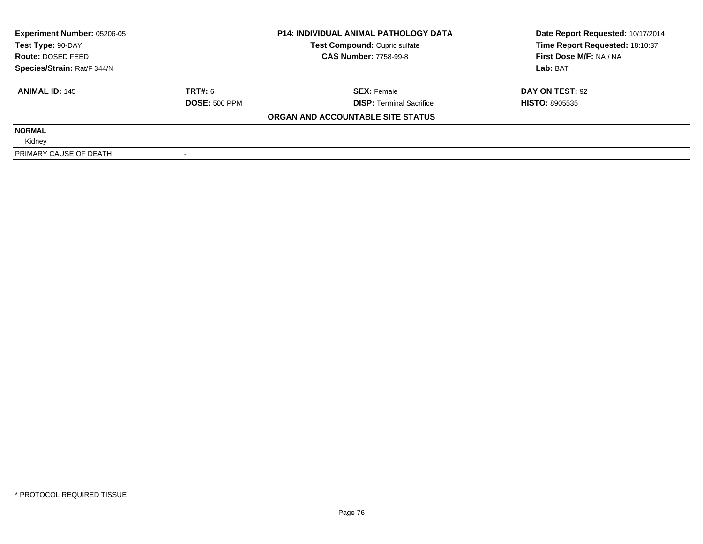| <b>Experiment Number: 05206-05</b><br>Test Type: 90-DAY<br>Route: DOSED FEED |                      | <b>P14: INDIVIDUAL ANIMAL PATHOLOGY DATA</b> | Date Report Requested: 10/17/2014 |  |
|------------------------------------------------------------------------------|----------------------|----------------------------------------------|-----------------------------------|--|
|                                                                              |                      | Test Compound: Cupric sulfate                | Time Report Requested: 18:10:37   |  |
|                                                                              |                      | <b>CAS Number: 7758-99-8</b>                 | First Dose M/F: NA / NA           |  |
| Species/Strain: Rat/F 344/N                                                  |                      |                                              | Lab: BAT                          |  |
| <b>ANIMAL ID: 145</b>                                                        | TRT#: 6              | <b>SEX: Female</b>                           | DAY ON TEST: 92                   |  |
|                                                                              | <b>DOSE: 500 PPM</b> | <b>DISP: Terminal Sacrifice</b>              | <b>HISTO: 8905535</b>             |  |
|                                                                              |                      | ORGAN AND ACCOUNTABLE SITE STATUS            |                                   |  |
| <b>NORMAL</b>                                                                |                      |                                              |                                   |  |
| Kidney                                                                       |                      |                                              |                                   |  |
| PRIMARY CAUSE OF DEATH                                                       |                      |                                              |                                   |  |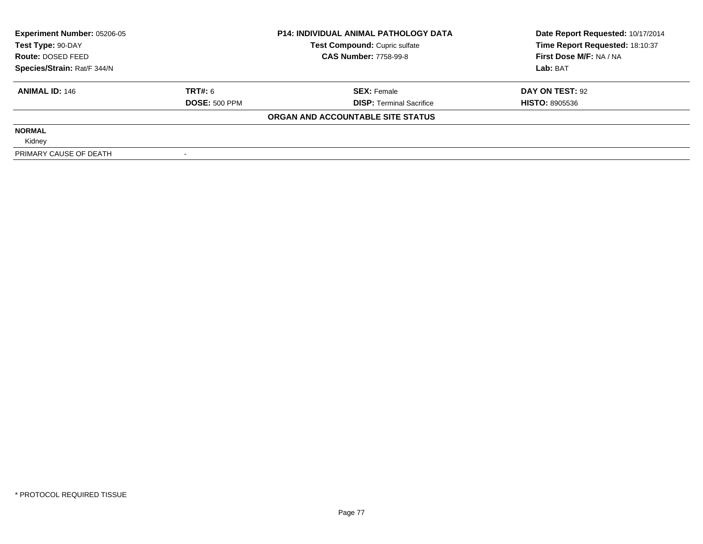| Experiment Number: 05206-05<br>Test Type: 90-DAY<br>Route: DOSED FEED<br>Species/Strain: Rat/F 344/N |                      | <b>P14: INDIVIDUAL ANIMAL PATHOLOGY DATA</b> | Date Report Requested: 10/17/2014 |  |
|------------------------------------------------------------------------------------------------------|----------------------|----------------------------------------------|-----------------------------------|--|
|                                                                                                      |                      | Test Compound: Cupric sulfate                | Time Report Requested: 18:10:37   |  |
|                                                                                                      |                      | <b>CAS Number: 7758-99-8</b>                 | First Dose M/F: NA / NA           |  |
|                                                                                                      |                      |                                              | Lab: BAT                          |  |
| <b>ANIMAL ID: 146</b>                                                                                | TRT#: 6              | <b>SEX: Female</b>                           | DAY ON TEST: 92                   |  |
|                                                                                                      | <b>DOSE: 500 PPM</b> | <b>DISP:</b> Terminal Sacrifice              | <b>HISTO: 8905536</b>             |  |
|                                                                                                      |                      | ORGAN AND ACCOUNTABLE SITE STATUS            |                                   |  |
| <b>NORMAL</b>                                                                                        |                      |                                              |                                   |  |
| Kidney                                                                                               |                      |                                              |                                   |  |
| PRIMARY CAUSE OF DEATH                                                                               |                      |                                              |                                   |  |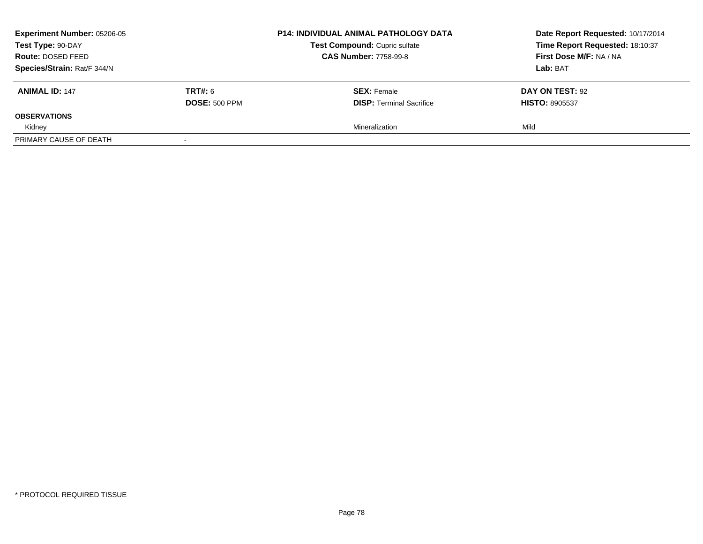| <b>Experiment Number: 05206-05</b><br>Test Type: 90-DAY<br>Route: DOSED FEED |                      | <b>P14: INDIVIDUAL ANIMAL PATHOLOGY DATA</b> | Date Report Requested: 10/17/2014 |
|------------------------------------------------------------------------------|----------------------|----------------------------------------------|-----------------------------------|
|                                                                              |                      | Test Compound: Cupric sulfate                | Time Report Requested: 18:10:37   |
|                                                                              |                      | <b>CAS Number: 7758-99-8</b>                 | First Dose M/F: NA / NA           |
| Species/Strain: Rat/F 344/N                                                  |                      |                                              | Lab: BAT                          |
| <b>ANIMAL ID: 147</b>                                                        | <b>TRT#: 6</b>       | <b>SEX: Female</b>                           | DAY ON TEST: 92                   |
|                                                                              | <b>DOSE: 500 PPM</b> | <b>DISP:</b> Terminal Sacrifice              | <b>HISTO: 8905537</b>             |
| <b>OBSERVATIONS</b>                                                          |                      |                                              |                                   |
| Kidney                                                                       |                      | Mineralization                               | Mild                              |
| PRIMARY CAUSE OF DEATH                                                       |                      |                                              |                                   |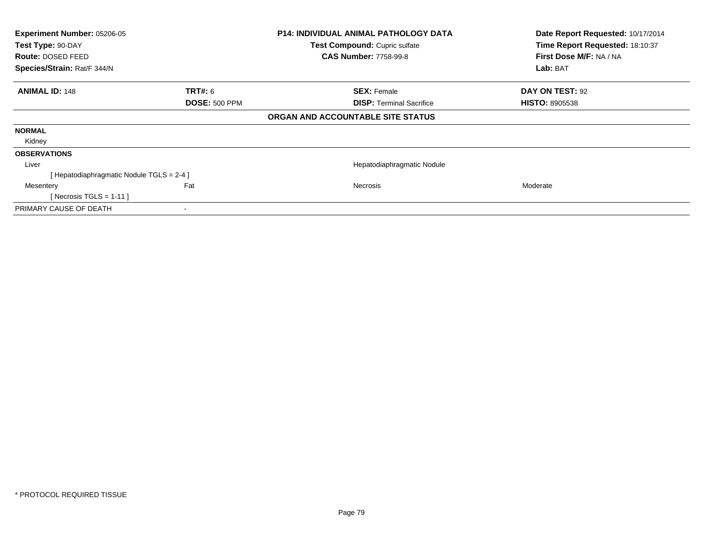| Experiment Number: 05206-05 |                                          | <b>P14: INDIVIDUAL ANIMAL PATHOLOGY DATA</b> | Date Report Requested: 10/17/2014 |
|-----------------------------|------------------------------------------|----------------------------------------------|-----------------------------------|
| Test Type: 90-DAY           |                                          | Test Compound: Cupric sulfate                | Time Report Requested: 18:10:37   |
| <b>Route: DOSED FEED</b>    |                                          | <b>CAS Number: 7758-99-8</b>                 | First Dose M/F: NA / NA           |
| Species/Strain: Rat/F 344/N |                                          |                                              | Lab: BAT                          |
| <b>ANIMAL ID: 148</b>       | <b>TRT#:</b> 6                           | <b>SEX: Female</b>                           | DAY ON TEST: 92                   |
|                             | <b>DOSE: 500 PPM</b>                     | <b>DISP:</b> Terminal Sacrifice              | <b>HISTO: 8905538</b>             |
|                             |                                          | ORGAN AND ACCOUNTABLE SITE STATUS            |                                   |
| <b>NORMAL</b>               |                                          |                                              |                                   |
| Kidney                      |                                          |                                              |                                   |
| <b>OBSERVATIONS</b>         |                                          |                                              |                                   |
| Liver                       |                                          | Hepatodiaphragmatic Nodule                   |                                   |
|                             | [Hepatodiaphragmatic Nodule TGLS = 2-4 ] |                                              |                                   |
| Mesentery                   | Fat                                      | <b>Necrosis</b>                              | Moderate                          |
| [ Necrosis TGLS = $1-11$ ]  |                                          |                                              |                                   |
| PRIMARY CAUSE OF DEATH      |                                          |                                              |                                   |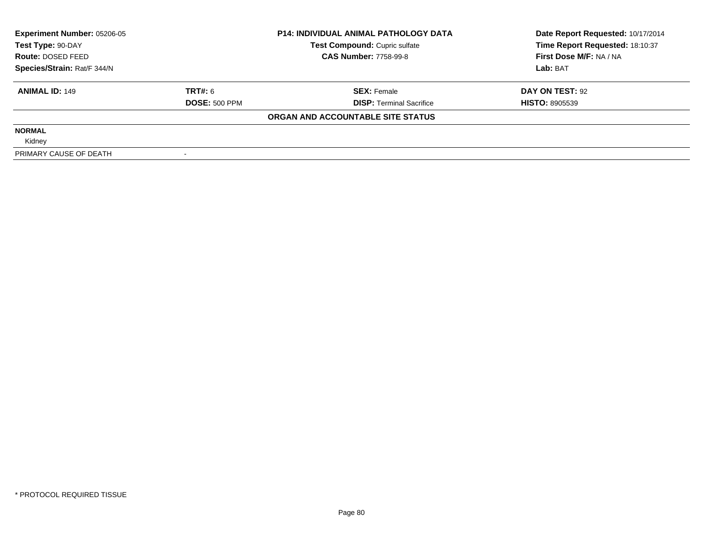| <b>Experiment Number: 05206-05</b><br>Test Type: 90-DAY<br>Route: DOSED FEED |                      | <b>P14: INDIVIDUAL ANIMAL PATHOLOGY DATA</b> | Date Report Requested: 10/17/2014 |  |
|------------------------------------------------------------------------------|----------------------|----------------------------------------------|-----------------------------------|--|
|                                                                              |                      | Test Compound: Cupric sulfate                | Time Report Requested: 18:10:37   |  |
|                                                                              |                      | <b>CAS Number: 7758-99-8</b>                 | First Dose M/F: NA / NA           |  |
| Species/Strain: Rat/F 344/N                                                  |                      |                                              | Lab: BAT                          |  |
| <b>ANIMAL ID: 149</b>                                                        | TRT#: 6              | <b>SEX: Female</b>                           | DAY ON TEST: 92                   |  |
|                                                                              | <b>DOSE: 500 PPM</b> | <b>DISP: Terminal Sacrifice</b>              | <b>HISTO: 8905539</b>             |  |
|                                                                              |                      | ORGAN AND ACCOUNTABLE SITE STATUS            |                                   |  |
| <b>NORMAL</b>                                                                |                      |                                              |                                   |  |
| Kidney                                                                       |                      |                                              |                                   |  |
| PRIMARY CAUSE OF DEATH                                                       |                      |                                              |                                   |  |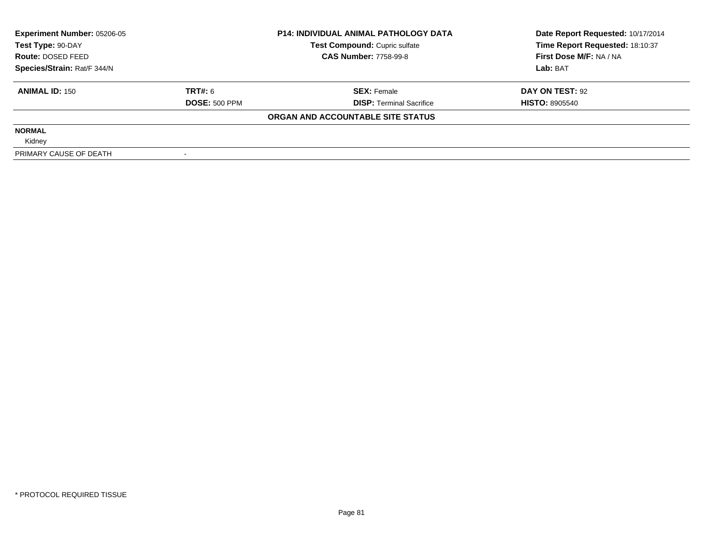| <b>Experiment Number: 05206-05</b><br>Test Type: 90-DAY<br>Route: DOSED FEED |                      | <b>P14: INDIVIDUAL ANIMAL PATHOLOGY DATA</b> | Date Report Requested: 10/17/2014 |  |
|------------------------------------------------------------------------------|----------------------|----------------------------------------------|-----------------------------------|--|
|                                                                              |                      | Test Compound: Cupric sulfate                | Time Report Requested: 18:10:37   |  |
|                                                                              |                      | <b>CAS Number: 7758-99-8</b>                 | First Dose M/F: NA / NA           |  |
| Species/Strain: Rat/F 344/N                                                  |                      |                                              | Lab: BAT                          |  |
| <b>ANIMAL ID: 150</b>                                                        | TRT#: 6              | <b>SEX: Female</b>                           | DAY ON TEST: 92                   |  |
|                                                                              | <b>DOSE: 500 PPM</b> | <b>DISP: Terminal Sacrifice</b>              | <b>HISTO: 8905540</b>             |  |
|                                                                              |                      | ORGAN AND ACCOUNTABLE SITE STATUS            |                                   |  |
| <b>NORMAL</b>                                                                |                      |                                              |                                   |  |
| Kidney                                                                       |                      |                                              |                                   |  |
| PRIMARY CAUSE OF DEATH                                                       |                      |                                              |                                   |  |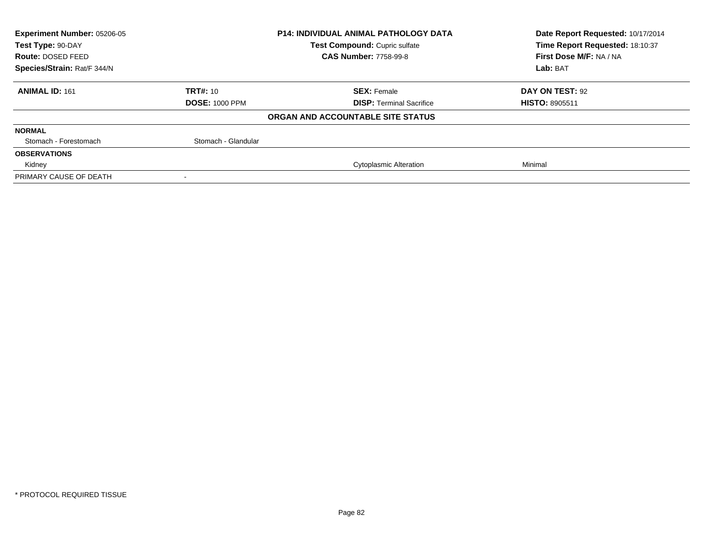| Experiment Number: 05206-05 |                       | <b>P14: INDIVIDUAL ANIMAL PATHOLOGY DATA</b> | Date Report Requested: 10/17/2014 |  |
|-----------------------------|-----------------------|----------------------------------------------|-----------------------------------|--|
| Test Type: 90-DAY           |                       | Test Compound: Cupric sulfate                | Time Report Requested: 18:10:37   |  |
| Route: DOSED FEED           |                       | <b>CAS Number: 7758-99-8</b>                 | First Dose M/F: NA / NA           |  |
| Species/Strain: Rat/F 344/N |                       |                                              | Lab: BAT                          |  |
| <b>ANIMAL ID: 161</b>       | <b>TRT#: 10</b>       | <b>SEX: Female</b>                           | DAY ON TEST: 92                   |  |
|                             | <b>DOSE: 1000 PPM</b> | <b>DISP: Terminal Sacrifice</b>              | <b>HISTO: 8905511</b>             |  |
|                             |                       | ORGAN AND ACCOUNTABLE SITE STATUS            |                                   |  |
| <b>NORMAL</b>               |                       |                                              |                                   |  |
| Stomach - Forestomach       | Stomach - Glandular   |                                              |                                   |  |
| <b>OBSERVATIONS</b>         |                       |                                              |                                   |  |
| Kidney                      |                       | <b>Cytoplasmic Alteration</b>                | Minimal                           |  |
| PRIMARY CAUSE OF DEATH      |                       |                                              |                                   |  |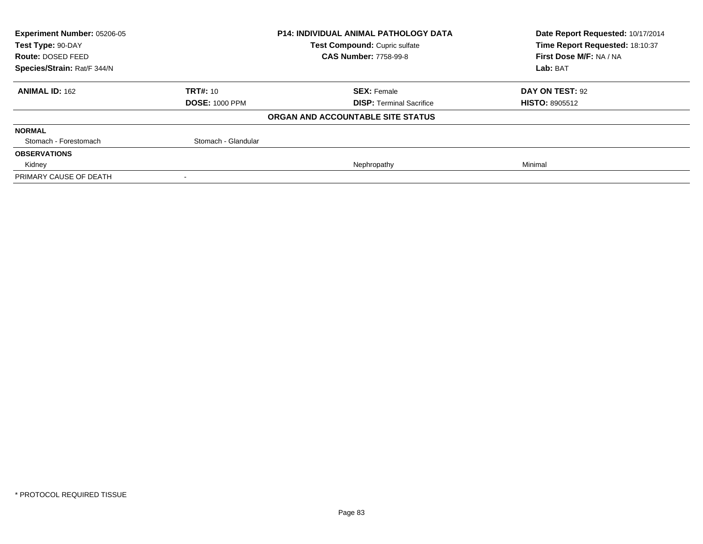| Experiment Number: 05206-05 |                       | <b>P14: INDIVIDUAL ANIMAL PATHOLOGY DATA</b> | Date Report Requested: 10/17/2014 |  |
|-----------------------------|-----------------------|----------------------------------------------|-----------------------------------|--|
| Test Type: 90-DAY           |                       | Test Compound: Cupric sulfate                | Time Report Requested: 18:10:37   |  |
| Route: DOSED FEED           |                       | <b>CAS Number: 7758-99-8</b>                 | First Dose M/F: NA / NA           |  |
| Species/Strain: Rat/F 344/N |                       |                                              | Lab: BAT                          |  |
| <b>ANIMAL ID: 162</b>       | <b>TRT#: 10</b>       | <b>SEX: Female</b>                           | DAY ON TEST: 92                   |  |
|                             | <b>DOSE: 1000 PPM</b> | <b>DISP: Terminal Sacrifice</b>              | <b>HISTO: 8905512</b>             |  |
|                             |                       | ORGAN AND ACCOUNTABLE SITE STATUS            |                                   |  |
| <b>NORMAL</b>               |                       |                                              |                                   |  |
| Stomach - Forestomach       | Stomach - Glandular   |                                              |                                   |  |
| <b>OBSERVATIONS</b>         |                       |                                              |                                   |  |
| Kidney                      |                       | Nephropathy                                  | Minimal                           |  |
| PRIMARY CAUSE OF DEATH      |                       |                                              |                                   |  |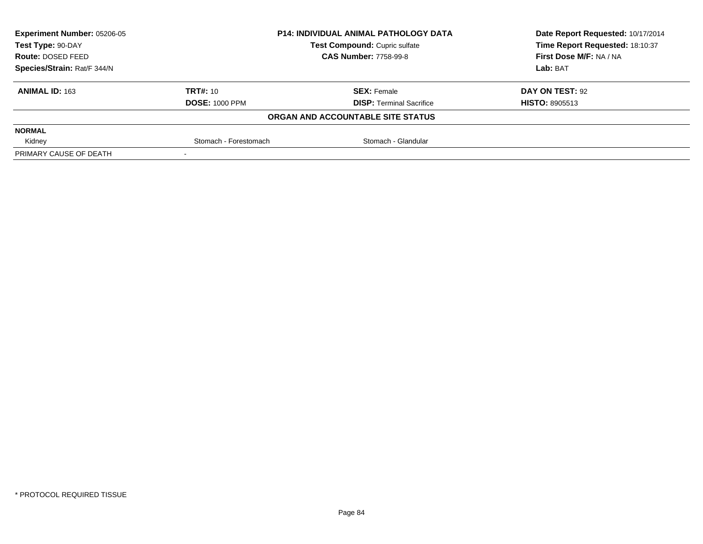| <b>Experiment Number: 05206-05</b> |                       | <b>P14: INDIVIDUAL ANIMAL PATHOLOGY DATA</b> | Date Report Requested: 10/17/2014 |  |
|------------------------------------|-----------------------|----------------------------------------------|-----------------------------------|--|
| Test Type: 90-DAY                  |                       | Test Compound: Cupric sulfate                | Time Report Requested: 18:10:37   |  |
| Route: DOSED FEED                  |                       | <b>CAS Number: 7758-99-8</b>                 | First Dose M/F: NA / NA           |  |
| Species/Strain: Rat/F 344/N        |                       |                                              | Lab: BAT                          |  |
| <b>ANIMAL ID: 163</b>              | <b>TRT#: 10</b>       | <b>SEX: Female</b>                           | <b>DAY ON TEST: 92</b>            |  |
|                                    | <b>DOSE: 1000 PPM</b> | <b>DISP:</b> Terminal Sacrifice              | <b>HISTO: 8905513</b>             |  |
|                                    |                       | ORGAN AND ACCOUNTABLE SITE STATUS            |                                   |  |
| <b>NORMAL</b>                      |                       |                                              |                                   |  |
| Kidney                             | Stomach - Forestomach | Stomach - Glandular                          |                                   |  |
| PRIMARY CAUSE OF DEATH             |                       |                                              |                                   |  |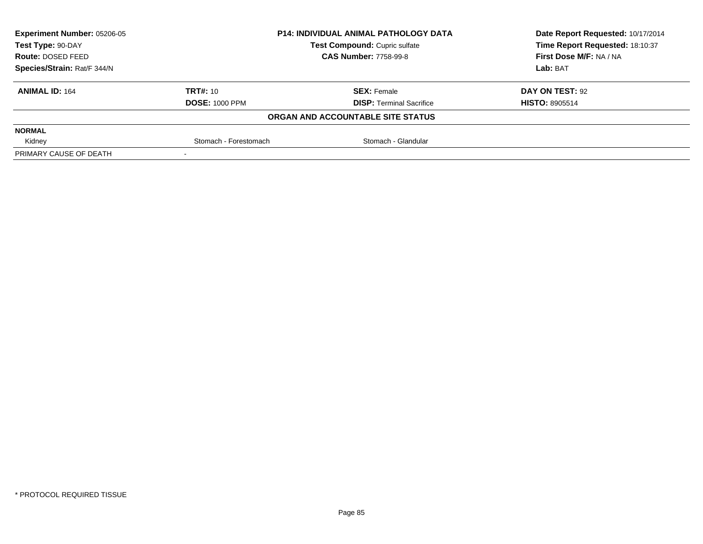| <b>Experiment Number: 05206-05</b> |                       | <b>P14: INDIVIDUAL ANIMAL PATHOLOGY DATA</b> | Date Report Requested: 10/17/2014 |
|------------------------------------|-----------------------|----------------------------------------------|-----------------------------------|
| Test Type: 90-DAY                  |                       | Test Compound: Cupric sulfate                | Time Report Requested: 18:10:37   |
| Route: DOSED FEED                  |                       | <b>CAS Number: 7758-99-8</b>                 | First Dose M/F: NA / NA           |
| Species/Strain: Rat/F 344/N        |                       |                                              | Lab: BAT                          |
| <b>ANIMAL ID: 164</b>              | <b>TRT#: 10</b>       | <b>SEX: Female</b>                           | DAY ON TEST: 92                   |
|                                    | <b>DOSE: 1000 PPM</b> | <b>DISP: Terminal Sacrifice</b>              | <b>HISTO: 8905514</b>             |
|                                    |                       | ORGAN AND ACCOUNTABLE SITE STATUS            |                                   |
| <b>NORMAL</b>                      |                       |                                              |                                   |
| Kidney                             | Stomach - Forestomach | Stomach - Glandular                          |                                   |
| PRIMARY CAUSE OF DEATH             |                       |                                              |                                   |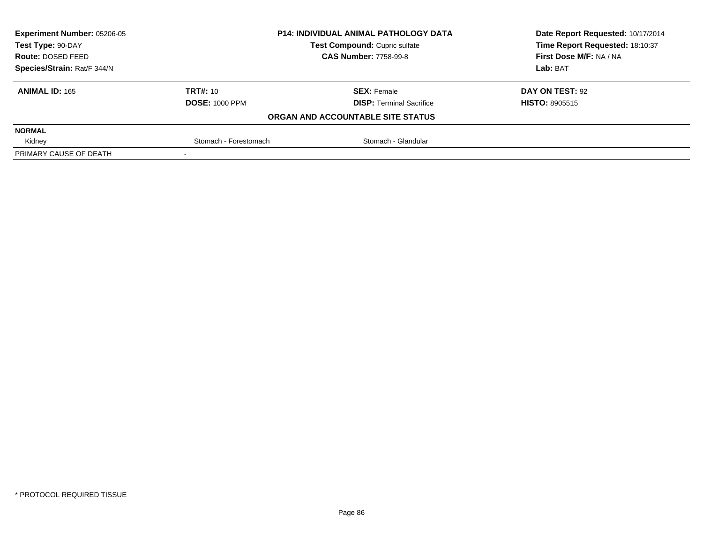| <b>Experiment Number: 05206-05</b> |                       | <b>P14: INDIVIDUAL ANIMAL PATHOLOGY DATA</b> | Date Report Requested: 10/17/2014 |  |
|------------------------------------|-----------------------|----------------------------------------------|-----------------------------------|--|
| Test Type: 90-DAY                  |                       | Test Compound: Cupric sulfate                | Time Report Requested: 18:10:37   |  |
| Route: DOSED FEED                  |                       | <b>CAS Number: 7758-99-8</b>                 | First Dose M/F: NA / NA           |  |
| Species/Strain: Rat/F 344/N        |                       |                                              | Lab: BAT                          |  |
| <b>ANIMAL ID: 165</b>              | <b>TRT#: 10</b>       | <b>SEX: Female</b>                           | DAY ON TEST: 92                   |  |
|                                    | <b>DOSE: 1000 PPM</b> | <b>DISP: Terminal Sacrifice</b>              | <b>HISTO: 8905515</b>             |  |
|                                    |                       | ORGAN AND ACCOUNTABLE SITE STATUS            |                                   |  |
| <b>NORMAL</b>                      |                       |                                              |                                   |  |
| Kidney                             | Stomach - Forestomach | Stomach - Glandular                          |                                   |  |
| PRIMARY CAUSE OF DEATH             |                       |                                              |                                   |  |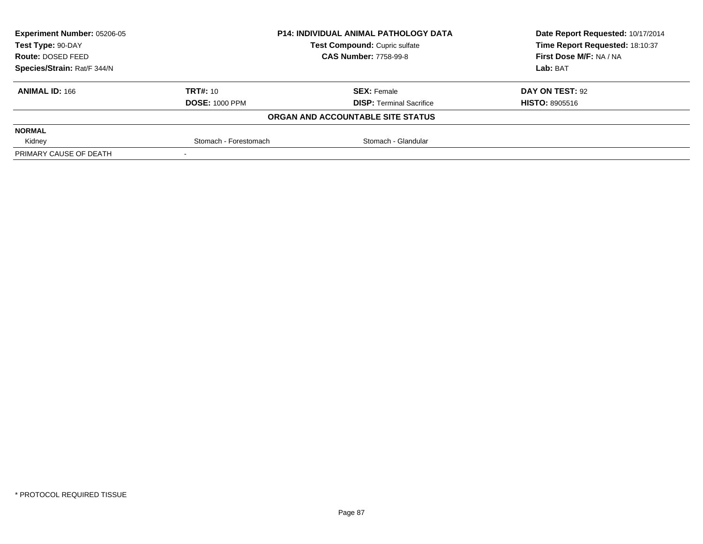| <b>Experiment Number: 05206-05</b> |                       | <b>P14: INDIVIDUAL ANIMAL PATHOLOGY DATA</b> | Date Report Requested: 10/17/2014 |  |
|------------------------------------|-----------------------|----------------------------------------------|-----------------------------------|--|
| Test Type: 90-DAY                  |                       | Test Compound: Cupric sulfate                | Time Report Requested: 18:10:37   |  |
| Route: DOSED FEED                  |                       | <b>CAS Number: 7758-99-8</b>                 | First Dose M/F: NA / NA           |  |
| Species/Strain: Rat/F 344/N        |                       |                                              | Lab: BAT                          |  |
| <b>ANIMAL ID: 166</b>              | <b>TRT#: 10</b>       | <b>SEX: Female</b>                           | DAY ON TEST: 92                   |  |
|                                    | <b>DOSE: 1000 PPM</b> | <b>DISP: Terminal Sacrifice</b>              | <b>HISTO: 8905516</b>             |  |
|                                    |                       | ORGAN AND ACCOUNTABLE SITE STATUS            |                                   |  |
| <b>NORMAL</b>                      |                       |                                              |                                   |  |
| Kidney                             | Stomach - Forestomach | Stomach - Glandular                          |                                   |  |
| PRIMARY CAUSE OF DEATH             |                       |                                              |                                   |  |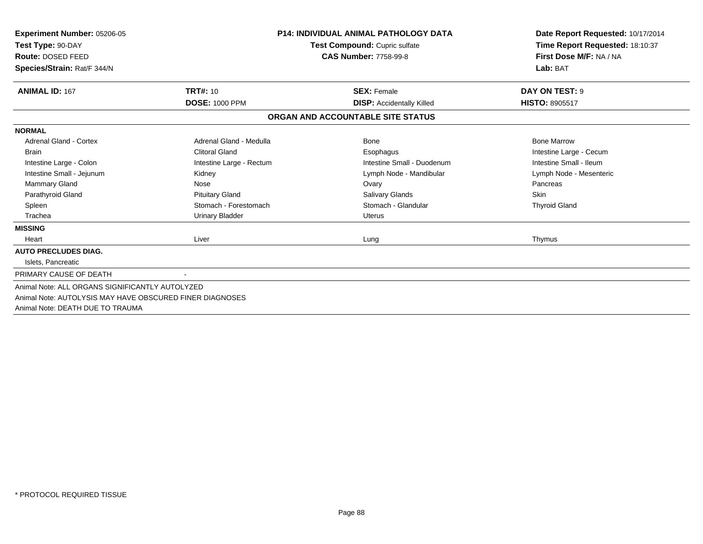| Experiment Number: 05206-05<br>Test Type: 90-DAY<br>Route: DOSED FEED<br>Species/Strain: Rat/F 344/N | <b>P14: INDIVIDUAL ANIMAL PATHOLOGY DATA</b><br>Test Compound: Cupric sulfate<br><b>CAS Number: 7758-99-8</b> |                                   | Date Report Requested: 10/17/2014<br>Time Report Requested: 18:10:37<br>First Dose M/F: NA / NA<br>Lab: BAT |
|------------------------------------------------------------------------------------------------------|---------------------------------------------------------------------------------------------------------------|-----------------------------------|-------------------------------------------------------------------------------------------------------------|
| <b>ANIMAL ID: 167</b>                                                                                | <b>TRT#: 10</b>                                                                                               | <b>SEX: Female</b>                | DAY ON TEST: 9                                                                                              |
|                                                                                                      | <b>DOSE: 1000 PPM</b>                                                                                         | <b>DISP:</b> Accidentally Killed  | <b>HISTO: 8905517</b>                                                                                       |
|                                                                                                      |                                                                                                               | ORGAN AND ACCOUNTABLE SITE STATUS |                                                                                                             |
| <b>NORMAL</b>                                                                                        |                                                                                                               |                                   |                                                                                                             |
| <b>Adrenal Gland - Cortex</b>                                                                        | Adrenal Gland - Medulla                                                                                       | Bone                              | <b>Bone Marrow</b>                                                                                          |
| <b>Brain</b>                                                                                         | <b>Clitoral Gland</b>                                                                                         | Esophagus                         | Intestine Large - Cecum                                                                                     |
| Intestine Large - Colon                                                                              | Intestine Large - Rectum                                                                                      | Intestine Small - Duodenum        | Intestine Small - Ileum                                                                                     |
| Intestine Small - Jejunum                                                                            | Kidney                                                                                                        | Lymph Node - Mandibular           | Lymph Node - Mesenteric                                                                                     |
| Mammary Gland                                                                                        | Nose                                                                                                          | Ovary                             | Pancreas                                                                                                    |
| Parathyroid Gland                                                                                    | <b>Pituitary Gland</b>                                                                                        | Salivary Glands                   | <b>Skin</b>                                                                                                 |
| Spleen                                                                                               | Stomach - Forestomach                                                                                         | Stomach - Glandular               | <b>Thyroid Gland</b>                                                                                        |
| Trachea                                                                                              | <b>Urinary Bladder</b>                                                                                        | Uterus                            |                                                                                                             |
| <b>MISSING</b>                                                                                       |                                                                                                               |                                   |                                                                                                             |
| Heart                                                                                                | Liver                                                                                                         | Lung                              | Thymus                                                                                                      |
| <b>AUTO PRECLUDES DIAG.</b>                                                                          |                                                                                                               |                                   |                                                                                                             |
| Islets. Pancreatic                                                                                   |                                                                                                               |                                   |                                                                                                             |
| PRIMARY CAUSE OF DEATH                                                                               |                                                                                                               |                                   |                                                                                                             |
| Animal Note: ALL ORGANS SIGNIFICANTLY AUTOLYZED                                                      |                                                                                                               |                                   |                                                                                                             |
| Animal Note: AUTOLYSIS MAY HAVE OBSCURED FINER DIAGNOSES                                             |                                                                                                               |                                   |                                                                                                             |
| Animal Note: DEATH DUE TO TRAUMA                                                                     |                                                                                                               |                                   |                                                                                                             |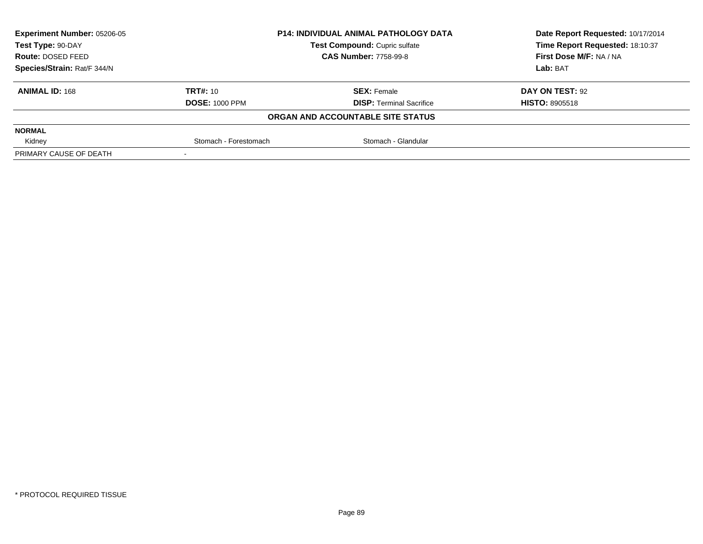| <b>Experiment Number: 05206-05</b> |                       | <b>P14: INDIVIDUAL ANIMAL PATHOLOGY DATA</b> | Date Report Requested: 10/17/2014 |
|------------------------------------|-----------------------|----------------------------------------------|-----------------------------------|
| Test Type: 90-DAY                  |                       | Test Compound: Cupric sulfate                | Time Report Requested: 18:10:37   |
| Route: DOSED FEED                  |                       | <b>CAS Number: 7758-99-8</b>                 | First Dose M/F: NA / NA           |
| Species/Strain: Rat/F 344/N        |                       |                                              | Lab: BAT                          |
| <b>ANIMAL ID: 168</b>              | <b>TRT#: 10</b>       | <b>SEX: Female</b>                           | DAY ON TEST: 92                   |
|                                    | <b>DOSE: 1000 PPM</b> | <b>DISP:</b> Terminal Sacrifice              | <b>HISTO: 8905518</b>             |
|                                    |                       | ORGAN AND ACCOUNTABLE SITE STATUS            |                                   |
| <b>NORMAL</b>                      |                       |                                              |                                   |
| Kidney                             | Stomach - Forestomach | Stomach - Glandular                          |                                   |
| PRIMARY CAUSE OF DEATH             |                       |                                              |                                   |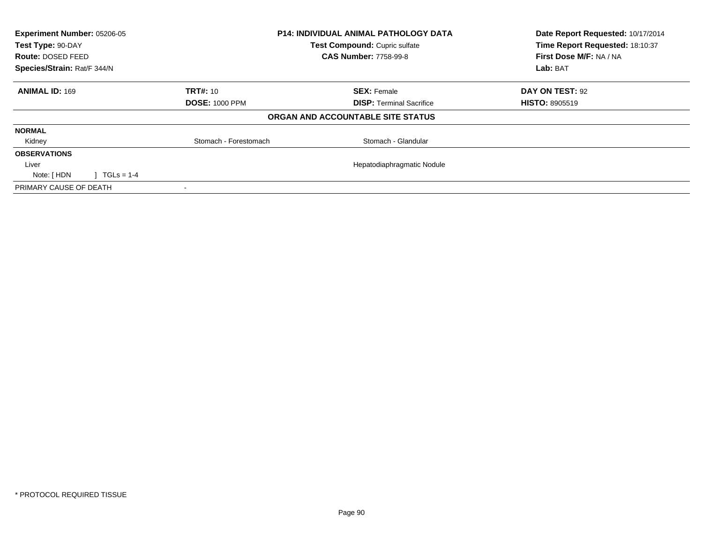| Experiment Number: 05206-05           |                       | <b>P14: INDIVIDUAL ANIMAL PATHOLOGY DATA</b> | Date Report Requested: 10/17/2014 |
|---------------------------------------|-----------------------|----------------------------------------------|-----------------------------------|
| Test Type: 90-DAY                     |                       | Test Compound: Cupric sulfate                | Time Report Requested: 18:10:37   |
| Route: DOSED FEED                     |                       | <b>CAS Number: 7758-99-8</b>                 | First Dose M/F: NA / NA           |
| Species/Strain: Rat/F 344/N           |                       |                                              | Lab: BAT                          |
| <b>ANIMAL ID: 169</b>                 | <b>TRT#: 10</b>       | <b>SEX: Female</b>                           | DAY ON TEST: 92                   |
|                                       | <b>DOSE: 1000 PPM</b> | <b>DISP:</b> Terminal Sacrifice              | <b>HISTO: 8905519</b>             |
|                                       |                       | ORGAN AND ACCOUNTABLE SITE STATUS            |                                   |
| <b>NORMAL</b>                         |                       |                                              |                                   |
| Kidney                                | Stomach - Forestomach | Stomach - Glandular                          |                                   |
| <b>OBSERVATIONS</b>                   |                       |                                              |                                   |
| Liver                                 |                       | Hepatodiaphragmatic Nodule                   |                                   |
| $\sqrt{11}$ TGLs = 1-4<br>Note: [ HDN |                       |                                              |                                   |
| PRIMARY CAUSE OF DEATH                |                       |                                              |                                   |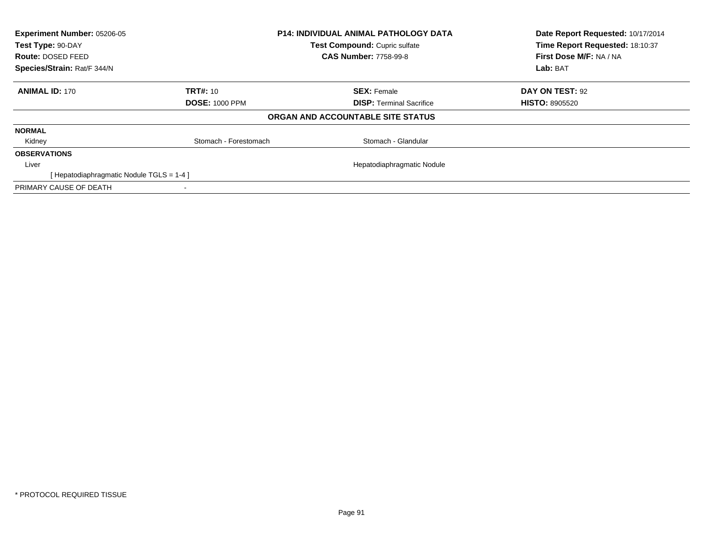| Experiment Number: 05206-05<br>Test Type: 90-DAY |                       | <b>P14: INDIVIDUAL ANIMAL PATHOLOGY DATA</b> | Date Report Requested: 10/17/2014 |
|--------------------------------------------------|-----------------------|----------------------------------------------|-----------------------------------|
|                                                  |                       | Test Compound: Cupric sulfate                | Time Report Requested: 18:10:37   |
| Route: DOSED FEED                                |                       | <b>CAS Number: 7758-99-8</b>                 | First Dose M/F: NA / NA           |
| Species/Strain: Rat/F 344/N                      |                       |                                              | Lab: BAT                          |
| <b>ANIMAL ID: 170</b>                            | <b>TRT#: 10</b>       | <b>SEX: Female</b>                           | DAY ON TEST: 92                   |
|                                                  | <b>DOSE: 1000 PPM</b> | <b>DISP: Terminal Sacrifice</b>              | <b>HISTO: 8905520</b>             |
|                                                  |                       | ORGAN AND ACCOUNTABLE SITE STATUS            |                                   |
| <b>NORMAL</b>                                    |                       |                                              |                                   |
| Kidney                                           | Stomach - Forestomach | Stomach - Glandular                          |                                   |
| <b>OBSERVATIONS</b>                              |                       |                                              |                                   |
| Liver                                            |                       | Hepatodiaphragmatic Nodule                   |                                   |
| [Hepatodiaphragmatic Nodule TGLS = 1-4 ]         |                       |                                              |                                   |
| PRIMARY CAUSE OF DEATH                           |                       |                                              |                                   |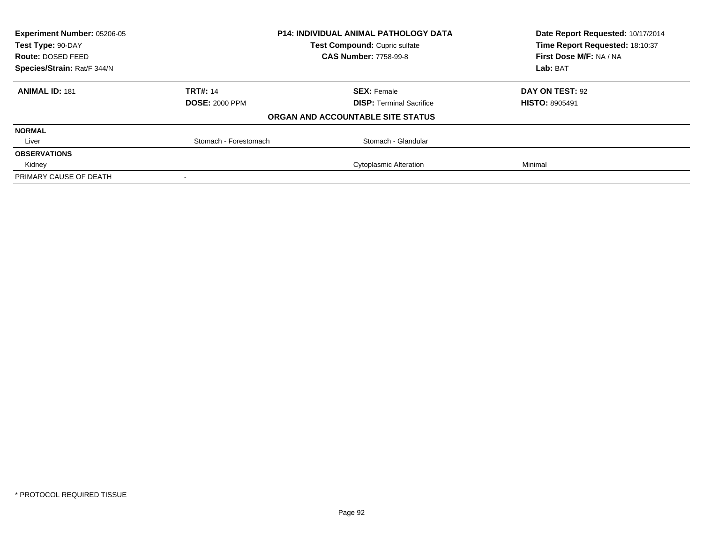| <b>Experiment Number: 05206-05</b><br><b>P14: INDIVIDUAL ANIMAL PATHOLOGY DATA</b><br>Test Compound: Cupric sulfate<br>Test Type: 90-DAY |                       |                                   | Date Report Requested: 10/17/2014 |
|------------------------------------------------------------------------------------------------------------------------------------------|-----------------------|-----------------------------------|-----------------------------------|
|                                                                                                                                          |                       | Time Report Requested: 18:10:37   |                                   |
| <b>Route: DOSED FEED</b>                                                                                                                 |                       | <b>CAS Number: 7758-99-8</b>      | First Dose M/F: NA / NA           |
| Species/Strain: Rat/F 344/N                                                                                                              |                       |                                   |                                   |
| <b>ANIMAL ID: 181</b>                                                                                                                    | <b>TRT#: 14</b>       | <b>SEX: Female</b>                | <b>DAY ON TEST: 92</b>            |
|                                                                                                                                          | <b>DOSE: 2000 PPM</b> | <b>DISP:</b> Terminal Sacrifice   | <b>HISTO: 8905491</b>             |
|                                                                                                                                          |                       | ORGAN AND ACCOUNTABLE SITE STATUS |                                   |
| <b>NORMAL</b>                                                                                                                            |                       |                                   |                                   |
| Liver                                                                                                                                    | Stomach - Forestomach | Stomach - Glandular               |                                   |
| <b>OBSERVATIONS</b>                                                                                                                      |                       |                                   |                                   |
| Kidney                                                                                                                                   |                       | <b>Cytoplasmic Alteration</b>     | Minimal                           |
| PRIMARY CAUSE OF DEATH                                                                                                                   |                       |                                   |                                   |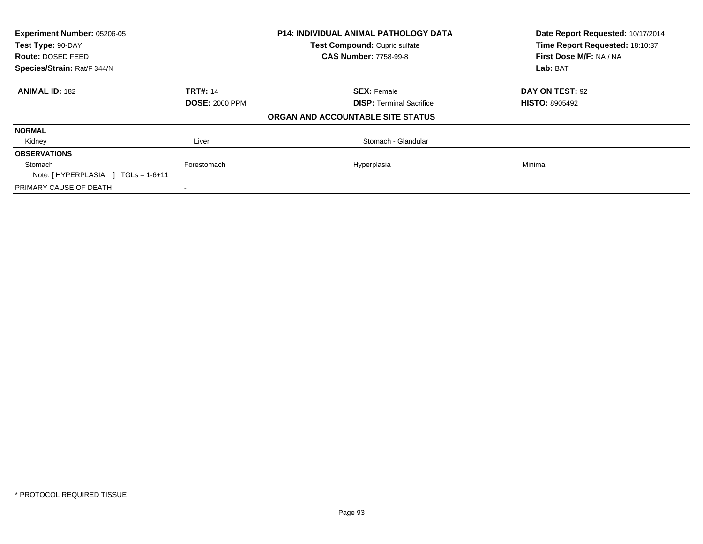| Experiment Number: 05206-05<br>Test Type: 90-DAY |                       | <b>P14: INDIVIDUAL ANIMAL PATHOLOGY DATA</b> | Date Report Requested: 10/17/2014<br>Time Report Requested: 18:10:37 |  |
|--------------------------------------------------|-----------------------|----------------------------------------------|----------------------------------------------------------------------|--|
|                                                  |                       | Test Compound: Cupric sulfate                |                                                                      |  |
| Route: DOSED FEED                                |                       | <b>CAS Number: 7758-99-8</b>                 | First Dose M/F: NA / NA                                              |  |
| Species/Strain: Rat/F 344/N                      |                       |                                              | Lab: BAT                                                             |  |
| <b>ANIMAL ID: 182</b>                            | <b>TRT#: 14</b>       | <b>SEX: Female</b>                           | DAY ON TEST: 92                                                      |  |
|                                                  | <b>DOSE: 2000 PPM</b> | <b>DISP:</b> Terminal Sacrifice              | <b>HISTO: 8905492</b>                                                |  |
|                                                  |                       | ORGAN AND ACCOUNTABLE SITE STATUS            |                                                                      |  |
| <b>NORMAL</b>                                    |                       |                                              |                                                                      |  |
| Kidney                                           | Liver                 | Stomach - Glandular                          |                                                                      |  |
| <b>OBSERVATIONS</b>                              |                       |                                              |                                                                      |  |
| Stomach                                          | Forestomach           | Hyperplasia                                  | Minimal                                                              |  |
| Note: $[HYPERPLASIA] TGLs = 1-6+11$              |                       |                                              |                                                                      |  |
| PRIMARY CAUSE OF DEATH                           |                       |                                              |                                                                      |  |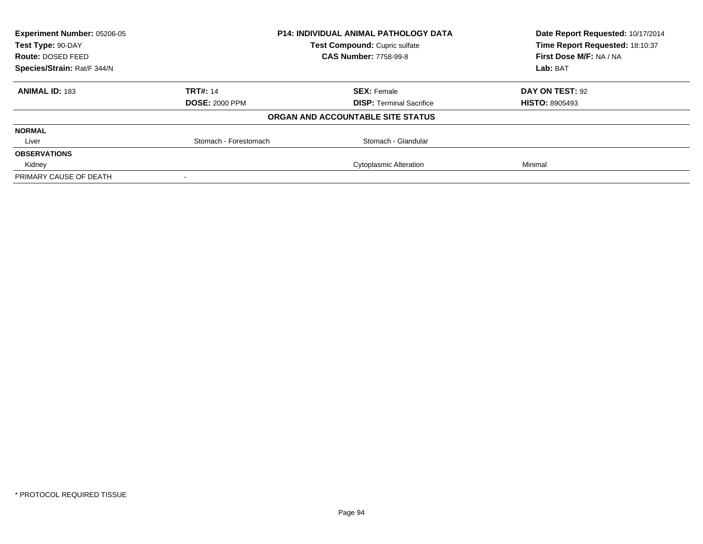| Experiment Number: 05206-05                        |                       | <b>P14: INDIVIDUAL ANIMAL PATHOLOGY DATA</b> | Date Report Requested: 10/17/2014 |
|----------------------------------------------------|-----------------------|----------------------------------------------|-----------------------------------|
| Test Compound: Cupric sulfate<br>Test Type: 90-DAY |                       | Time Report Requested: 18:10:37              |                                   |
| Route: DOSED FEED                                  |                       | <b>CAS Number: 7758-99-8</b>                 | First Dose M/F: NA / NA           |
| Species/Strain: Rat/F 344/N                        |                       |                                              |                                   |
| <b>ANIMAL ID: 183</b>                              | <b>TRT#: 14</b>       | <b>SEX: Female</b>                           | DAY ON TEST: 92                   |
|                                                    | <b>DOSE: 2000 PPM</b> | <b>DISP:</b> Terminal Sacrifice              | <b>HISTO: 8905493</b>             |
|                                                    |                       | ORGAN AND ACCOUNTABLE SITE STATUS            |                                   |
| <b>NORMAL</b>                                      |                       |                                              |                                   |
| Liver                                              | Stomach - Forestomach | Stomach - Glandular                          |                                   |
| <b>OBSERVATIONS</b>                                |                       |                                              |                                   |
| Kidney                                             |                       | <b>Cytoplasmic Alteration</b>                | Minimal                           |
| PRIMARY CAUSE OF DEATH                             |                       |                                              |                                   |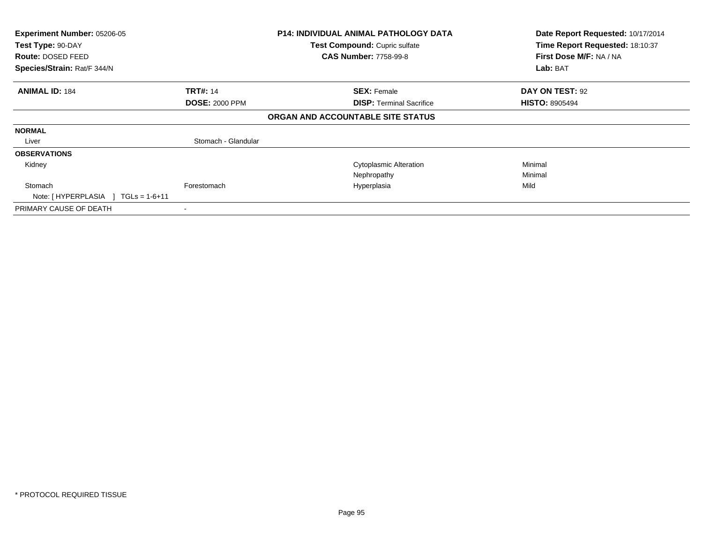| Experiment Number: 05206-05<br>Test Type: 90-DAY<br>Route: DOSED FEED<br>Species/Strain: Rat/F 344/N | <b>P14: INDIVIDUAL ANIMAL PATHOLOGY DATA</b><br>Test Compound: Cupric sulfate<br><b>CAS Number: 7758-99-8</b> |                                   | Date Report Requested: 10/17/2014<br>Time Report Requested: 18:10:37<br>First Dose M/F: NA / NA<br>Lab: BAT |  |
|------------------------------------------------------------------------------------------------------|---------------------------------------------------------------------------------------------------------------|-----------------------------------|-------------------------------------------------------------------------------------------------------------|--|
|                                                                                                      |                                                                                                               |                                   |                                                                                                             |  |
| <b>ANIMAL ID: 184</b>                                                                                | <b>TRT#: 14</b>                                                                                               | <b>SEX: Female</b>                | DAY ON TEST: 92                                                                                             |  |
|                                                                                                      | <b>DOSE: 2000 PPM</b>                                                                                         | <b>DISP:</b> Terminal Sacrifice   | <b>HISTO: 8905494</b>                                                                                       |  |
|                                                                                                      |                                                                                                               | ORGAN AND ACCOUNTABLE SITE STATUS |                                                                                                             |  |
| <b>NORMAL</b>                                                                                        |                                                                                                               |                                   |                                                                                                             |  |
| Liver                                                                                                | Stomach - Glandular                                                                                           |                                   |                                                                                                             |  |
| <b>OBSERVATIONS</b>                                                                                  |                                                                                                               |                                   |                                                                                                             |  |
| Kidney                                                                                               |                                                                                                               | <b>Cytoplasmic Alteration</b>     | Minimal                                                                                                     |  |
|                                                                                                      |                                                                                                               | Nephropathy                       | Minimal                                                                                                     |  |
| Stomach<br>Note: [HYPERPLASIA ]<br>$\sqrt{1 - 1}$ TGLs = 1-6+11                                      | Forestomach                                                                                                   | Hyperplasia                       | Mild                                                                                                        |  |
| PRIMARY CAUSE OF DEATH                                                                               |                                                                                                               |                                   |                                                                                                             |  |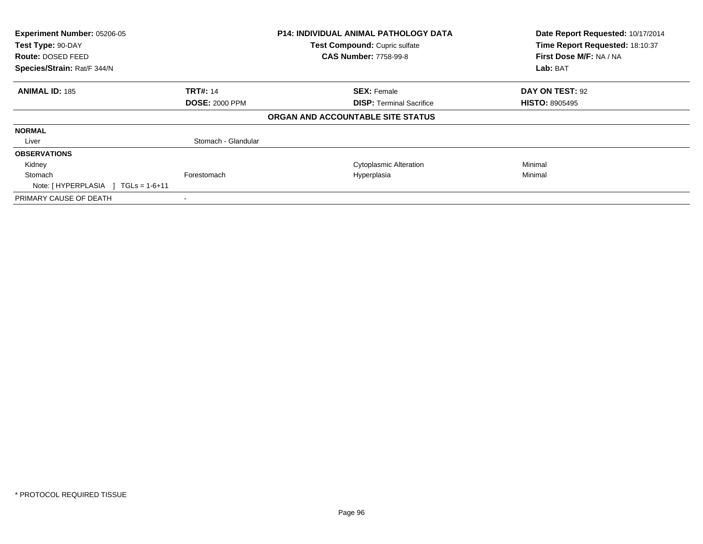| Experiment Number: 05206-05<br>Test Type: 90-DAY<br><b>Route: DOSED FEED</b><br>Species/Strain: Rat/F 344/N | P14: INDIVIDUAL ANIMAL PATHOLOGY DATA<br>Test Compound: Cupric sulfate<br><b>CAS Number: 7758-99-8</b> |                                   | Date Report Requested: 10/17/2014<br>Time Report Requested: 18:10:37<br>First Dose M/F: NA / NA<br>Lab: BAT |
|-------------------------------------------------------------------------------------------------------------|--------------------------------------------------------------------------------------------------------|-----------------------------------|-------------------------------------------------------------------------------------------------------------|
| <b>ANIMAL ID: 185</b>                                                                                       | <b>TRT#: 14</b>                                                                                        | <b>SEX: Female</b>                | DAY ON TEST: 92                                                                                             |
|                                                                                                             | <b>DOSE: 2000 PPM</b>                                                                                  | <b>DISP:</b> Terminal Sacrifice   | <b>HISTO: 8905495</b>                                                                                       |
|                                                                                                             |                                                                                                        | ORGAN AND ACCOUNTABLE SITE STATUS |                                                                                                             |
| <b>NORMAL</b>                                                                                               |                                                                                                        |                                   |                                                                                                             |
| Liver                                                                                                       | Stomach - Glandular                                                                                    |                                   |                                                                                                             |
| <b>OBSERVATIONS</b>                                                                                         |                                                                                                        |                                   |                                                                                                             |
| Kidney                                                                                                      |                                                                                                        | <b>Cytoplasmic Alteration</b>     | Minimal                                                                                                     |
| Stomach<br>Note: $[HYPERPLASIA] TGLs = 1-6+11$                                                              | Forestomach                                                                                            | Hyperplasia                       | Minimal                                                                                                     |
| PRIMARY CAUSE OF DEATH                                                                                      |                                                                                                        |                                   |                                                                                                             |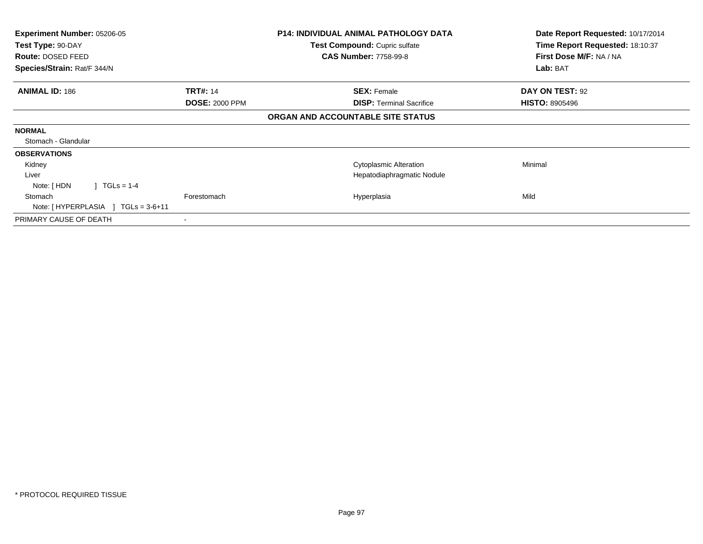| <b>Experiment Number: 05206-05</b><br>Test Type: 90-DAY |                       | <b>P14: INDIVIDUAL ANIMAL PATHOLOGY DATA</b><br>Test Compound: Cupric sulfate | Date Report Requested: 10/17/2014<br>Time Report Requested: 18:10:37 |
|---------------------------------------------------------|-----------------------|-------------------------------------------------------------------------------|----------------------------------------------------------------------|
| Route: DOSED FEED                                       |                       | <b>CAS Number: 7758-99-8</b>                                                  | First Dose M/F: NA / NA                                              |
| Species/Strain: Rat/F 344/N                             |                       |                                                                               | Lab: BAT                                                             |
| <b>ANIMAL ID: 186</b>                                   | <b>TRT#: 14</b>       | <b>SEX: Female</b>                                                            | <b>DAY ON TEST: 92</b>                                               |
|                                                         | <b>DOSE: 2000 PPM</b> | <b>DISP: Terminal Sacrifice</b>                                               | <b>HISTO: 8905496</b>                                                |
|                                                         |                       | ORGAN AND ACCOUNTABLE SITE STATUS                                             |                                                                      |
| <b>NORMAL</b>                                           |                       |                                                                               |                                                                      |
| Stomach - Glandular                                     |                       |                                                                               |                                                                      |
| <b>OBSERVATIONS</b>                                     |                       |                                                                               |                                                                      |
| Kidney                                                  |                       | <b>Cytoplasmic Alteration</b>                                                 | Minimal                                                              |
| Liver                                                   |                       | Hepatodiaphragmatic Nodule                                                    |                                                                      |
| $\vert$ TGLs = 1-4<br>Note: [ HDN                       |                       |                                                                               |                                                                      |
| Stomach                                                 | Forestomach           | Hyperplasia                                                                   | Mild                                                                 |
| Note: $[HYPERPLASIA] TGLs = 3-6+11$                     |                       |                                                                               |                                                                      |
| PRIMARY CAUSE OF DEATH                                  | ۰                     |                                                                               |                                                                      |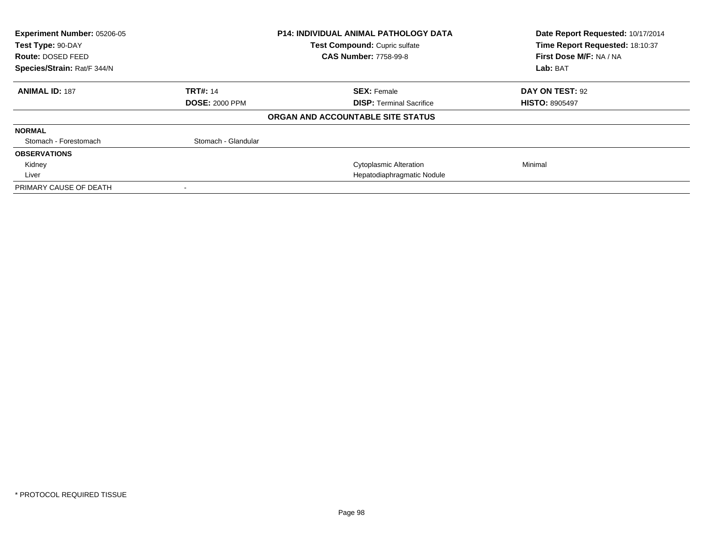| Experiment Number: 05206-05<br>Test Type: 90-DAY<br>Route: DOSED FEED |                       | <b>P14: INDIVIDUAL ANIMAL PATHOLOGY DATA</b><br>Test Compound: Cupric sulfate<br><b>CAS Number: 7758-99-8</b> | Date Report Requested: 10/17/2014<br>Time Report Requested: 18:10:37<br>First Dose M/F: NA / NA |
|-----------------------------------------------------------------------|-----------------------|---------------------------------------------------------------------------------------------------------------|-------------------------------------------------------------------------------------------------|
| Species/Strain: Rat/F 344/N                                           |                       |                                                                                                               | Lab: BAT                                                                                        |
| <b>ANIMAL ID: 187</b>                                                 | <b>TRT#: 14</b>       | <b>SEX: Female</b>                                                                                            | DAY ON TEST: 92                                                                                 |
|                                                                       | <b>DOSE: 2000 PPM</b> | <b>DISP:</b> Terminal Sacrifice                                                                               | <b>HISTO: 8905497</b>                                                                           |
|                                                                       |                       | ORGAN AND ACCOUNTABLE SITE STATUS                                                                             |                                                                                                 |
| <b>NORMAL</b>                                                         |                       |                                                                                                               |                                                                                                 |
| Stomach - Forestomach                                                 | Stomach - Glandular   |                                                                                                               |                                                                                                 |
| <b>OBSERVATIONS</b>                                                   |                       |                                                                                                               |                                                                                                 |
| Kidney                                                                |                       | <b>Cytoplasmic Alteration</b>                                                                                 | Minimal                                                                                         |
| Liver                                                                 |                       | Hepatodiaphragmatic Nodule                                                                                    |                                                                                                 |
| PRIMARY CAUSE OF DEATH                                                |                       |                                                                                                               |                                                                                                 |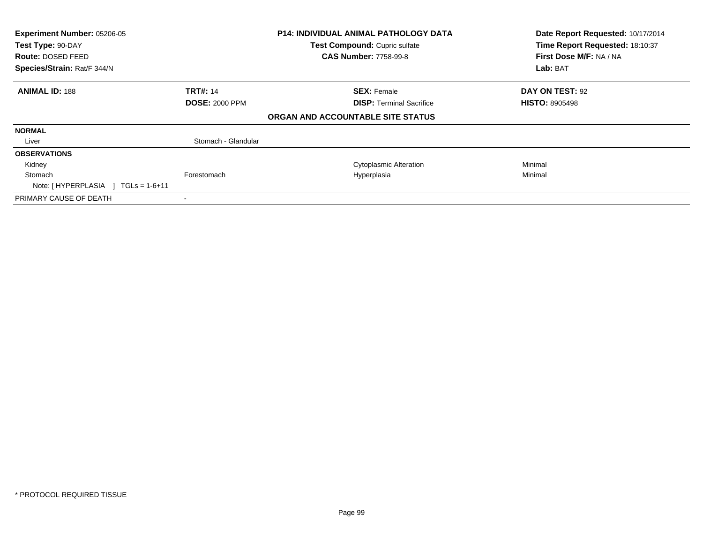| Experiment Number: 05206-05<br>Test Type: 90-DAY<br><b>Route: DOSED FEED</b><br>Species/Strain: Rat/F 344/N |                       | P14: INDIVIDUAL ANIMAL PATHOLOGY DATA<br>Test Compound: Cupric sulfate<br><b>CAS Number: 7758-99-8</b> | Date Report Requested: 10/17/2014<br>Time Report Requested: 18:10:37<br>First Dose M/F: NA / NA<br>Lab: BAT |
|-------------------------------------------------------------------------------------------------------------|-----------------------|--------------------------------------------------------------------------------------------------------|-------------------------------------------------------------------------------------------------------------|
|                                                                                                             |                       |                                                                                                        |                                                                                                             |
| <b>ANIMAL ID: 188</b>                                                                                       | <b>TRT#: 14</b>       | <b>SEX: Female</b>                                                                                     | DAY ON TEST: 92                                                                                             |
|                                                                                                             | <b>DOSE: 2000 PPM</b> | <b>DISP:</b> Terminal Sacrifice                                                                        | <b>HISTO: 8905498</b>                                                                                       |
|                                                                                                             |                       | ORGAN AND ACCOUNTABLE SITE STATUS                                                                      |                                                                                                             |
| <b>NORMAL</b>                                                                                               |                       |                                                                                                        |                                                                                                             |
| Liver                                                                                                       | Stomach - Glandular   |                                                                                                        |                                                                                                             |
| <b>OBSERVATIONS</b>                                                                                         |                       |                                                                                                        |                                                                                                             |
| Kidney                                                                                                      |                       | <b>Cytoplasmic Alteration</b>                                                                          | Minimal                                                                                                     |
| Stomach<br>Note: $[HYPERPLASIA] TGLs = 1-6+11$                                                              | Forestomach           | Hyperplasia                                                                                            | Minimal                                                                                                     |
| PRIMARY CAUSE OF DEATH                                                                                      |                       |                                                                                                        |                                                                                                             |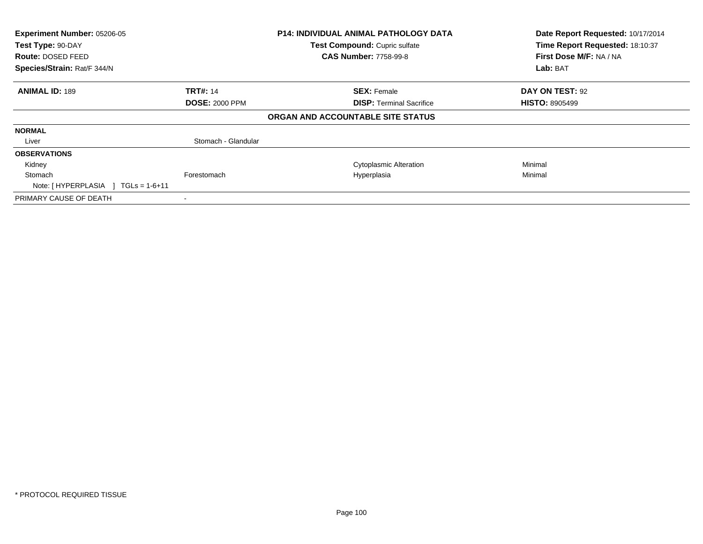| Experiment Number: 05206-05<br>Test Type: 90-DAY<br><b>Route: DOSED FEED</b><br>Species/Strain: Rat/F 344/N |                       | P14: INDIVIDUAL ANIMAL PATHOLOGY DATA<br>Test Compound: Cupric sulfate<br><b>CAS Number: 7758-99-8</b> | Date Report Requested: 10/17/2014<br>Time Report Requested: 18:10:37<br>First Dose M/F: NA / NA<br>Lab: BAT |
|-------------------------------------------------------------------------------------------------------------|-----------------------|--------------------------------------------------------------------------------------------------------|-------------------------------------------------------------------------------------------------------------|
|                                                                                                             |                       |                                                                                                        |                                                                                                             |
| <b>ANIMAL ID: 189</b>                                                                                       | <b>TRT#: 14</b>       | <b>SEX: Female</b>                                                                                     | DAY ON TEST: 92                                                                                             |
|                                                                                                             | <b>DOSE: 2000 PPM</b> | <b>DISP:</b> Terminal Sacrifice                                                                        | <b>HISTO: 8905499</b>                                                                                       |
|                                                                                                             |                       | ORGAN AND ACCOUNTABLE SITE STATUS                                                                      |                                                                                                             |
| <b>NORMAL</b>                                                                                               |                       |                                                                                                        |                                                                                                             |
| Liver                                                                                                       | Stomach - Glandular   |                                                                                                        |                                                                                                             |
| <b>OBSERVATIONS</b>                                                                                         |                       |                                                                                                        |                                                                                                             |
| Kidney                                                                                                      |                       | <b>Cytoplasmic Alteration</b>                                                                          | Minimal                                                                                                     |
| Stomach                                                                                                     | Forestomach           | Hyperplasia                                                                                            | Minimal                                                                                                     |
| Note: $[HYPERPLASIA] TGLs = 1-6+11$                                                                         |                       |                                                                                                        |                                                                                                             |
| PRIMARY CAUSE OF DEATH                                                                                      |                       |                                                                                                        |                                                                                                             |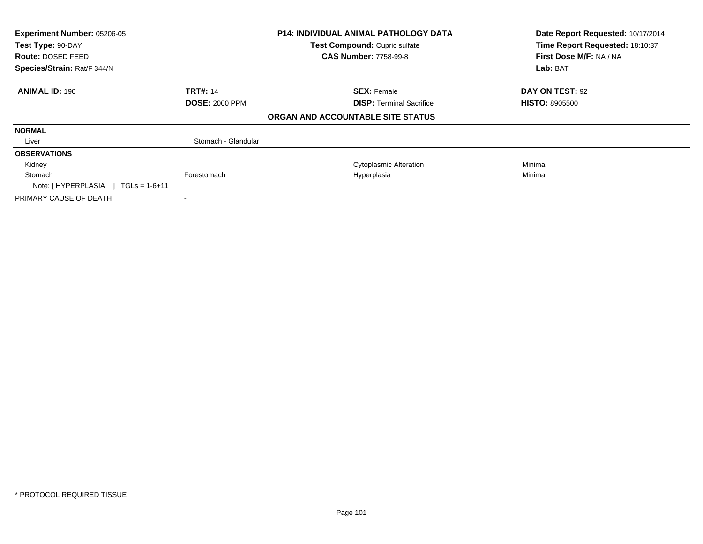| Experiment Number: 05206-05<br>Test Type: 90-DAY<br><b>Route: DOSED FEED</b><br>Species/Strain: Rat/F 344/N |                       | P14: INDIVIDUAL ANIMAL PATHOLOGY DATA<br>Test Compound: Cupric sulfate<br><b>CAS Number: 7758-99-8</b> | Date Report Requested: 10/17/2014<br>Time Report Requested: 18:10:37<br>First Dose M/F: NA / NA<br>Lab: BAT |
|-------------------------------------------------------------------------------------------------------------|-----------------------|--------------------------------------------------------------------------------------------------------|-------------------------------------------------------------------------------------------------------------|
| <b>ANIMAL ID: 190</b>                                                                                       | <b>TRT#: 14</b>       | <b>SEX: Female</b>                                                                                     | DAY ON TEST: 92                                                                                             |
|                                                                                                             | <b>DOSE: 2000 PPM</b> | <b>DISP:</b> Terminal Sacrifice                                                                        | <b>HISTO: 8905500</b>                                                                                       |
|                                                                                                             |                       | ORGAN AND ACCOUNTABLE SITE STATUS                                                                      |                                                                                                             |
| <b>NORMAL</b>                                                                                               |                       |                                                                                                        |                                                                                                             |
| Liver                                                                                                       | Stomach - Glandular   |                                                                                                        |                                                                                                             |
| <b>OBSERVATIONS</b>                                                                                         |                       |                                                                                                        |                                                                                                             |
| Kidney                                                                                                      |                       | <b>Cytoplasmic Alteration</b>                                                                          | Minimal                                                                                                     |
| Stomach<br>Note: $[HYPERPLASIA] TGLs = 1-6+11$                                                              | Forestomach           | Hyperplasia                                                                                            | Minimal                                                                                                     |
| PRIMARY CAUSE OF DEATH                                                                                      |                       |                                                                                                        |                                                                                                             |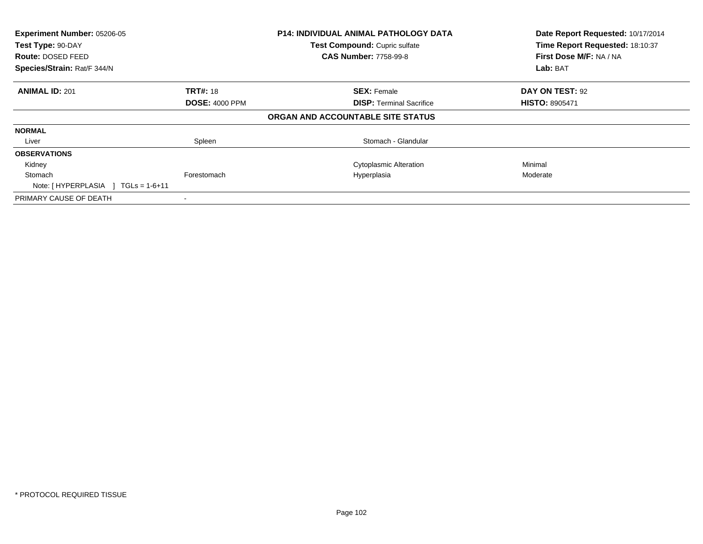| Experiment Number: 05206-05<br>Test Type: 90-DAY<br><b>Route: DOSED FEED</b><br>Species/Strain: Rat/F 344/N |                       | <b>P14: INDIVIDUAL ANIMAL PATHOLOGY DATA</b><br>Test Compound: Cupric sulfate<br><b>CAS Number: 7758-99-8</b> | Date Report Requested: 10/17/2014<br>Time Report Requested: 18:10:37<br>First Dose M/F: NA / NA<br>Lab: BAT |
|-------------------------------------------------------------------------------------------------------------|-----------------------|---------------------------------------------------------------------------------------------------------------|-------------------------------------------------------------------------------------------------------------|
| <b>ANIMAL ID: 201</b>                                                                                       | <b>TRT#: 18</b>       | <b>SEX: Female</b>                                                                                            | DAY ON TEST: 92                                                                                             |
|                                                                                                             | <b>DOSE: 4000 PPM</b> | <b>DISP:</b> Terminal Sacrifice                                                                               | <b>HISTO: 8905471</b>                                                                                       |
|                                                                                                             |                       | ORGAN AND ACCOUNTABLE SITE STATUS                                                                             |                                                                                                             |
| <b>NORMAL</b>                                                                                               |                       |                                                                                                               |                                                                                                             |
| Liver                                                                                                       | Spleen                | Stomach - Glandular                                                                                           |                                                                                                             |
| <b>OBSERVATIONS</b>                                                                                         |                       |                                                                                                               |                                                                                                             |
| Kidney                                                                                                      |                       | <b>Cytoplasmic Alteration</b>                                                                                 | Minimal                                                                                                     |
| Stomach<br>Note: $[HYPERPLASIA] TGLs = 1-6+11$                                                              | Forestomach           | Hyperplasia                                                                                                   | Moderate                                                                                                    |
| PRIMARY CAUSE OF DEATH                                                                                      |                       |                                                                                                               |                                                                                                             |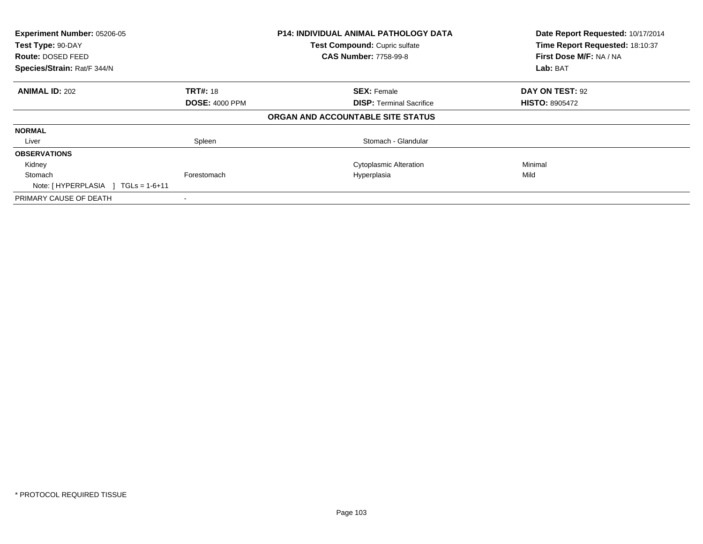| Experiment Number: 05206-05         | <b>P14: INDIVIDUAL ANIMAL PATHOLOGY DATA</b> |                                   | Date Report Requested: 10/17/2014 |
|-------------------------------------|----------------------------------------------|-----------------------------------|-----------------------------------|
| Test Type: 90-DAY                   |                                              | Test Compound: Cupric sulfate     | Time Report Requested: 18:10:37   |
| <b>Route: DOSED FEED</b>            |                                              | <b>CAS Number: 7758-99-8</b>      | First Dose M/F: NA / NA           |
| Species/Strain: Rat/F 344/N         |                                              |                                   | Lab: BAT                          |
| <b>ANIMAL ID: 202</b>               | <b>TRT#: 18</b>                              | <b>SEX: Female</b>                | DAY ON TEST: 92                   |
|                                     | <b>DOSE: 4000 PPM</b>                        | <b>DISP:</b> Terminal Sacrifice   | <b>HISTO: 8905472</b>             |
|                                     |                                              | ORGAN AND ACCOUNTABLE SITE STATUS |                                   |
| <b>NORMAL</b>                       |                                              |                                   |                                   |
| Liver                               | Spleen                                       | Stomach - Glandular               |                                   |
| <b>OBSERVATIONS</b>                 |                                              |                                   |                                   |
| Kidney                              |                                              | <b>Cytoplasmic Alteration</b>     | Minimal                           |
| Stomach                             | Forestomach                                  | Hyperplasia                       | Mild                              |
| Note: $[HYPERPLASIA] TGLs = 1-6+11$ |                                              |                                   |                                   |
| PRIMARY CAUSE OF DEATH              |                                              |                                   |                                   |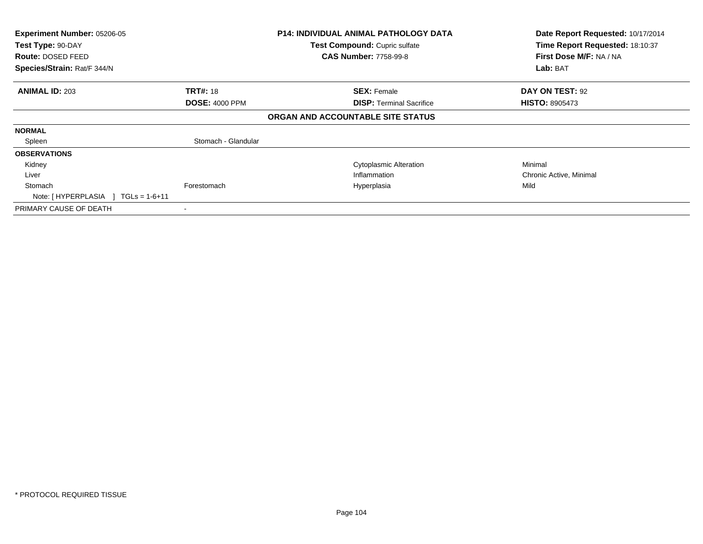| Experiment Number: 05206-05<br>Test Type: 90-DAY<br><b>Route: DOSED FEED</b><br>Species/Strain: Rat/F 344/N |                                          | <b>P14: INDIVIDUAL ANIMAL PATHOLOGY DATA</b><br>Test Compound: Cupric sulfate<br><b>CAS Number: 7758-99-8</b> | Date Report Requested: 10/17/2014<br>Time Report Requested: 18:10:37<br>First Dose M/F: NA / NA<br>Lab: BAT |
|-------------------------------------------------------------------------------------------------------------|------------------------------------------|---------------------------------------------------------------------------------------------------------------|-------------------------------------------------------------------------------------------------------------|
| <b>ANIMAL ID: 203</b>                                                                                       | <b>TRT#: 18</b><br><b>DOSE: 4000 PPM</b> | <b>SEX: Female</b><br><b>DISP:</b> Terminal Sacrifice                                                         | DAY ON TEST: 92<br><b>HISTO: 8905473</b>                                                                    |
|                                                                                                             |                                          | ORGAN AND ACCOUNTABLE SITE STATUS                                                                             |                                                                                                             |
| <b>NORMAL</b>                                                                                               |                                          |                                                                                                               |                                                                                                             |
| Spleen                                                                                                      | Stomach - Glandular                      |                                                                                                               |                                                                                                             |
| <b>OBSERVATIONS</b>                                                                                         |                                          |                                                                                                               |                                                                                                             |
| Kidney                                                                                                      |                                          | <b>Cytoplasmic Alteration</b>                                                                                 | Minimal                                                                                                     |
| Liver                                                                                                       |                                          | Inflammation                                                                                                  | Chronic Active, Minimal                                                                                     |
| Stomach<br>Note: $[HYPERPLASIA] TGLs = 1-6+11$                                                              | Forestomach                              | Hyperplasia                                                                                                   | Mild                                                                                                        |
| PRIMARY CAUSE OF DEATH                                                                                      |                                          |                                                                                                               |                                                                                                             |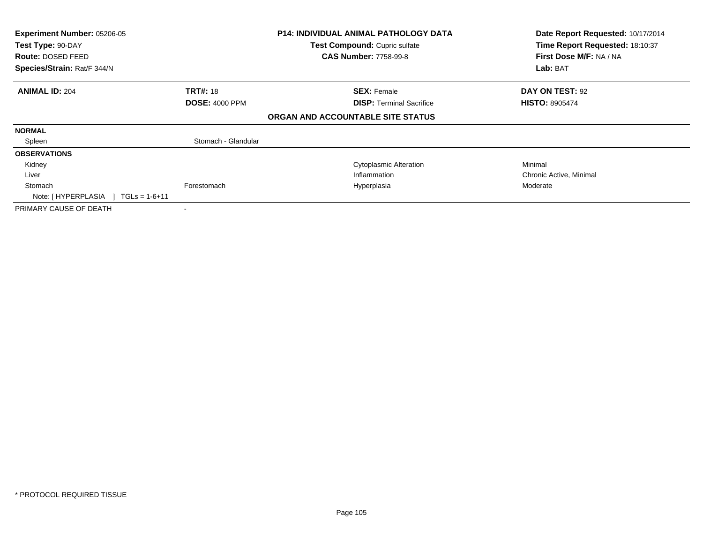| Experiment Number: 05206-05<br>Test Type: 90-DAY<br>Route: DOSED FEED<br>Species/Strain: Rat/F 344/N |                       | <b>P14: INDIVIDUAL ANIMAL PATHOLOGY DATA</b><br>Test Compound: Cupric sulfate<br><b>CAS Number: 7758-99-8</b> | Date Report Requested: 10/17/2014<br>Time Report Requested: 18:10:37<br>First Dose M/F: NA / NA<br>Lab: BAT |
|------------------------------------------------------------------------------------------------------|-----------------------|---------------------------------------------------------------------------------------------------------------|-------------------------------------------------------------------------------------------------------------|
|                                                                                                      |                       |                                                                                                               |                                                                                                             |
| <b>ANIMAL ID: 204</b>                                                                                | <b>TRT#: 18</b>       | <b>SEX: Female</b>                                                                                            | DAY ON TEST: 92                                                                                             |
|                                                                                                      | <b>DOSE: 4000 PPM</b> | <b>DISP: Terminal Sacrifice</b>                                                                               | <b>HISTO: 8905474</b>                                                                                       |
|                                                                                                      |                       | ORGAN AND ACCOUNTABLE SITE STATUS                                                                             |                                                                                                             |
| <b>NORMAL</b>                                                                                        |                       |                                                                                                               |                                                                                                             |
| Spleen                                                                                               | Stomach - Glandular   |                                                                                                               |                                                                                                             |
| <b>OBSERVATIONS</b>                                                                                  |                       |                                                                                                               |                                                                                                             |
| Kidney                                                                                               |                       | <b>Cytoplasmic Alteration</b>                                                                                 | Minimal                                                                                                     |
| Liver                                                                                                |                       | Inflammation                                                                                                  | Chronic Active, Minimal                                                                                     |
| Stomach<br>Note: $[HYPERPLASIA] TGLs = 1-6+11$                                                       | Forestomach           | Hyperplasia                                                                                                   | Moderate                                                                                                    |
| PRIMARY CAUSE OF DEATH                                                                               |                       |                                                                                                               |                                                                                                             |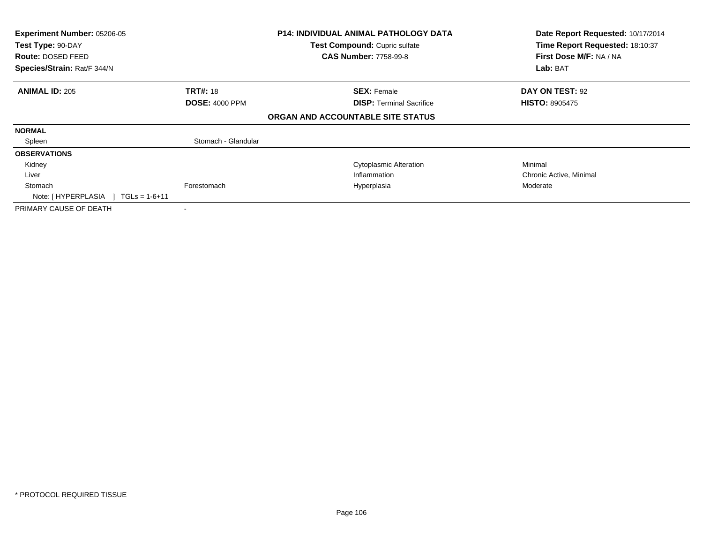| Experiment Number: 05206-05<br>Test Type: 90-DAY<br>Route: DOSED FEED<br>Species/Strain: Rat/F 344/N |                       | <b>P14: INDIVIDUAL ANIMAL PATHOLOGY DATA</b><br>Test Compound: Cupric sulfate<br><b>CAS Number: 7758-99-8</b> | Date Report Requested: 10/17/2014<br>Time Report Requested: 18:10:37<br>First Dose M/F: NA / NA<br>Lab: BAT |
|------------------------------------------------------------------------------------------------------|-----------------------|---------------------------------------------------------------------------------------------------------------|-------------------------------------------------------------------------------------------------------------|
|                                                                                                      |                       |                                                                                                               |                                                                                                             |
| <b>ANIMAL ID: 205</b>                                                                                | <b>TRT#: 18</b>       | <b>SEX: Female</b>                                                                                            | DAY ON TEST: 92                                                                                             |
|                                                                                                      | <b>DOSE: 4000 PPM</b> | <b>DISP: Terminal Sacrifice</b>                                                                               | <b>HISTO: 8905475</b>                                                                                       |
|                                                                                                      |                       | ORGAN AND ACCOUNTABLE SITE STATUS                                                                             |                                                                                                             |
| <b>NORMAL</b>                                                                                        |                       |                                                                                                               |                                                                                                             |
| Spleen                                                                                               | Stomach - Glandular   |                                                                                                               |                                                                                                             |
| <b>OBSERVATIONS</b>                                                                                  |                       |                                                                                                               |                                                                                                             |
| Kidney                                                                                               |                       | <b>Cytoplasmic Alteration</b>                                                                                 | Minimal                                                                                                     |
| Liver                                                                                                |                       | Inflammation                                                                                                  | Chronic Active, Minimal                                                                                     |
| Stomach<br>Note: $[HYPERPLASIA] TGLs = 1-6+11$                                                       | Forestomach           | Hyperplasia                                                                                                   | Moderate                                                                                                    |
| PRIMARY CAUSE OF DEATH                                                                               |                       |                                                                                                               |                                                                                                             |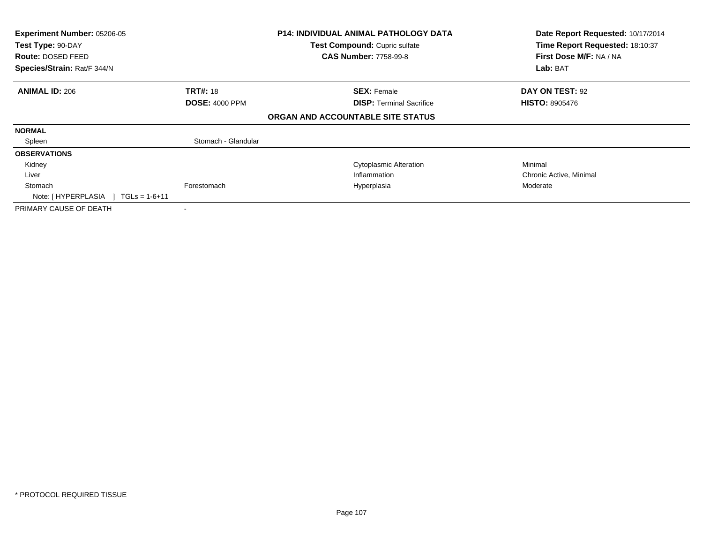| Experiment Number: 05206-05<br>Test Type: 90-DAY<br><b>Route: DOSED FEED</b><br>Species/Strain: Rat/F 344/N |                                          | <b>P14: INDIVIDUAL ANIMAL PATHOLOGY DATA</b><br>Test Compound: Cupric sulfate<br><b>CAS Number: 7758-99-8</b> | Date Report Requested: 10/17/2014<br>Time Report Requested: 18:10:37<br>First Dose M/F: NA / NA<br>Lab: BAT |
|-------------------------------------------------------------------------------------------------------------|------------------------------------------|---------------------------------------------------------------------------------------------------------------|-------------------------------------------------------------------------------------------------------------|
| <b>ANIMAL ID: 206</b>                                                                                       | <b>TRT#: 18</b><br><b>DOSE: 4000 PPM</b> | <b>SEX: Female</b><br><b>DISP:</b> Terminal Sacrifice                                                         | DAY ON TEST: 92<br><b>HISTO: 8905476</b>                                                                    |
|                                                                                                             |                                          | ORGAN AND ACCOUNTABLE SITE STATUS                                                                             |                                                                                                             |
| <b>NORMAL</b>                                                                                               |                                          |                                                                                                               |                                                                                                             |
| Spleen                                                                                                      | Stomach - Glandular                      |                                                                                                               |                                                                                                             |
| <b>OBSERVATIONS</b>                                                                                         |                                          |                                                                                                               |                                                                                                             |
| Kidney                                                                                                      |                                          | <b>Cytoplasmic Alteration</b>                                                                                 | Minimal                                                                                                     |
| Liver                                                                                                       |                                          | Inflammation                                                                                                  | Chronic Active, Minimal                                                                                     |
| Stomach<br>Note: $[HYPERPLASIA] TGLs = 1-6+11$                                                              | Forestomach                              | Hyperplasia                                                                                                   | Moderate                                                                                                    |
| PRIMARY CAUSE OF DEATH                                                                                      |                                          |                                                                                                               |                                                                                                             |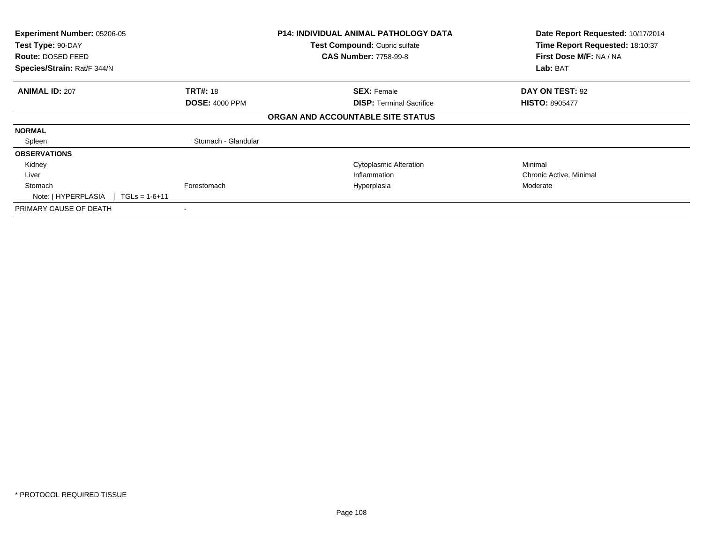| Experiment Number: 05206-05<br>Test Type: 90-DAY<br><b>Route: DOSED FEED</b><br>Species/Strain: Rat/F 344/N |                       | <b>P14: INDIVIDUAL ANIMAL PATHOLOGY DATA</b><br>Test Compound: Cupric sulfate<br><b>CAS Number: 7758-99-8</b> | Date Report Requested: 10/17/2014<br>Time Report Requested: 18:10:37<br>First Dose M/F: NA / NA<br>Lab: BAT |
|-------------------------------------------------------------------------------------------------------------|-----------------------|---------------------------------------------------------------------------------------------------------------|-------------------------------------------------------------------------------------------------------------|
| <b>ANIMAL ID: 207</b>                                                                                       | <b>TRT#: 18</b>       | <b>SEX: Female</b>                                                                                            | <b>DAY ON TEST: 92</b>                                                                                      |
|                                                                                                             | <b>DOSE: 4000 PPM</b> | <b>DISP: Terminal Sacrifice</b><br>ORGAN AND ACCOUNTABLE SITE STATUS                                          | <b>HISTO: 8905477</b>                                                                                       |
| <b>NORMAL</b>                                                                                               |                       |                                                                                                               |                                                                                                             |
| Spleen                                                                                                      | Stomach - Glandular   |                                                                                                               |                                                                                                             |
| <b>OBSERVATIONS</b>                                                                                         |                       |                                                                                                               |                                                                                                             |
| Kidney                                                                                                      |                       | <b>Cytoplasmic Alteration</b>                                                                                 | Minimal                                                                                                     |
| Liver                                                                                                       |                       | Inflammation                                                                                                  | Chronic Active, Minimal                                                                                     |
| Stomach<br>Note: $[HYPERPLASIA] TGLs = 1-6+11$                                                              | Forestomach           | Hyperplasia                                                                                                   | Moderate                                                                                                    |
| PRIMARY CAUSE OF DEATH                                                                                      |                       |                                                                                                               |                                                                                                             |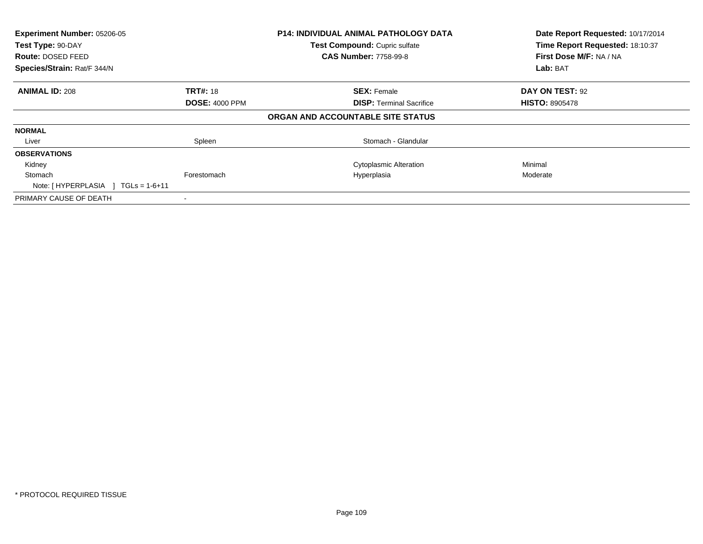| Experiment Number: 05206-05<br>Test Type: 90-DAY<br><b>Route: DOSED FEED</b><br>Species/Strain: Rat/F 344/N |                       | <b>P14: INDIVIDUAL ANIMAL PATHOLOGY DATA</b><br>Test Compound: Cupric sulfate<br><b>CAS Number: 7758-99-8</b> | Date Report Requested: 10/17/2014<br>Time Report Requested: 18:10:37<br>First Dose M/F: NA / NA<br>Lab: BAT |
|-------------------------------------------------------------------------------------------------------------|-----------------------|---------------------------------------------------------------------------------------------------------------|-------------------------------------------------------------------------------------------------------------|
| <b>ANIMAL ID: 208</b>                                                                                       | <b>TRT#: 18</b>       | <b>SEX: Female</b>                                                                                            | DAY ON TEST: 92                                                                                             |
|                                                                                                             | <b>DOSE: 4000 PPM</b> | <b>DISP:</b> Terminal Sacrifice                                                                               | <b>HISTO: 8905478</b>                                                                                       |
|                                                                                                             |                       | ORGAN AND ACCOUNTABLE SITE STATUS                                                                             |                                                                                                             |
| <b>NORMAL</b>                                                                                               |                       |                                                                                                               |                                                                                                             |
| Liver                                                                                                       | Spleen                | Stomach - Glandular                                                                                           |                                                                                                             |
| <b>OBSERVATIONS</b>                                                                                         |                       |                                                                                                               |                                                                                                             |
| Kidney                                                                                                      |                       | <b>Cytoplasmic Alteration</b>                                                                                 | Minimal                                                                                                     |
| Stomach<br>Note: $[HYPERPLASIA] TGLs = 1-6+11$                                                              | Forestomach           | Hyperplasia                                                                                                   | Moderate                                                                                                    |
| PRIMARY CAUSE OF DEATH                                                                                      |                       |                                                                                                               |                                                                                                             |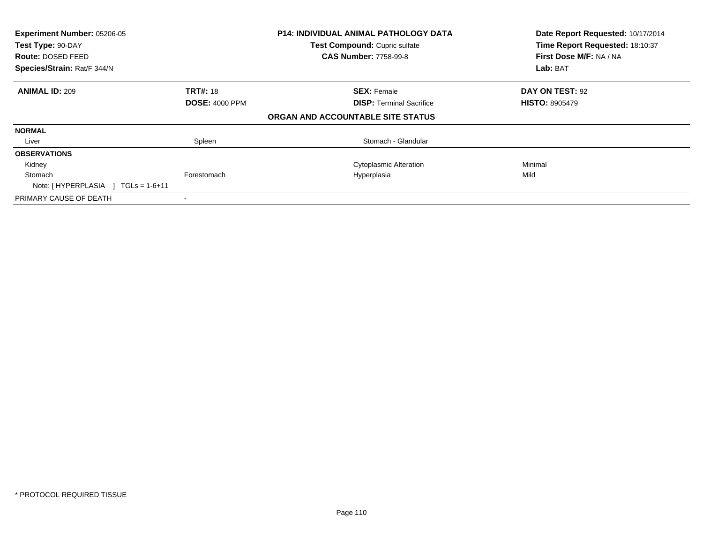| Experiment Number: 05206-05<br>Test Type: 90-DAY |                       | <b>P14: INDIVIDUAL ANIMAL PATHOLOGY DATA</b> | Date Report Requested: 10/17/2014<br>Time Report Requested: 18:10:37 |
|--------------------------------------------------|-----------------------|----------------------------------------------|----------------------------------------------------------------------|
|                                                  |                       | Test Compound: Cupric sulfate                |                                                                      |
| <b>Route: DOSED FEED</b>                         |                       | <b>CAS Number: 7758-99-8</b>                 | First Dose M/F: NA / NA                                              |
| Species/Strain: Rat/F 344/N                      |                       |                                              | Lab: BAT                                                             |
| <b>ANIMAL ID: 209</b>                            | <b>TRT#: 18</b>       | <b>SEX: Female</b>                           | DAY ON TEST: 92                                                      |
|                                                  | <b>DOSE: 4000 PPM</b> | <b>DISP:</b> Terminal Sacrifice              | <b>HISTO: 8905479</b>                                                |
|                                                  |                       | ORGAN AND ACCOUNTABLE SITE STATUS            |                                                                      |
| <b>NORMAL</b>                                    |                       |                                              |                                                                      |
| Liver                                            | Spleen                | Stomach - Glandular                          |                                                                      |
| <b>OBSERVATIONS</b>                              |                       |                                              |                                                                      |
| Kidney                                           |                       | <b>Cytoplasmic Alteration</b>                | Minimal                                                              |
| Stomach                                          | Forestomach           | Hyperplasia                                  | Mild                                                                 |
| Note: $[HYPERPLASIA] TGLs = 1-6+11$              |                       |                                              |                                                                      |
| PRIMARY CAUSE OF DEATH                           |                       |                                              |                                                                      |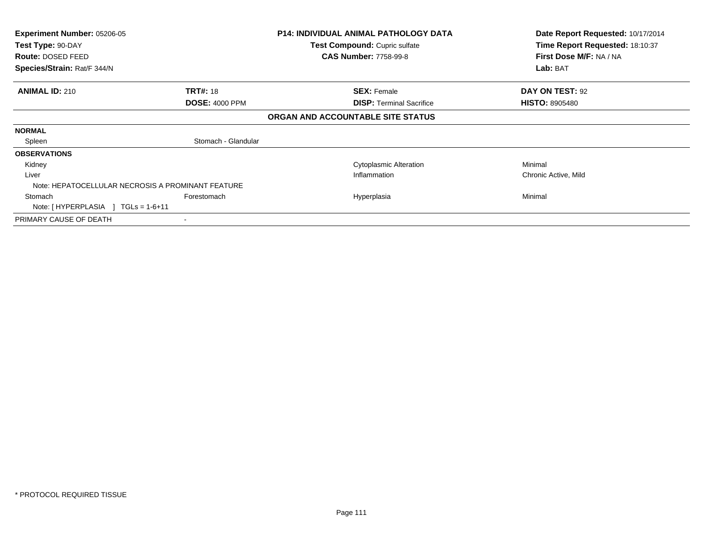| <b>Experiment Number: 05206-05</b><br>Test Type: 90-DAY |                       | <b>P14: INDIVIDUAL ANIMAL PATHOLOGY DATA</b><br>Test Compound: Cupric sulfate | Date Report Requested: 10/17/2014<br>Time Report Requested: 18:10:37 |
|---------------------------------------------------------|-----------------------|-------------------------------------------------------------------------------|----------------------------------------------------------------------|
| <b>Route: DOSED FEED</b>                                |                       | <b>CAS Number: 7758-99-8</b>                                                  | First Dose M/F: NA / NA                                              |
| Species/Strain: Rat/F 344/N                             |                       |                                                                               | Lab: BAT                                                             |
| <b>ANIMAL ID: 210</b>                                   | <b>TRT#: 18</b>       | <b>SEX: Female</b>                                                            | <b>DAY ON TEST: 92</b>                                               |
|                                                         | <b>DOSE: 4000 PPM</b> | <b>DISP: Terminal Sacrifice</b>                                               | <b>HISTO: 8905480</b>                                                |
|                                                         |                       | ORGAN AND ACCOUNTABLE SITE STATUS                                             |                                                                      |
| <b>NORMAL</b>                                           |                       |                                                                               |                                                                      |
| Spleen                                                  | Stomach - Glandular   |                                                                               |                                                                      |
| <b>OBSERVATIONS</b>                                     |                       |                                                                               |                                                                      |
| Kidney                                                  |                       | <b>Cytoplasmic Alteration</b>                                                 | Minimal                                                              |
| Liver                                                   |                       | Inflammation                                                                  | Chronic Active, Mild                                                 |
| Note: HEPATOCELLULAR NECROSIS A PROMINANT FEATURE       |                       |                                                                               |                                                                      |
| Stomach                                                 | Forestomach           | Hyperplasia                                                                   | Minimal                                                              |
| Note: $[HYPERPLASIA] TGLs = 1-6+11$                     |                       |                                                                               |                                                                      |
| PRIMARY CAUSE OF DEATH                                  |                       |                                                                               |                                                                      |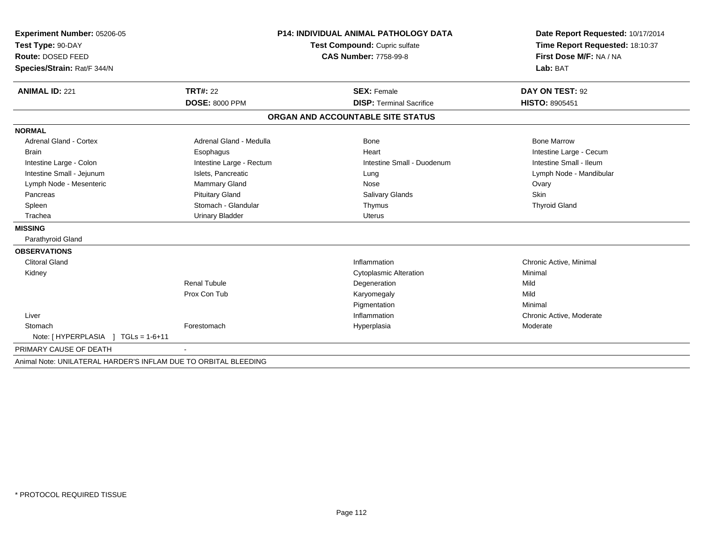| Experiment Number: 05206-05                                     |                          | <b>P14: INDIVIDUAL ANIMAL PATHOLOGY DATA</b> | Date Report Requested: 10/17/2014 |
|-----------------------------------------------------------------|--------------------------|----------------------------------------------|-----------------------------------|
| Test Type: 90-DAY                                               |                          | Test Compound: Cupric sulfate                | Time Report Requested: 18:10:37   |
| Route: DOSED FEED                                               |                          | <b>CAS Number: 7758-99-8</b>                 | First Dose M/F: NA / NA           |
| Species/Strain: Rat/F 344/N                                     |                          |                                              | Lab: BAT                          |
|                                                                 |                          |                                              |                                   |
| <b>ANIMAL ID: 221</b>                                           | <b>TRT#: 22</b>          | <b>SEX: Female</b>                           | DAY ON TEST: 92                   |
|                                                                 | <b>DOSE: 8000 PPM</b>    | <b>DISP: Terminal Sacrifice</b>              | HISTO: 8905451                    |
|                                                                 |                          | ORGAN AND ACCOUNTABLE SITE STATUS            |                                   |
| <b>NORMAL</b>                                                   |                          |                                              |                                   |
| Adrenal Gland - Cortex                                          | Adrenal Gland - Medulla  | Bone                                         | <b>Bone Marrow</b>                |
| <b>Brain</b>                                                    | Esophagus                | Heart                                        | Intestine Large - Cecum           |
| Intestine Large - Colon                                         | Intestine Large - Rectum | Intestine Small - Duodenum                   | Intestine Small - Ileum           |
| Intestine Small - Jejunum                                       | Islets, Pancreatic       | Lung                                         | Lymph Node - Mandibular           |
| Lymph Node - Mesenteric                                         | Mammary Gland            | Nose                                         | Ovary                             |
| Pancreas                                                        | <b>Pituitary Gland</b>   | Salivary Glands                              | Skin                              |
| Spleen                                                          | Stomach - Glandular      | Thymus                                       | <b>Thyroid Gland</b>              |
| Trachea                                                         | <b>Urinary Bladder</b>   | <b>Uterus</b>                                |                                   |
| <b>MISSING</b>                                                  |                          |                                              |                                   |
| Parathyroid Gland                                               |                          |                                              |                                   |
| <b>OBSERVATIONS</b>                                             |                          |                                              |                                   |
| <b>Clitoral Gland</b>                                           |                          | Inflammation                                 | Chronic Active, Minimal           |
| Kidney                                                          |                          | <b>Cytoplasmic Alteration</b>                | Minimal                           |
|                                                                 | <b>Renal Tubule</b>      | Degeneration                                 | Mild                              |
|                                                                 | Prox Con Tub             | Karyomegaly                                  | Mild                              |
|                                                                 |                          | Pigmentation                                 | Minimal                           |
| Liver                                                           |                          | Inflammation                                 | Chronic Active, Moderate          |
| Stomach                                                         | Forestomach              | Hyperplasia                                  | Moderate                          |
| $TGLs = 1-6+11$<br>Note: [HYPERPLASIA ]                         |                          |                                              |                                   |
| PRIMARY CAUSE OF DEATH                                          |                          |                                              |                                   |
| Animal Note: UNILATERAL HARDER'S INFLAM DUE TO ORBITAL BLEEDING |                          |                                              |                                   |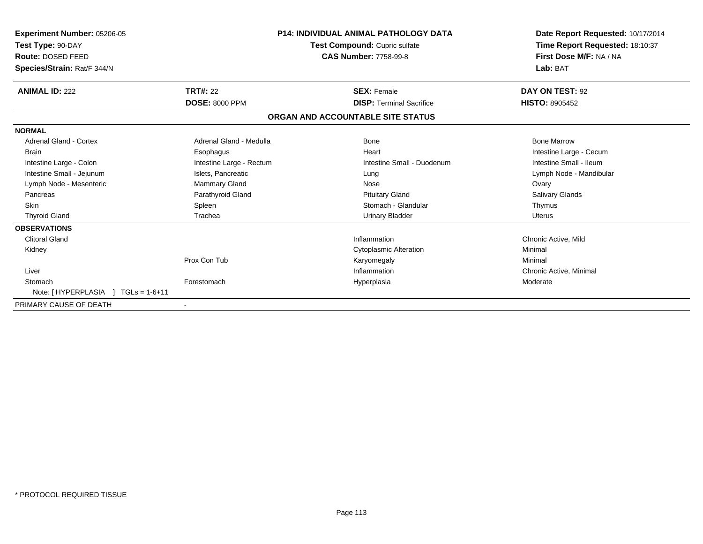| <b>Experiment Number: 05206-05</b><br>Test Type: 90-DAY<br><b>Route: DOSED FEED</b><br>Species/Strain: Rat/F 344/N |                          | <b>P14: INDIVIDUAL ANIMAL PATHOLOGY DATA</b><br>Test Compound: Cupric sulfate<br><b>CAS Number: 7758-99-8</b> | Date Report Requested: 10/17/2014<br>Time Report Requested: 18:10:37<br>First Dose M/F: NA / NA<br>Lab: BAT |
|--------------------------------------------------------------------------------------------------------------------|--------------------------|---------------------------------------------------------------------------------------------------------------|-------------------------------------------------------------------------------------------------------------|
| <b>ANIMAL ID: 222</b>                                                                                              | <b>TRT#: 22</b>          | <b>SEX: Female</b>                                                                                            | DAY ON TEST: 92                                                                                             |
|                                                                                                                    | <b>DOSE: 8000 PPM</b>    | <b>DISP: Terminal Sacrifice</b>                                                                               | <b>HISTO: 8905452</b>                                                                                       |
|                                                                                                                    |                          | ORGAN AND ACCOUNTABLE SITE STATUS                                                                             |                                                                                                             |
| <b>NORMAL</b>                                                                                                      |                          |                                                                                                               |                                                                                                             |
| <b>Adrenal Gland - Cortex</b>                                                                                      | Adrenal Gland - Medulla  | <b>Bone</b>                                                                                                   | <b>Bone Marrow</b>                                                                                          |
| <b>Brain</b>                                                                                                       | Esophagus                | Heart                                                                                                         | Intestine Large - Cecum                                                                                     |
| Intestine Large - Colon                                                                                            | Intestine Large - Rectum | Intestine Small - Duodenum                                                                                    | Intestine Small - Ileum                                                                                     |
| Intestine Small - Jejunum                                                                                          | Islets, Pancreatic       | Lung                                                                                                          | Lymph Node - Mandibular                                                                                     |
| Lymph Node - Mesenteric                                                                                            | Mammary Gland            | Nose                                                                                                          | Ovary                                                                                                       |
| Pancreas                                                                                                           | Parathyroid Gland        | <b>Pituitary Gland</b>                                                                                        | Salivary Glands                                                                                             |
| <b>Skin</b>                                                                                                        | Spleen                   | Stomach - Glandular                                                                                           | Thymus                                                                                                      |
| <b>Thyroid Gland</b>                                                                                               | Trachea                  | <b>Urinary Bladder</b>                                                                                        | <b>Uterus</b>                                                                                               |
| <b>OBSERVATIONS</b>                                                                                                |                          |                                                                                                               |                                                                                                             |
| <b>Clitoral Gland</b>                                                                                              |                          | Inflammation                                                                                                  | Chronic Active, Mild                                                                                        |
| Kidney                                                                                                             |                          | <b>Cytoplasmic Alteration</b>                                                                                 | Minimal                                                                                                     |
|                                                                                                                    | Prox Con Tub             | Karyomegaly                                                                                                   | Minimal                                                                                                     |
| Liver                                                                                                              |                          | Inflammation                                                                                                  | Chronic Active, Minimal                                                                                     |
| Stomach                                                                                                            | Forestomach              | Hyperplasia                                                                                                   | Moderate                                                                                                    |
| Note: [HYPERPLASIA<br>$TGLs = 1-6+11$                                                                              |                          |                                                                                                               |                                                                                                             |
| PRIMARY CAUSE OF DEATH                                                                                             |                          |                                                                                                               |                                                                                                             |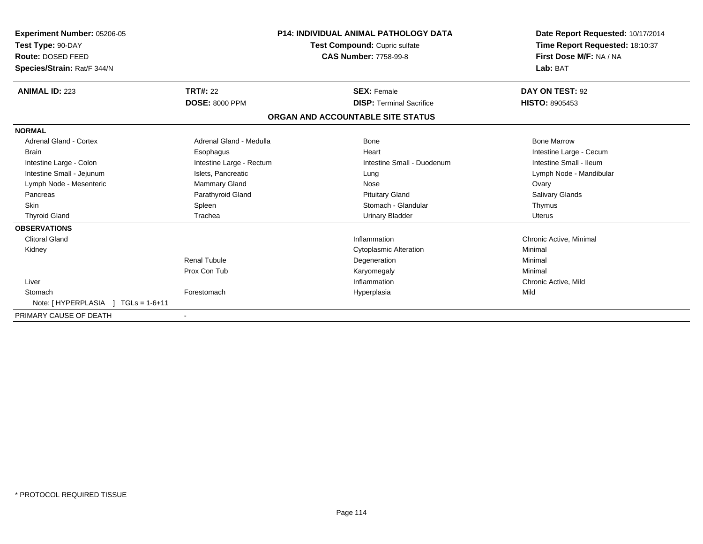| Experiment Number: 05206-05<br>Test Type: 90-DAY<br>Route: DOSED FEED<br>Species/Strain: Rat/F 344/N | <b>P14: INDIVIDUAL ANIMAL PATHOLOGY DATA</b><br>Test Compound: Cupric sulfate<br><b>CAS Number: 7758-99-8</b> |                                   | Date Report Requested: 10/17/2014<br>Time Report Requested: 18:10:37<br>First Dose M/F: NA / NA<br>Lab: BAT |
|------------------------------------------------------------------------------------------------------|---------------------------------------------------------------------------------------------------------------|-----------------------------------|-------------------------------------------------------------------------------------------------------------|
| <b>ANIMAL ID: 223</b>                                                                                | <b>TRT#: 22</b>                                                                                               | <b>SEX: Female</b>                | DAY ON TEST: 92                                                                                             |
|                                                                                                      | <b>DOSE: 8000 PPM</b>                                                                                         | <b>DISP: Terminal Sacrifice</b>   | <b>HISTO: 8905453</b>                                                                                       |
|                                                                                                      |                                                                                                               | ORGAN AND ACCOUNTABLE SITE STATUS |                                                                                                             |
| <b>NORMAL</b>                                                                                        |                                                                                                               |                                   |                                                                                                             |
| <b>Adrenal Gland - Cortex</b>                                                                        | Adrenal Gland - Medulla                                                                                       | Bone                              | <b>Bone Marrow</b>                                                                                          |
| Brain                                                                                                | Esophagus                                                                                                     | Heart                             | Intestine Large - Cecum                                                                                     |
| Intestine Large - Colon                                                                              | Intestine Large - Rectum                                                                                      | Intestine Small - Duodenum        | Intestine Small - Ileum                                                                                     |
| Intestine Small - Jejunum                                                                            | Islets, Pancreatic                                                                                            | Lung                              | Lymph Node - Mandibular                                                                                     |
| Lymph Node - Mesenteric                                                                              | Mammary Gland                                                                                                 | Nose                              | Ovary                                                                                                       |
| Pancreas                                                                                             | Parathyroid Gland                                                                                             | <b>Pituitary Gland</b>            | <b>Salivary Glands</b>                                                                                      |
| <b>Skin</b>                                                                                          | Spleen                                                                                                        | Stomach - Glandular               | Thymus                                                                                                      |
| <b>Thyroid Gland</b>                                                                                 | Trachea                                                                                                       | <b>Urinary Bladder</b>            | Uterus                                                                                                      |
| <b>OBSERVATIONS</b>                                                                                  |                                                                                                               |                                   |                                                                                                             |
| <b>Clitoral Gland</b>                                                                                |                                                                                                               | Inflammation                      | Chronic Active, Minimal                                                                                     |
| Kidney                                                                                               |                                                                                                               | <b>Cytoplasmic Alteration</b>     | Minimal                                                                                                     |
|                                                                                                      | <b>Renal Tubule</b>                                                                                           | Degeneration                      | Minimal                                                                                                     |
|                                                                                                      | Prox Con Tub                                                                                                  | Karyomegaly                       | Minimal                                                                                                     |
| Liver                                                                                                |                                                                                                               | Inflammation                      | Chronic Active, Mild                                                                                        |
| Stomach                                                                                              | Forestomach                                                                                                   | Hyperplasia                       | Mild                                                                                                        |
| Note: [HYPERPLASIA ]<br>$TGLs = 1-6+11$                                                              |                                                                                                               |                                   |                                                                                                             |
| PRIMARY CAUSE OF DEATH                                                                               |                                                                                                               |                                   |                                                                                                             |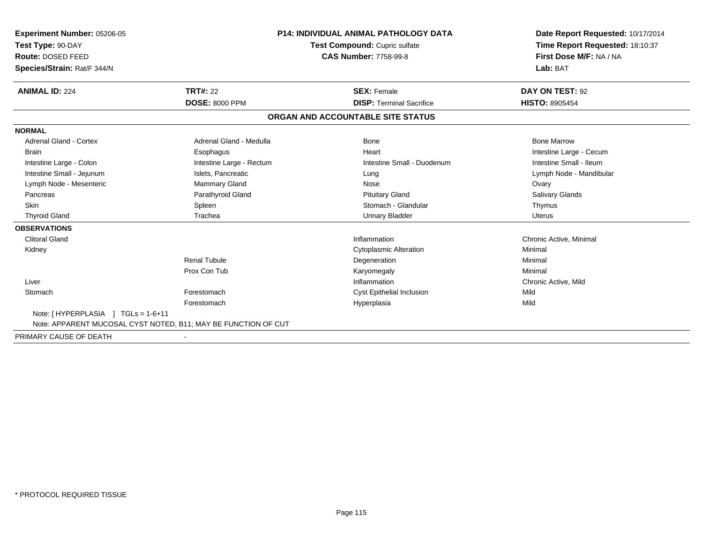| <b>Experiment Number: 05206-05</b><br>Test Type: 90-DAY<br><b>Route: DOSED FEED</b><br>Species/Strain: Rat/F 344/N |                          | <b>P14: INDIVIDUAL ANIMAL PATHOLOGY DATA</b><br>Test Compound: Cupric sulfate<br><b>CAS Number: 7758-99-8</b> | Date Report Requested: 10/17/2014<br>Time Report Requested: 18:10:37<br>First Dose M/F: NA / NA<br>Lab: BAT |
|--------------------------------------------------------------------------------------------------------------------|--------------------------|---------------------------------------------------------------------------------------------------------------|-------------------------------------------------------------------------------------------------------------|
| <b>ANIMAL ID: 224</b>                                                                                              | <b>TRT#: 22</b>          | <b>SEX: Female</b>                                                                                            | DAY ON TEST: 92                                                                                             |
|                                                                                                                    | <b>DOSE: 8000 PPM</b>    | <b>DISP: Terminal Sacrifice</b>                                                                               | HISTO: 8905454                                                                                              |
|                                                                                                                    |                          | ORGAN AND ACCOUNTABLE SITE STATUS                                                                             |                                                                                                             |
| <b>NORMAL</b>                                                                                                      |                          |                                                                                                               |                                                                                                             |
| <b>Adrenal Gland - Cortex</b>                                                                                      | Adrenal Gland - Medulla  | <b>Bone</b>                                                                                                   | <b>Bone Marrow</b>                                                                                          |
| <b>Brain</b>                                                                                                       | Esophagus                | Heart                                                                                                         | Intestine Large - Cecum                                                                                     |
| Intestine Large - Colon                                                                                            | Intestine Large - Rectum | Intestine Small - Duodenum                                                                                    | Intestine Small - Ileum                                                                                     |
| Intestine Small - Jejunum                                                                                          | Islets, Pancreatic       | Lung                                                                                                          | Lymph Node - Mandibular                                                                                     |
| Lymph Node - Mesenteric                                                                                            | Mammary Gland            | Nose                                                                                                          | Ovary                                                                                                       |
| Pancreas                                                                                                           | Parathyroid Gland        | <b>Pituitary Gland</b>                                                                                        | Salivary Glands                                                                                             |
| <b>Skin</b>                                                                                                        | Spleen                   | Stomach - Glandular                                                                                           | Thymus                                                                                                      |
| <b>Thyroid Gland</b>                                                                                               | Trachea                  | <b>Urinary Bladder</b>                                                                                        | <b>Uterus</b>                                                                                               |
| <b>OBSERVATIONS</b>                                                                                                |                          |                                                                                                               |                                                                                                             |
| <b>Clitoral Gland</b>                                                                                              |                          | Inflammation                                                                                                  | Chronic Active, Minimal                                                                                     |
| Kidney                                                                                                             |                          | <b>Cytoplasmic Alteration</b>                                                                                 | Minimal                                                                                                     |
|                                                                                                                    | <b>Renal Tubule</b>      | Degeneration                                                                                                  | Minimal                                                                                                     |
|                                                                                                                    | Prox Con Tub             | Karyomegaly                                                                                                   | Minimal                                                                                                     |
| Liver                                                                                                              |                          | Inflammation                                                                                                  | Chronic Active, Mild                                                                                        |
| Stomach                                                                                                            | Forestomach              | <b>Cyst Epithelial Inclusion</b>                                                                              | Mild                                                                                                        |
|                                                                                                                    | Forestomach              | Hyperplasia                                                                                                   | Mild                                                                                                        |
| Note: $[HYPERPLASIA] TGLs = 1-6+11$<br>Note: APPARENT MUCOSAL CYST NOTED, B11; MAY BE FUNCTION OF CUT              |                          |                                                                                                               |                                                                                                             |
| PRIMARY CAUSE OF DEATH                                                                                             | $\blacksquare$           |                                                                                                               |                                                                                                             |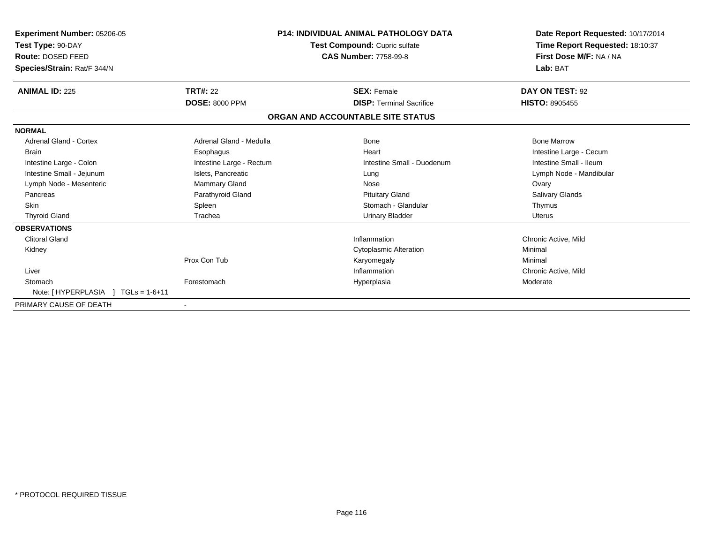| <b>Experiment Number: 05206-05</b><br>Test Type: 90-DAY<br><b>Route: DOSED FEED</b><br>Species/Strain: Rat/F 344/N |                          | <b>P14: INDIVIDUAL ANIMAL PATHOLOGY DATA</b><br>Test Compound: Cupric sulfate<br><b>CAS Number: 7758-99-8</b> | Date Report Requested: 10/17/2014<br>Time Report Requested: 18:10:37<br>First Dose M/F: NA / NA<br>Lab: BAT |
|--------------------------------------------------------------------------------------------------------------------|--------------------------|---------------------------------------------------------------------------------------------------------------|-------------------------------------------------------------------------------------------------------------|
| <b>ANIMAL ID: 225</b>                                                                                              | <b>TRT#: 22</b>          | <b>SEX: Female</b>                                                                                            | DAY ON TEST: 92                                                                                             |
|                                                                                                                    | <b>DOSE: 8000 PPM</b>    | <b>DISP: Terminal Sacrifice</b>                                                                               | <b>HISTO: 8905455</b>                                                                                       |
|                                                                                                                    |                          | ORGAN AND ACCOUNTABLE SITE STATUS                                                                             |                                                                                                             |
| <b>NORMAL</b>                                                                                                      |                          |                                                                                                               |                                                                                                             |
| <b>Adrenal Gland - Cortex</b>                                                                                      | Adrenal Gland - Medulla  | <b>Bone</b>                                                                                                   | <b>Bone Marrow</b>                                                                                          |
| <b>Brain</b>                                                                                                       | Esophagus                | Heart                                                                                                         | Intestine Large - Cecum                                                                                     |
| Intestine Large - Colon                                                                                            | Intestine Large - Rectum | Intestine Small - Duodenum                                                                                    | Intestine Small - Ileum                                                                                     |
| Intestine Small - Jejunum                                                                                          | Islets, Pancreatic       | Lung                                                                                                          | Lymph Node - Mandibular                                                                                     |
| Lymph Node - Mesenteric                                                                                            | Mammary Gland            | Nose                                                                                                          | Ovary                                                                                                       |
| Pancreas                                                                                                           | Parathyroid Gland        | <b>Pituitary Gland</b>                                                                                        | Salivary Glands                                                                                             |
| <b>Skin</b>                                                                                                        | Spleen                   | Stomach - Glandular                                                                                           | Thymus                                                                                                      |
| <b>Thyroid Gland</b>                                                                                               | Trachea                  | <b>Urinary Bladder</b>                                                                                        | <b>Uterus</b>                                                                                               |
| <b>OBSERVATIONS</b>                                                                                                |                          |                                                                                                               |                                                                                                             |
| <b>Clitoral Gland</b>                                                                                              |                          | Inflammation                                                                                                  | Chronic Active, Mild                                                                                        |
| Kidney                                                                                                             |                          | <b>Cytoplasmic Alteration</b>                                                                                 | Minimal                                                                                                     |
|                                                                                                                    | Prox Con Tub             | Karyomegaly                                                                                                   | Minimal                                                                                                     |
| Liver                                                                                                              |                          | Inflammation                                                                                                  | Chronic Active, Mild                                                                                        |
| Stomach                                                                                                            | Forestomach              | Hyperplasia                                                                                                   | Moderate                                                                                                    |
| Note: [HYPERPLASIA<br>$TGLs = 1-6+11$                                                                              |                          |                                                                                                               |                                                                                                             |
| PRIMARY CAUSE OF DEATH                                                                                             |                          |                                                                                                               |                                                                                                             |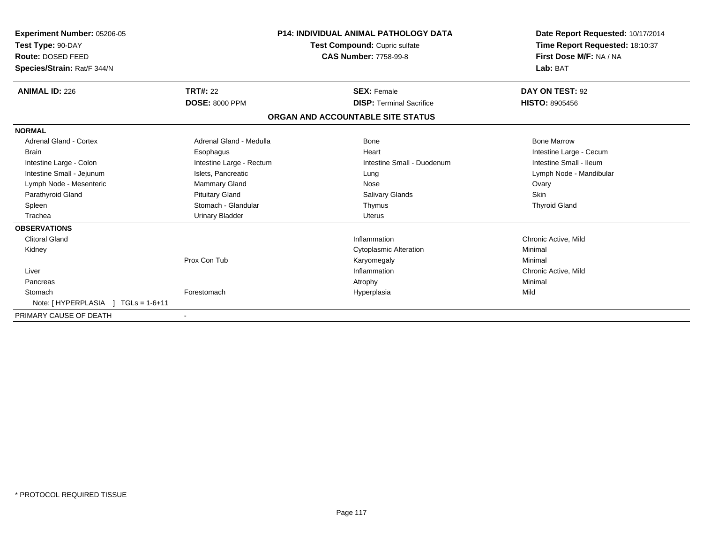| <b>Experiment Number: 05206-05</b><br>Test Type: 90-DAY<br>Route: DOSED FEED<br>Species/Strain: Rat/F 344/N | <b>P14: INDIVIDUAL ANIMAL PATHOLOGY DATA</b><br>Test Compound: Cupric sulfate<br><b>CAS Number: 7758-99-8</b> |                                   | Date Report Requested: 10/17/2014<br>Time Report Requested: 18:10:37<br>First Dose M/F: NA / NA<br>Lab: BAT |
|-------------------------------------------------------------------------------------------------------------|---------------------------------------------------------------------------------------------------------------|-----------------------------------|-------------------------------------------------------------------------------------------------------------|
| <b>ANIMAL ID: 226</b>                                                                                       | <b>TRT#: 22</b>                                                                                               | <b>SEX: Female</b>                | DAY ON TEST: 92                                                                                             |
|                                                                                                             | <b>DOSE: 8000 PPM</b>                                                                                         | <b>DISP: Terminal Sacrifice</b>   | <b>HISTO: 8905456</b>                                                                                       |
|                                                                                                             |                                                                                                               | ORGAN AND ACCOUNTABLE SITE STATUS |                                                                                                             |
| <b>NORMAL</b>                                                                                               |                                                                                                               |                                   |                                                                                                             |
| Adrenal Gland - Cortex                                                                                      | Adrenal Gland - Medulla                                                                                       | Bone                              | <b>Bone Marrow</b>                                                                                          |
| Brain                                                                                                       | Esophagus                                                                                                     | Heart                             | Intestine Large - Cecum                                                                                     |
| Intestine Large - Colon                                                                                     | Intestine Large - Rectum                                                                                      | Intestine Small - Duodenum        | Intestine Small - Ileum                                                                                     |
| Intestine Small - Jejunum                                                                                   | Islets, Pancreatic                                                                                            | Lung                              | Lymph Node - Mandibular                                                                                     |
| Lymph Node - Mesenteric                                                                                     | Mammary Gland                                                                                                 | Nose                              | Ovary                                                                                                       |
| Parathyroid Gland                                                                                           | <b>Pituitary Gland</b>                                                                                        | <b>Salivary Glands</b>            | <b>Skin</b>                                                                                                 |
| Spleen                                                                                                      | Stomach - Glandular                                                                                           | Thymus                            | <b>Thyroid Gland</b>                                                                                        |
| Trachea                                                                                                     | <b>Urinary Bladder</b>                                                                                        | <b>Uterus</b>                     |                                                                                                             |
| <b>OBSERVATIONS</b>                                                                                         |                                                                                                               |                                   |                                                                                                             |
| <b>Clitoral Gland</b>                                                                                       |                                                                                                               | Inflammation                      | Chronic Active, Mild                                                                                        |
| Kidney                                                                                                      |                                                                                                               | <b>Cytoplasmic Alteration</b>     | Minimal                                                                                                     |
|                                                                                                             | Prox Con Tub                                                                                                  | Karyomegaly                       | Minimal                                                                                                     |
| Liver                                                                                                       |                                                                                                               | Inflammation                      | Chronic Active, Mild                                                                                        |
| Pancreas                                                                                                    |                                                                                                               | Atrophy                           | Minimal                                                                                                     |
| Stomach                                                                                                     | Forestomach                                                                                                   | Hyperplasia                       | Mild                                                                                                        |
| Note: [HYPERPLASIA<br>$TGLs = 1-6+11$                                                                       |                                                                                                               |                                   |                                                                                                             |
| PRIMARY CAUSE OF DEATH                                                                                      |                                                                                                               |                                   |                                                                                                             |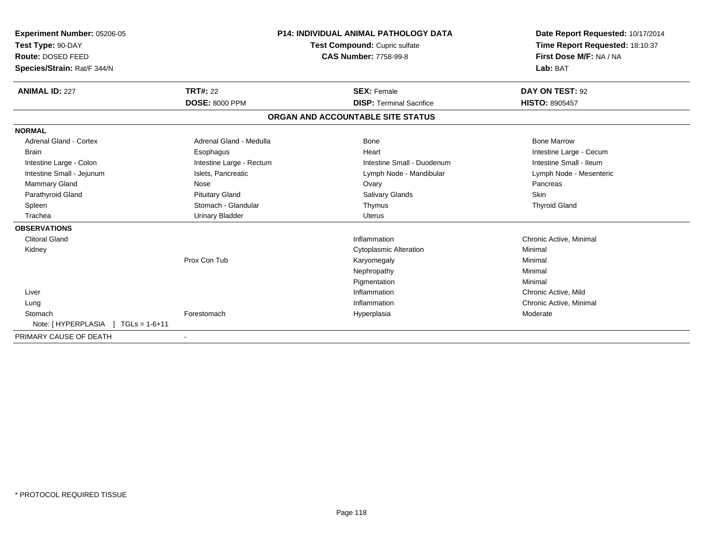| <b>Experiment Number: 05206-05</b><br>Test Type: 90-DAY<br><b>Route: DOSED FEED</b><br>Species/Strain: Rat/F 344/N                                                                             |                                                                                                                                                                           | <b>P14: INDIVIDUAL ANIMAL PATHOLOGY DATA</b><br>Test Compound: Cupric sulfate<br><b>CAS Number: 7758-99-8</b>                              | Date Report Requested: 10/17/2014<br>Time Report Requested: 18:10:37<br>First Dose M/F: NA / NA<br>Lab: BAT                                            |
|------------------------------------------------------------------------------------------------------------------------------------------------------------------------------------------------|---------------------------------------------------------------------------------------------------------------------------------------------------------------------------|--------------------------------------------------------------------------------------------------------------------------------------------|--------------------------------------------------------------------------------------------------------------------------------------------------------|
| <b>ANIMAL ID: 227</b>                                                                                                                                                                          | <b>TRT#: 22</b><br><b>DOSE: 8000 PPM</b>                                                                                                                                  | <b>SEX: Female</b><br><b>DISP: Terminal Sacrifice</b>                                                                                      | DAY ON TEST: 92<br>HISTO: 8905457                                                                                                                      |
|                                                                                                                                                                                                |                                                                                                                                                                           | ORGAN AND ACCOUNTABLE SITE STATUS                                                                                                          |                                                                                                                                                        |
| <b>NORMAL</b>                                                                                                                                                                                  |                                                                                                                                                                           |                                                                                                                                            |                                                                                                                                                        |
| <b>Adrenal Gland - Cortex</b><br><b>Brain</b><br>Intestine Large - Colon<br>Intestine Small - Jejunum<br><b>Mammary Gland</b><br>Parathyroid Gland<br>Spleen<br>Trachea<br><b>OBSERVATIONS</b> | Adrenal Gland - Medulla<br>Esophagus<br>Intestine Large - Rectum<br>Islets, Pancreatic<br>Nose<br><b>Pituitary Gland</b><br>Stomach - Glandular<br><b>Urinary Bladder</b> | <b>Bone</b><br>Heart<br>Intestine Small - Duodenum<br>Lymph Node - Mandibular<br>Ovary<br>Salivary Glands<br>Thymus<br>Uterus              | <b>Bone Marrow</b><br>Intestine Large - Cecum<br>Intestine Small - Ileum<br>Lymph Node - Mesenteric<br>Pancreas<br><b>Skin</b><br><b>Thyroid Gland</b> |
| <b>Clitoral Gland</b><br>Kidney<br>Liver<br>Lung<br>Stomach                                                                                                                                    | Prox Con Tub<br>Forestomach                                                                                                                                               | Inflammation<br><b>Cytoplasmic Alteration</b><br>Karyomegaly<br>Nephropathy<br>Pigmentation<br>Inflammation<br>Inflammation<br>Hyperplasia | Chronic Active, Minimal<br>Minimal<br>Minimal<br>Minimal<br>Minimal<br>Chronic Active, Mild<br>Chronic Active, Minimal<br>Moderate                     |
| Note: [HYPERPLASIA ]<br>$TGLs = 1-6+11$                                                                                                                                                        |                                                                                                                                                                           |                                                                                                                                            |                                                                                                                                                        |
| PRIMARY CAUSE OF DEATH                                                                                                                                                                         | $\overline{\phantom{a}}$                                                                                                                                                  |                                                                                                                                            |                                                                                                                                                        |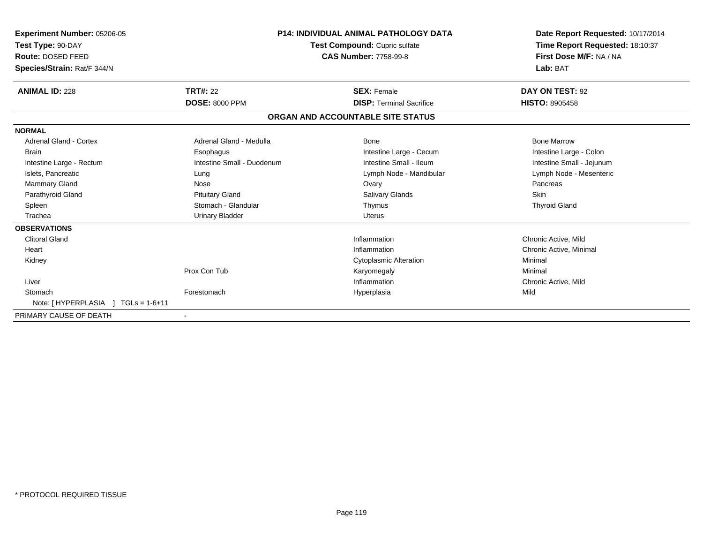| Experiment Number: 05206-05<br>Test Type: 90-DAY<br><b>Route: DOSED FEED</b><br>Species/Strain: Rat/F 344/N |                            | <b>P14: INDIVIDUAL ANIMAL PATHOLOGY DATA</b><br>Test Compound: Cupric sulfate<br><b>CAS Number: 7758-99-8</b> | Date Report Requested: 10/17/2014<br>Time Report Requested: 18:10:37<br>First Dose M/F: NA / NA<br>Lab: BAT |
|-------------------------------------------------------------------------------------------------------------|----------------------------|---------------------------------------------------------------------------------------------------------------|-------------------------------------------------------------------------------------------------------------|
| <b>ANIMAL ID: 228</b>                                                                                       | <b>TRT#: 22</b>            | <b>SEX: Female</b>                                                                                            | DAY ON TEST: 92                                                                                             |
|                                                                                                             | <b>DOSE: 8000 PPM</b>      | <b>DISP:</b> Terminal Sacrifice                                                                               | <b>HISTO: 8905458</b>                                                                                       |
|                                                                                                             |                            | ORGAN AND ACCOUNTABLE SITE STATUS                                                                             |                                                                                                             |
| <b>NORMAL</b>                                                                                               |                            |                                                                                                               |                                                                                                             |
| Adrenal Gland - Cortex                                                                                      | Adrenal Gland - Medulla    | <b>Bone</b>                                                                                                   | <b>Bone Marrow</b>                                                                                          |
| <b>Brain</b>                                                                                                | Esophagus                  | Intestine Large - Cecum                                                                                       | Intestine Large - Colon                                                                                     |
| Intestine Large - Rectum                                                                                    | Intestine Small - Duodenum | Intestine Small - Ileum                                                                                       | Intestine Small - Jejunum                                                                                   |
| Islets, Pancreatic                                                                                          | Lung                       | Lymph Node - Mandibular                                                                                       | Lymph Node - Mesenteric                                                                                     |
| Mammary Gland                                                                                               | Nose                       | Ovary                                                                                                         | Pancreas                                                                                                    |
| Parathyroid Gland                                                                                           | <b>Pituitary Gland</b>     | Salivary Glands                                                                                               | Skin                                                                                                        |
| Spleen                                                                                                      | Stomach - Glandular        | Thymus                                                                                                        | <b>Thyroid Gland</b>                                                                                        |
| Trachea                                                                                                     | <b>Urinary Bladder</b>     | Uterus                                                                                                        |                                                                                                             |
| <b>OBSERVATIONS</b>                                                                                         |                            |                                                                                                               |                                                                                                             |
| <b>Clitoral Gland</b>                                                                                       |                            | Inflammation                                                                                                  | Chronic Active, Mild                                                                                        |
| Heart                                                                                                       |                            | Inflammation                                                                                                  | Chronic Active, Minimal                                                                                     |
| Kidney                                                                                                      |                            | <b>Cytoplasmic Alteration</b>                                                                                 | Minimal                                                                                                     |
|                                                                                                             | Prox Con Tub               | Karyomegaly                                                                                                   | Minimal                                                                                                     |
| Liver                                                                                                       |                            | Inflammation                                                                                                  | Chronic Active, Mild                                                                                        |
| Stomach                                                                                                     | Forestomach                | Hyperplasia                                                                                                   | Mild                                                                                                        |
| Note: [HYPERPLASIA<br>$TGLs = 1-6+11$                                                                       |                            |                                                                                                               |                                                                                                             |
| PRIMARY CAUSE OF DEATH                                                                                      |                            |                                                                                                               |                                                                                                             |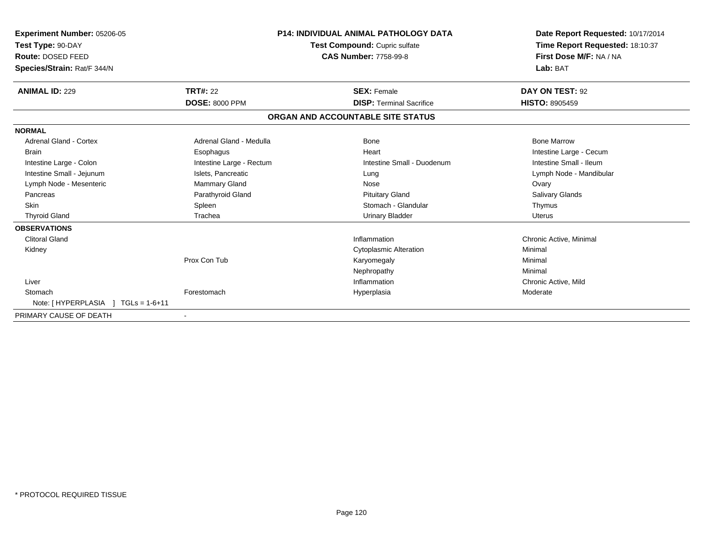| <b>Experiment Number: 05206-05</b><br>Test Type: 90-DAY<br>Route: DOSED FEED<br>Species/Strain: Rat/F 344/N |                          | <b>P14: INDIVIDUAL ANIMAL PATHOLOGY DATA</b><br>Test Compound: Cupric sulfate<br><b>CAS Number: 7758-99-8</b> | Date Report Requested: 10/17/2014<br>Time Report Requested: 18:10:37<br>First Dose M/F: NA / NA<br>Lab: BAT |
|-------------------------------------------------------------------------------------------------------------|--------------------------|---------------------------------------------------------------------------------------------------------------|-------------------------------------------------------------------------------------------------------------|
| <b>ANIMAL ID: 229</b>                                                                                       | <b>TRT#: 22</b>          | <b>SEX: Female</b>                                                                                            | DAY ON TEST: 92                                                                                             |
|                                                                                                             | <b>DOSE: 8000 PPM</b>    | <b>DISP: Terminal Sacrifice</b>                                                                               | <b>HISTO: 8905459</b>                                                                                       |
|                                                                                                             |                          | ORGAN AND ACCOUNTABLE SITE STATUS                                                                             |                                                                                                             |
| <b>NORMAL</b>                                                                                               |                          |                                                                                                               |                                                                                                             |
| <b>Adrenal Gland - Cortex</b>                                                                               | Adrenal Gland - Medulla  | Bone                                                                                                          | <b>Bone Marrow</b>                                                                                          |
| Brain                                                                                                       | Esophagus                | Heart                                                                                                         | Intestine Large - Cecum                                                                                     |
| Intestine Large - Colon                                                                                     | Intestine Large - Rectum | Intestine Small - Duodenum                                                                                    | Intestine Small - Ileum                                                                                     |
| Intestine Small - Jejunum                                                                                   | Islets, Pancreatic       | Lung                                                                                                          | Lymph Node - Mandibular                                                                                     |
| Lymph Node - Mesenteric                                                                                     | Mammary Gland            | Nose                                                                                                          | Ovary                                                                                                       |
| Pancreas                                                                                                    | Parathyroid Gland        | <b>Pituitary Gland</b>                                                                                        | Salivary Glands                                                                                             |
| <b>Skin</b>                                                                                                 | Spleen                   | Stomach - Glandular                                                                                           | Thymus                                                                                                      |
| <b>Thyroid Gland</b>                                                                                        | Trachea                  | <b>Urinary Bladder</b>                                                                                        | Uterus                                                                                                      |
| <b>OBSERVATIONS</b>                                                                                         |                          |                                                                                                               |                                                                                                             |
| <b>Clitoral Gland</b>                                                                                       |                          | Inflammation                                                                                                  | Chronic Active, Minimal                                                                                     |
| Kidney                                                                                                      |                          | <b>Cytoplasmic Alteration</b>                                                                                 | Minimal                                                                                                     |
|                                                                                                             | Prox Con Tub             | Karyomegaly                                                                                                   | Minimal                                                                                                     |
|                                                                                                             |                          | Nephropathy                                                                                                   | Minimal                                                                                                     |
| Liver                                                                                                       |                          | Inflammation                                                                                                  | Chronic Active, Mild                                                                                        |
| Stomach<br>Note: $[HYPERPLASIA] TGLs = 1-6+11$                                                              | Forestomach              | Hyperplasia                                                                                                   | Moderate                                                                                                    |
| PRIMARY CAUSE OF DEATH                                                                                      |                          |                                                                                                               |                                                                                                             |